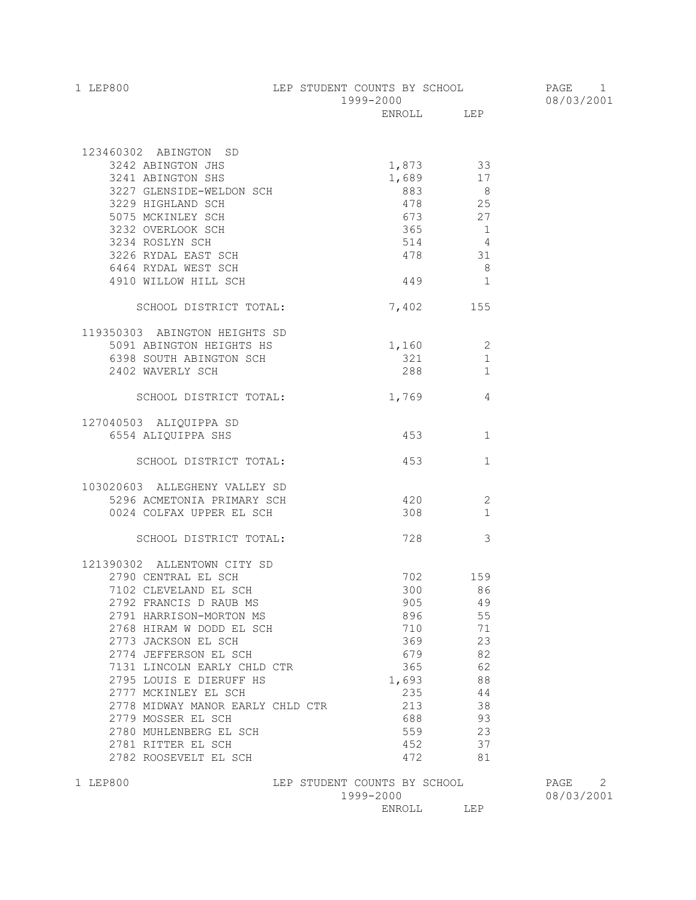| 1 LEP800 | LEP STUDENT COUNTS BY SCHOOL | PAGE       |
|----------|------------------------------|------------|
|          | 1999-2000                    | 08/03/2001 |
|          | T.E.P<br>ENROLL              |            |

| 123460302 ABINGTON SD<br>3242 ABINGTON JHS<br>3241 ABINGTON SHS<br>3227 GLENSIDE-WELDON SCH<br>3229 HIGHLAND SCH<br>5075 MCKINLEY SCH<br>3232 OVERLOOK SCH<br>3234 ROSLYN SCH<br>3226 RYDAL EAST SCH<br>6464 RYDAL WEST SCH<br>4910 WILLOW HILL SCH |                              | 1,873 33<br>$1,689$ 17<br>883<br>478<br>673<br>365<br>$514$ 4<br>478 31<br>$449$ 1 | $\overline{\phantom{a}}$<br>$\frac{25}{27}$<br>$\overline{1}$<br>8 <sup>8</sup> |                    |   |
|-----------------------------------------------------------------------------------------------------------------------------------------------------------------------------------------------------------------------------------------------------|------------------------------|------------------------------------------------------------------------------------|---------------------------------------------------------------------------------|--------------------|---|
| SCHOOL DISTRICT TOTAL:                                                                                                                                                                                                                              |                              | 7,402 155                                                                          |                                                                                 |                    |   |
| 119350303 ABINGTON HEIGHTS SD<br>5091 ABINGTON HEIGHTS HS<br>6398 SOUTH ABINGTON SCH<br>2402 WAVERLY SCH<br>SCHOOL DISTRICT TOTAL:                                                                                                                  |                              | $1,160$ 2<br>$321$ $1$<br>288 1<br>1,769                                           | 4                                                                               |                    |   |
| 127040503 ALIQUIPPA SD                                                                                                                                                                                                                              |                              |                                                                                    |                                                                                 |                    |   |
| 6554 ALIQUIPPA SHS                                                                                                                                                                                                                                  |                              | 453                                                                                | $\mathbf{1}$                                                                    |                    |   |
| SCHOOL DISTRICT TOTAL:                                                                                                                                                                                                                              |                              | 453                                                                                | $\mathbf{1}$                                                                    |                    |   |
| 103020603 ALLEGHENY VALLEY SD                                                                                                                                                                                                                       |                              |                                                                                    |                                                                                 |                    |   |
| 5296 ACMETONIA PRIMARY SCH                                                                                                                                                                                                                          |                              | 420                                                                                | 2                                                                               |                    |   |
| 0024 COLFAX UPPER EL SCH                                                                                                                                                                                                                            |                              | 308                                                                                | $\sim$ 1                                                                        |                    |   |
| SCHOOL DISTRICT TOTAL:                                                                                                                                                                                                                              |                              | 728                                                                                | 3                                                                               |                    |   |
| 121390302 ALLENTOWN CITY SD                                                                                                                                                                                                                         |                              |                                                                                    |                                                                                 |                    |   |
| 2790 CENTRAL EL SCH                                                                                                                                                                                                                                 |                              | 702 159                                                                            |                                                                                 |                    |   |
| 7102 CLEVELAND EL SCH                                                                                                                                                                                                                               |                              | 300 86                                                                             |                                                                                 |                    |   |
| 2792 FRANCIS D RAUB MS                                                                                                                                                                                                                              |                              | 905 49                                                                             |                                                                                 |                    |   |
| 2791 HARRISON-MORTON MS                                                                                                                                                                                                                             |                              | 896 55                                                                             |                                                                                 |                    |   |
| 2768 HIRAM W DODD EL SCH                                                                                                                                                                                                                            |                              | 710 71                                                                             |                                                                                 |                    |   |
| 2773 JACKSON EL SCH                                                                                                                                                                                                                                 |                              | 369                                                                                | 23                                                                              |                    |   |
| 2774 JEFFERSON EL SCH                                                                                                                                                                                                                               |                              | 679                                                                                | 82                                                                              |                    |   |
| 7131 LINCOLN EARLY CHLD CTR                                                                                                                                                                                                                         |                              | 365                                                                                | 62                                                                              |                    |   |
| 2795 LOUIS E DIERUFF HS<br>2777 MCKINLEY EL SCH                                                                                                                                                                                                     |                              | 1,693<br>235                                                                       | 88<br>44                                                                        |                    |   |
| 2778 MIDWAY MANOR EARLY CHLD CTR                                                                                                                                                                                                                    |                              | 213                                                                                | 38                                                                              |                    |   |
| 2779 MOSSER EL SCH                                                                                                                                                                                                                                  |                              | 688                                                                                | 93                                                                              |                    |   |
| 2780 MUHLENBERG EL SCH                                                                                                                                                                                                                              |                              | 559                                                                                | 23                                                                              |                    |   |
| 2781 RITTER EL SCH                                                                                                                                                                                                                                  |                              | 452                                                                                | 37                                                                              |                    |   |
| 2782 ROOSEVELT EL SCH                                                                                                                                                                                                                               |                              | 472                                                                                | 81                                                                              |                    |   |
| 1 LEP800                                                                                                                                                                                                                                            | LEP STUDENT COUNTS BY SCHOOL | 1999-2000                                                                          |                                                                                 | PAGE<br>08/03/2001 | 2 |

08/03/2001

ENROLL LEP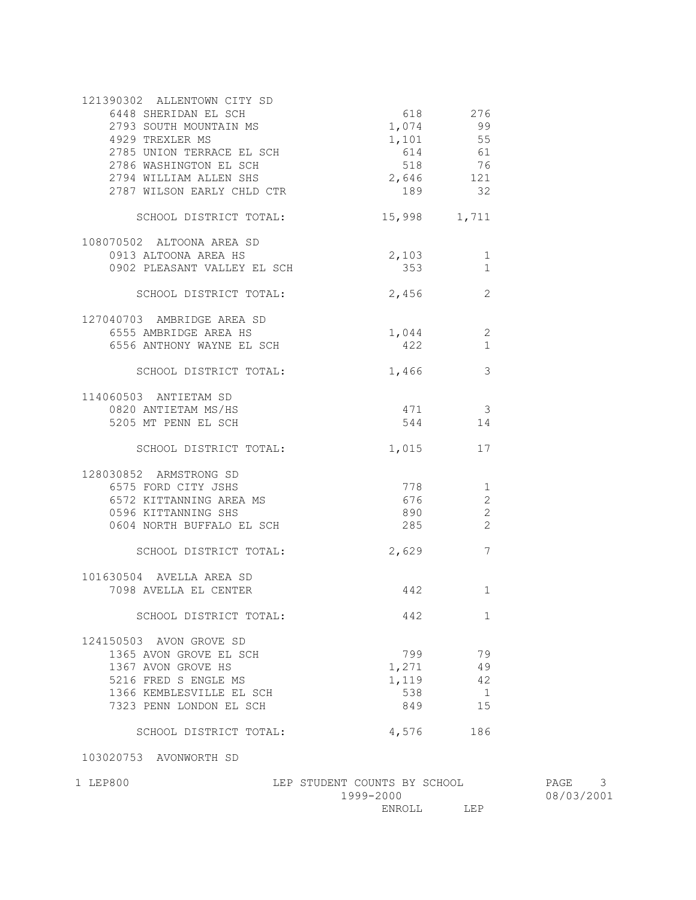| 121390302 ALLENTOWN CITY SD<br>6448 SHERIDAN EL SCH<br>2793 SOUTH MOUNTAIN MS<br>4929 TREXLER MS<br>2785 UNION TERRACE EL SCH<br>2786 WASHINGTON EL SCH<br>2794 WILLIAM ALLEN SHS<br>2787 WILSON EARLY CHLD CTR | 618<br>1,074<br>1,101<br>518<br>2,646 121<br>189 | 276<br>99<br>55<br>614 61<br>76<br>32 |
|-----------------------------------------------------------------------------------------------------------------------------------------------------------------------------------------------------------------|--------------------------------------------------|---------------------------------------|
| SCHOOL DISTRICT TOTAL:                                                                                                                                                                                          | 15,998                                           | 1,711                                 |
| 108070502 ALTOONA AREA SD<br>0913 ALTOONA AREA HS<br>0902 PLEASANT VALLEY EL SCH                                                                                                                                | 2,103<br>353                                     | 1<br>$\mathbf 1$                      |
| SCHOOL DISTRICT TOTAL:                                                                                                                                                                                          | 2,456                                            | 2                                     |
| 127040703 AMBRIDGE AREA SD<br>6555 AMBRIDGE AREA HS<br>6556 ANTHONY WAYNE EL SCH                                                                                                                                | 1,044<br>422                                     | 2<br>$\mathbf{1}$                     |
| SCHOOL DISTRICT TOTAL:                                                                                                                                                                                          | 1,466                                            | 3                                     |
| 114060503 ANTIETAM SD<br>0820 ANTIETAM MS/HS<br>5205 MT PENN EL SCH                                                                                                                                             | 471<br>544                                       | $\overline{\phantom{a}}$<br>14        |
| SCHOOL DISTRICT TOTAL:                                                                                                                                                                                          | 1,015                                            | 17                                    |
| 128030852 ARMSTRONG SD<br>6575 FORD CITY JSHS<br>6572 KITTANNING AREA MS<br>0596 KITTANNING SHS<br>0604 NORTH BUFFALO EL SCH<br>SCHOOL DISTRICT TOTAL:                                                          | 778<br>676<br>890<br>285<br>2,629                | 1<br>2<br>2<br>2<br>7                 |
| 101630504 AVELLA AREA SD<br>7098 AVELLA EL CENTER                                                                                                                                                               | 442                                              | 1                                     |
| SCHOOL DISTRICT TOTAL:                                                                                                                                                                                          | 442                                              | 1                                     |
| 124150503 AVON GROVE SD<br>1365 AVON GROVE EL SCH<br>1367 AVON GROVE HS<br>5216 FRED S ENGLE MS<br>1366 KEMBLESVILLE EL SCH<br>7323 PENN LONDON EL SCH<br>SCHOOL DISTRICT TOTAL:                                | 799<br>1,271<br>1,119<br>538<br>849<br>4,576     | 79<br>49<br>42<br>1<br>15<br>186      |

103020753 AVONWORTH SD

1 LEP800 LEP STUDENT COUNTS BY SCHOOL PAGE 3  $1999-2000$  08/03/2001 ENROLL LEP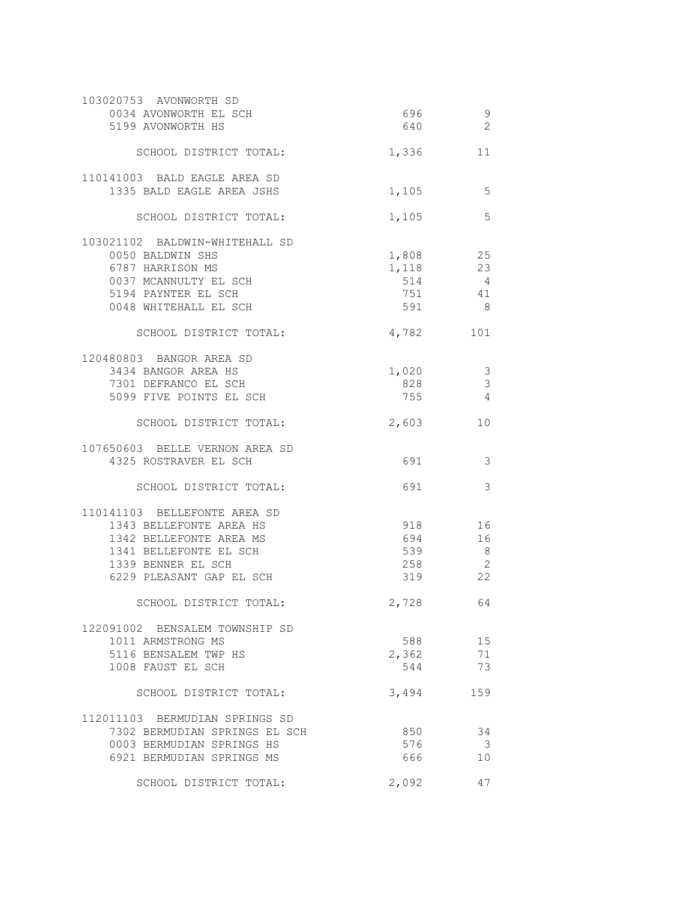| 103020753 AVONWORTH SD         |          |                         |
|--------------------------------|----------|-------------------------|
| 0034 AVONWORTH EL SCH          | 696      | 9                       |
| 5199 AVONWORTH HS              | 640      | $\overline{2}$          |
|                                |          |                         |
| SCHOOL DISTRICT TOTAL:         | 1,336    | 11                      |
|                                |          |                         |
| 110141003 BALD EAGLE AREA SD   |          |                         |
|                                |          |                         |
| 1335 BALD EAGLE AREA JSHS      | 1,105    | 5                       |
|                                |          |                         |
| SCHOOL DISTRICT TOTAL:         | 1,105    | 5                       |
|                                |          |                         |
| 103021102 BALDWIN-WHITEHALL SD |          |                         |
| 0050 BALDWIN SHS               | 1,808 25 |                         |
| 6787 HARRISON MS               | 1,118    | 23                      |
| 0037 MCANNULTY EL SCH          | 514      | 4                       |
| 5194 PAYNTER EL SCH            |          | 751 41                  |
| 0048 WHITEHALL EL SCH          | 591 7    | - 8                     |
|                                |          |                         |
| SCHOOL DISTRICT TOTAL:         | 4,782    | 101                     |
|                                |          |                         |
| 120480803 BANGOR AREA SD       |          |                         |
| 3434 BANGOR AREA HS            | 1,020    | 3                       |
| 7301 DEFRANCO EL SCH           | 828      | 3                       |
| 5099 FIVE POINTS EL SCH        | 755      | $\overline{4}$          |
|                                |          |                         |
|                                |          |                         |
| SCHOOL DISTRICT TOTAL:         | 2,603    | 10                      |
|                                |          |                         |
| 107650603 BELLE VERNON AREA SD |          |                         |
| 4325 ROSTRAVER EL SCH          | 691      | 3                       |
|                                |          |                         |
| SCHOOL DISTRICT TOTAL:         | 691      | 3                       |
|                                |          |                         |
| 110141103 BELLEFONTE AREA SD   |          |                         |
| 1343 BELLEFONTE AREA HS        | 918      | 16                      |
| 1342 BELLEFONTE AREA MS        | 694      | 16                      |
| 1341 BELLEFONTE EL SCH         | 539      | 8                       |
| 1339 BENNER EL SCH             | 258      | 2                       |
| 6229 PLEASANT GAP EL SCH       | 319      | 22                      |
|                                |          |                         |
| SCHOOL DISTRICT TOTAL:         | 2,728    | 64                      |
|                                |          |                         |
| 122091002 BENSALEM TOWNSHIP SD |          |                         |
|                                | 588 38   |                         |
| 1011 ARMSTRONG MS              |          | 15                      |
| 5116 BENSALEM TWP HS           | 2,362 71 |                         |
| 1008 FAUST EL SCH              | 544      | 73                      |
|                                |          |                         |
| SCHOOL DISTRICT TOTAL:         | 3,494    | 159                     |
|                                |          |                         |
| 112011103 BERMUDIAN SPRINGS SD |          |                         |
| 7302 BERMUDIAN SPRINGS EL SCH  | 850 350  | 34                      |
| 0003 BERMUDIAN SPRINGS HS      | 576      | $\overline{\mathbf{3}}$ |
| 6921 BERMUDIAN SPRINGS MS      | 666 100  | 10                      |
|                                |          |                         |
| SCHOOL DISTRICT TOTAL:         | 2,092    | 47                      |
|                                |          |                         |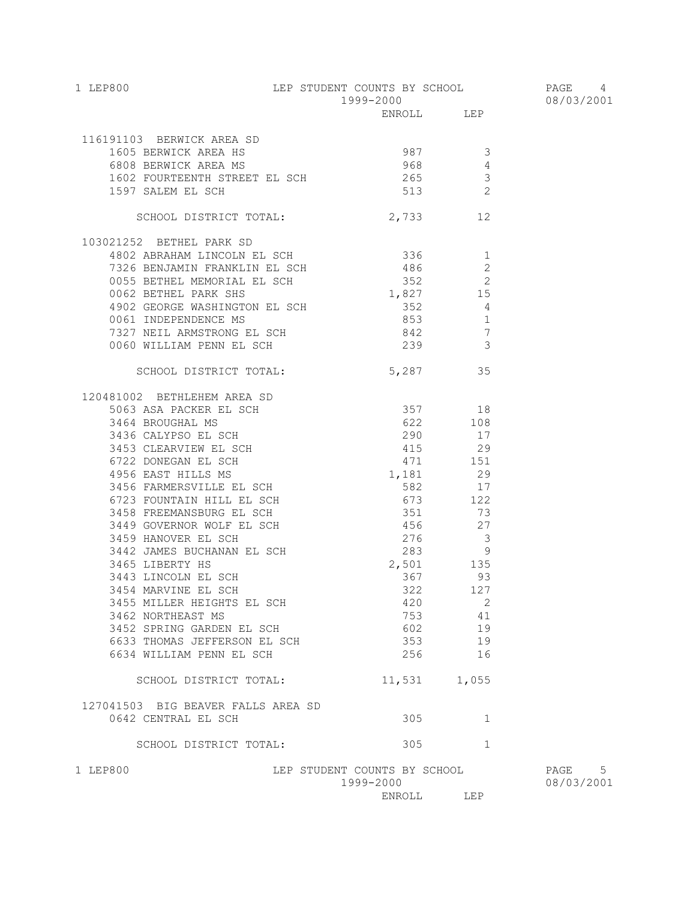| 1 LEP800                                                                                                                                                                                                                                                                                     | LEP STUDENT COUNTS BY SCHOOL              |              |  |
|----------------------------------------------------------------------------------------------------------------------------------------------------------------------------------------------------------------------------------------------------------------------------------------------|-------------------------------------------|--------------|--|
|                                                                                                                                                                                                                                                                                              | 1999-2000                                 |              |  |
|                                                                                                                                                                                                                                                                                              | ENROLL LEP                                |              |  |
| 116191103 BERWICK AREA SD                                                                                                                                                                                                                                                                    |                                           |              |  |
|                                                                                                                                                                                                                                                                                              |                                           |              |  |
|                                                                                                                                                                                                                                                                                              |                                           |              |  |
|                                                                                                                                                                                                                                                                                              |                                           |              |  |
| 91103 BERWICK AREA SD<br>1605 BERWICK AREA HS<br>6808 BERWICK AREA MS<br>1602 FOURTEENTH STREET EL SCH<br>1602 FOURTEENTH STREET EL SCH<br>1602 FOURTEENTH STREET EL SCH<br>1613 2                                                                                                           |                                           |              |  |
|                                                                                                                                                                                                                                                                                              |                                           |              |  |
| SCHOOL DISTRICT TOTAL:                                                                                                                                                                                                                                                                       | 2,733 12                                  |              |  |
| 103021252 BETHEL PARK SD                                                                                                                                                                                                                                                                     |                                           |              |  |
| 4802 ABRAHAM LINCOLN EL SCH 336 1                                                                                                                                                                                                                                                            |                                           |              |  |
| 1992<br>1992<br>1993 BENJAMIN FRANKLIN EL SCH (1994)<br>1994<br>1994<br>1992<br>1992<br>1992<br>1992<br>1992<br>1992<br>1992<br>1992<br>1992<br>1992<br>1992<br>1992<br>1992<br>1992<br>1992<br>1992<br>1992<br>1992<br>1992<br>1994<br>1992<br>1994<br>1992<br>1994<br>1994<br>1994<br>1994 |                                           |              |  |
|                                                                                                                                                                                                                                                                                              |                                           |              |  |
|                                                                                                                                                                                                                                                                                              |                                           |              |  |
|                                                                                                                                                                                                                                                                                              |                                           |              |  |
|                                                                                                                                                                                                                                                                                              |                                           |              |  |
| 4902 GEORGE WASHINGTON EL SCH<br>0061 INDEPENDENCE MS<br>7327 NEIL ARMSTRONG EL SCH<br>0060 WILLIAM PENN EL SCH<br>239 3                                                                                                                                                                     |                                           |              |  |
|                                                                                                                                                                                                                                                                                              |                                           |              |  |
| SCHOOL DISTRICT TOTAL: 5,287 35                                                                                                                                                                                                                                                              |                                           |              |  |
| 120481002 BETHLEHEM AREA SD                                                                                                                                                                                                                                                                  |                                           |              |  |
|                                                                                                                                                                                                                                                                                              |                                           |              |  |
|                                                                                                                                                                                                                                                                                              |                                           |              |  |
|                                                                                                                                                                                                                                                                                              |                                           |              |  |
|                                                                                                                                                                                                                                                                                              |                                           |              |  |
|                                                                                                                                                                                                                                                                                              |                                           |              |  |
|                                                                                                                                                                                                                                                                                              |                                           |              |  |
|                                                                                                                                                                                                                                                                                              |                                           |              |  |
|                                                                                                                                                                                                                                                                                              |                                           |              |  |
|                                                                                                                                                                                                                                                                                              |                                           |              |  |
|                                                                                                                                                                                                                                                                                              |                                           |              |  |
|                                                                                                                                                                                                                                                                                              |                                           |              |  |
|                                                                                                                                                                                                                                                                                              |                                           |              |  |
|                                                                                                                                                                                                                                                                                              |                                           | 367 93       |  |
| 3443 LINCOLN EL SCH                                                                                                                                                                                                                                                                          |                                           |              |  |
| 3454 MARVINE EL SCH<br>3455 MILLER HEIGHTS EL SCH                                                                                                                                                                                                                                            | 420                                       | 322 127<br>2 |  |
| 3462 NORTHEAST MS                                                                                                                                                                                                                                                                            |                                           | 753 41       |  |
| 3452 SPRING GARDEN EL SCH                                                                                                                                                                                                                                                                    | 602                                       | 19           |  |
| 6633 THOMAS JEFFERSON EL SCH                                                                                                                                                                                                                                                                 | 353                                       | 19           |  |
| 6634 WILLIAM PENN EL SCH                                                                                                                                                                                                                                                                     | 256                                       | 16           |  |
| SCHOOL DISTRICT TOTAL:                                                                                                                                                                                                                                                                       | 11,531 1,055                              |              |  |
|                                                                                                                                                                                                                                                                                              |                                           |              |  |
| 127041503 BIG BEAVER FALLS AREA SD<br>0642 CENTRAL EL SCH                                                                                                                                                                                                                                    | 305                                       | $\mathbf{1}$ |  |
| SCHOOL DISTRICT TOTAL:                                                                                                                                                                                                                                                                       | 305                                       | $\mathbf{1}$ |  |
| 1 LEP800                                                                                                                                                                                                                                                                                     | LEP STUDENT COUNTS BY SCHOOL<br>1999-2000 |              |  |
|                                                                                                                                                                                                                                                                                              |                                           |              |  |

PAGE 5<br>08/03/2001

ENROLL LEP

PAGE 4 08/03/2001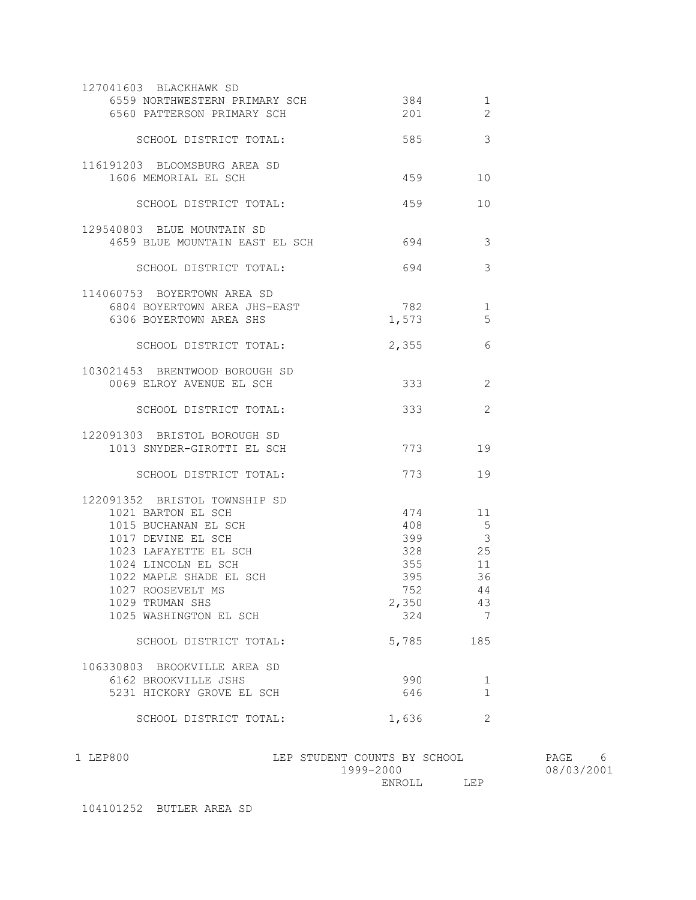| 127041603 BLACKHAWK SD         |       |                |
|--------------------------------|-------|----------------|
| 6559 NORTHWESTERN PRIMARY SCH  | 384   | 1              |
| 6560 PATTERSON PRIMARY SCH     | 201   | $\overline{2}$ |
|                                |       |                |
| SCHOOL DISTRICT TOTAL:         | 585   | 3              |
|                                |       |                |
| 116191203 BLOOMSBURG AREA SD   |       |                |
| 1606 MEMORIAL EL SCH           | 459   | 10             |
|                                |       |                |
| SCHOOL DISTRICT TOTAL:         | 459   | 10             |
|                                |       |                |
| 129540803 BLUE MOUNTAIN SD     |       |                |
| 4659 BLUE MOUNTAIN EAST EL SCH | 694   | 3              |
|                                |       |                |
| SCHOOL DISTRICT TOTAL:         | 694   | 3              |
|                                |       |                |
| 114060753 BOYERTOWN AREA SD    |       |                |
| 6804 BOYERTOWN AREA JHS-EAST   | 782   |                |
|                                |       | 1              |
| 6306 BOYERTOWN AREA SHS        | 1,573 | 5              |
|                                |       |                |
| SCHOOL DISTRICT TOTAL:         | 2,355 | 6              |
|                                |       |                |
| 103021453 BRENTWOOD BOROUGH SD |       |                |
| 0069 ELROY AVENUE EL SCH       | 333   | 2              |
|                                |       |                |
| SCHOOL DISTRICT TOTAL:         | 333   | 2              |
|                                |       |                |
| 122091303 BRISTOL BOROUGH SD   |       |                |
| 1013 SNYDER-GIROTTI EL SCH     | 773   | 19             |
|                                |       |                |
| SCHOOL DISTRICT TOTAL:         | 773   | 19             |
|                                |       |                |
| 122091352 BRISTOL TOWNSHIP SD  |       |                |
| 1021 BARTON EL SCH             | 474   | 11             |
| 1015 BUCHANAN EL SCH           | 408   | $5^{\circ}$    |
| 1017 DEVINE EL SCH             | 399   | $\mathcal{E}$  |
| 1023 LAFAYETTE EL SCH          | 328   | 25             |
| 1024 LINCOLN EL SCH            | 355   | 11             |
| 1022 MAPLE SHADE EL SCH        | 395   | 36             |
| 1027 ROOSEVELT MS              | 752   | 44             |
| 1029 TRUMAN SHS                | 2,350 | 43             |
| 1025 WASHINGTON EL SCH         | 324   | 7              |
|                                |       |                |
|                                |       | 185            |
| SCHOOL DISTRICT TOTAL:         | 5,785 |                |
|                                |       |                |
| 106330803 BROOKVILLE AREA SD   |       |                |
| 6162 BROOKVILLE JSHS           | 990   | 1              |
| 5231 HICKORY GROVE EL SCH      | 646   | $\mathbf{1}$   |
|                                |       |                |
| SCHOOL DISTRICT TOTAL:         | 1,636 | 2              |

1 LEP800 LEP STUDENT COUNTS BY SCHOOL PAGE 6  $1999-2000$  08/03/2001 ENROLL LEP

104101252 BUTLER AREA SD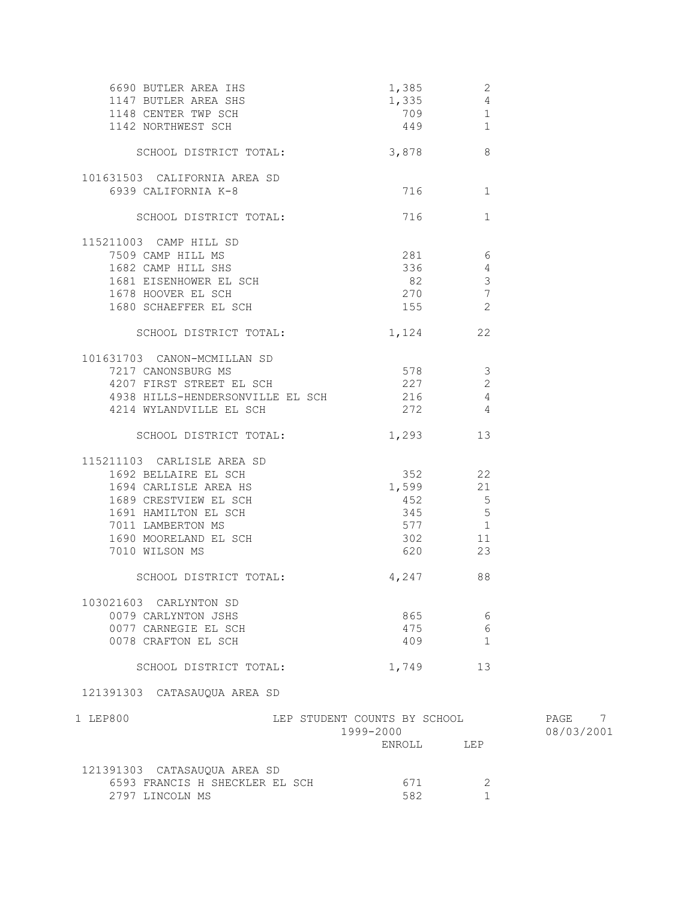| 6690 BUTLER AREA IHS<br>1147 BUTLER AREA SHS<br>1148 CENTER TWP SCH<br>1142 NORTHWEST SCH                                                                                                    | 1,385<br>1,335<br>709<br>449                        | 2<br>$\overline{4}$<br>$\mathbf{1}$<br>$\mathbf{1}$ |                         |
|----------------------------------------------------------------------------------------------------------------------------------------------------------------------------------------------|-----------------------------------------------------|-----------------------------------------------------|-------------------------|
| SCHOOL DISTRICT TOTAL:                                                                                                                                                                       | 3,878                                               | 8                                                   |                         |
| 101631503 CALIFORNIA AREA SD<br>6939 CALIFORNIA K-8                                                                                                                                          | 716 — 10                                            | 1                                                   |                         |
| SCHOOL DISTRICT TOTAL:                                                                                                                                                                       | 716 — 10                                            | $\mathbf{1}$                                        |                         |
| 115211003 CAMP HILL SD<br>7509 CAMP HILL MS<br>1682 CAMP HILL SHS<br>1681 EISENHOWER EL SCH<br>SUH کا موسیقی است کردہ 1680 SCHAEFFER EL SCH                                                  | $281$ 6<br>336<br>82<br>270 7<br>155                | $\overline{4}$<br>$\overline{\mathbf{3}}$<br>2      |                         |
| SCHOOL DISTRICT TOTAL:                                                                                                                                                                       | 1,124 22                                            |                                                     |                         |
| 101631703 CANON-MCMILLAN SD<br>7217 CANONSBURG MS<br>4207 FIRST STREET EL SCH<br>4938 HILLS-HENDERSONVILLE EL SCH 216 216<br>4214 WYLANDVILLE EL SCH                                         | 578 3<br>227<br>$272$ 4                             | 2                                                   |                         |
| SCHOOL DISTRICT TOTAL:                                                                                                                                                                       | 1,293                                               | 13                                                  |                         |
| 115211103 CARLISLE AREA SD<br>1692 BELLAIRE EL SCH<br>1694 CARLISLE AREA HS<br>1689 CRESTVIEW EL SCH<br>1691 HAMILTON EL SCH<br>7011 LAMBERTON MS<br>1690 MOORELAND EL SCH<br>7010 WILSON MS | 1,599<br>345 5<br>577 1<br>302 11<br>620 000        | 352 22<br>21<br>$452$ 5<br>23                       |                         |
| SCHOOL DISTRICT TOTAL:                                                                                                                                                                       | 4,247 88                                            |                                                     |                         |
| 103021603 CARLYNTON SD<br>0079 CARLYNTON JSHS<br>0077 CARNEGIE EL SCH<br>0078 CRAFTON EL SCH                                                                                                 | 865<br>475<br>409                                   | 6<br>6<br>1                                         |                         |
| SCHOOL DISTRICT TOTAL:                                                                                                                                                                       | 1,749                                               | 13                                                  |                         |
| 121391303 CATASAUQUA AREA SD                                                                                                                                                                 |                                                     |                                                     |                         |
| 1 LEP800                                                                                                                                                                                     | LEP STUDENT COUNTS BY SCHOOL<br>1999-2000<br>ENROLL | LEP                                                 | PAGE<br>7<br>08/03/2001 |
| 121391303 CATASAUQUA AREA SD<br>6593 FRANCIS H SHECKLER EL SCH<br>2797 LINCOLN MS                                                                                                            | 671<br>582                                          | 2<br>$\mathbf{1}$                                   |                         |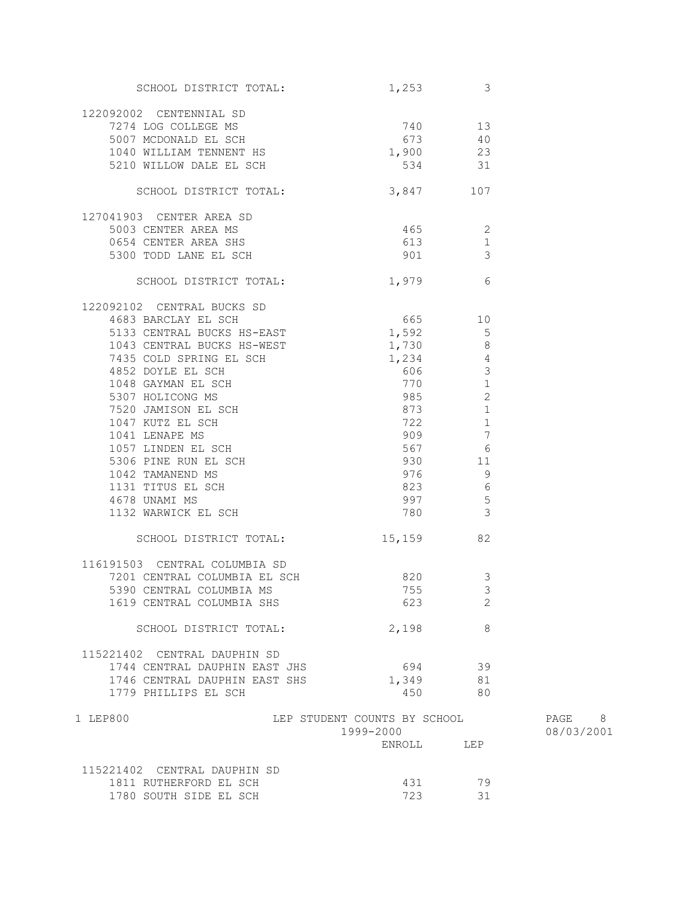| SCHOOL DISTRICT TOTAL:         | $1,253$ 3                          |                                            |            |
|--------------------------------|------------------------------------|--------------------------------------------|------------|
|                                |                                    |                                            |            |
| 122092002 CENTENNIAL SD        |                                    |                                            |            |
| 7274 LOG COLLEGE MS            | $740$ 13<br>$673$ 40<br>$1,900$ 23 |                                            |            |
| 5007 MCDONALD EL SCH           |                                    |                                            |            |
| 1040 WILLIAM TENNENT HS        | $1,900$ 23                         |                                            |            |
| 5210 WILLOW DALE EL SCH        | 534 31                             |                                            |            |
| SCHOOL DISTRICT TOTAL:         | 3,847 107                          |                                            |            |
| 127041903 CENTER AREA SD       |                                    |                                            |            |
| 5003 CENTER AREA MS            | 465 2                              |                                            |            |
| 0654 CENTER AREA SHS           | 613                                | $\mathbf{1}$                               |            |
| 5300 TODD LANE EL SCH          | 901                                | $\overline{\mathbf{3}}$                    |            |
| SCHOOL DISTRICT TOTAL: 1,979 6 |                                    |                                            |            |
| 122092102 CENTRAL BUCKS SD     |                                    |                                            |            |
| 4683 BARCLAY EL SCH            | $665$ 10                           |                                            |            |
| 5133 CENTRAL BUCKS HS-EAST     | $1,592$ 5                          |                                            |            |
|                                | 1,730                              |                                            |            |
|                                |                                    | $\begin{array}{c} 8 \\ 4 \\ 3 \end{array}$ |            |
|                                |                                    |                                            |            |
|                                |                                    | $\mathbf{1}$                               |            |
|                                | 985                                | 2                                          |            |
|                                | 873                                | $\mathbf{1}$                               |            |
|                                | 722                                | 1                                          |            |
|                                | 909                                | $\overline{7}$                             |            |
|                                | 567                                | $6\overline{6}$                            |            |
|                                |                                    | 11                                         |            |
|                                |                                    | - 9<br>$6\overline{6}$                     |            |
|                                | 823<br>997 5                       |                                            |            |
|                                | 780 3                              |                                            |            |
| 1132 WARWICK EL SCH            |                                    |                                            |            |
| SCHOOL DISTRICT TOTAL:         | 15,159 82                          |                                            |            |
| 116191503 CENTRAL COLUMBIA SD  |                                    |                                            |            |
| 7201 CENTRAL COLUMBIA EL SCH   | 820                                | 3                                          |            |
| 5390 CENTRAL COLUMBIA MS       | 755                                | $\overline{\mathbf{3}}$                    |            |
| 1619 CENTRAL COLUMBIA SHS      | 623                                | 2                                          |            |
| SCHOOL DISTRICT TOTAL:         | 2,198                              | 8                                          |            |
| 115221402 CENTRAL DAUPHIN SD   |                                    |                                            |            |
| 1744 CENTRAL DAUPHIN EAST JHS  | 694                                | 39                                         |            |
| 1746 CENTRAL DAUPHIN EAST SHS  | 1,349                              | 81                                         |            |
| 1779 PHILLIPS EL SCH           | 450                                | 80                                         |            |
| 1 LEP800                       | LEP STUDENT COUNTS BY SCHOOL       |                                            | PAGE 8     |
|                                | 1999-2000                          |                                            | 08/03/2001 |
|                                | ENROLL                             | LEP                                        |            |
| 115221402 CENTRAL DAUPHIN SD   |                                    |                                            |            |
| 1811 RUTHERFORD EL SCH         | 431                                | 79                                         |            |
| 1780 SOUTH SIDE EL SCH         | 723                                | 31                                         |            |
|                                |                                    |                                            |            |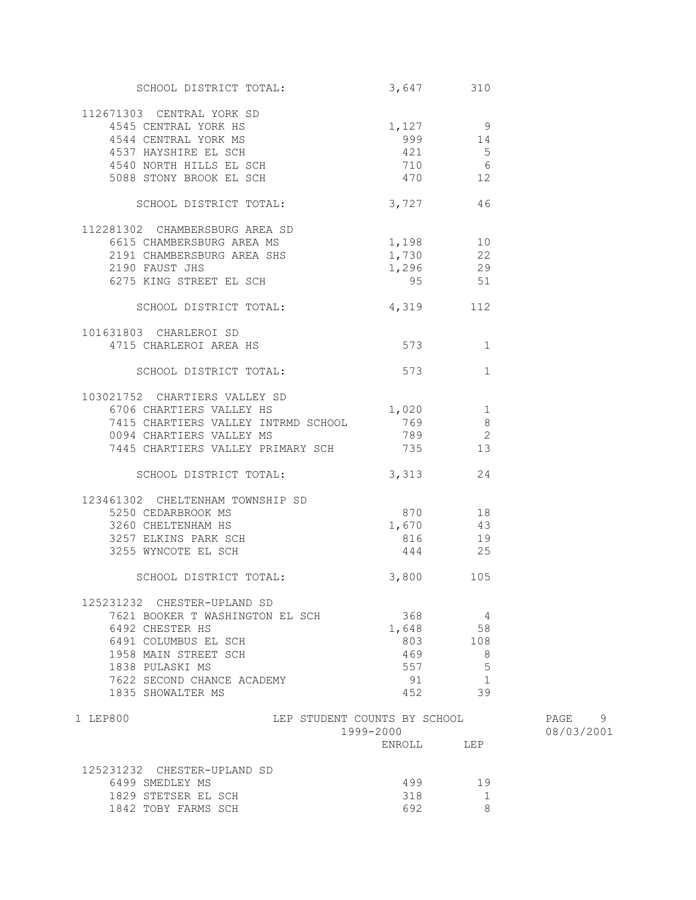| SCHOOL DISTRICT TOTAL:                                                 | 3,647 310  |                          |            |
|------------------------------------------------------------------------|------------|--------------------------|------------|
| 112671303 CENTRAL YORK SD                                              |            |                          |            |
| 4545 CENTRAL YORK HS                                                   | 1,127 9    |                          |            |
|                                                                        |            |                          |            |
|                                                                        |            |                          |            |
|                                                                        |            |                          |            |
| 999 14<br>4540 NORTH HILLS EL SCH 421 5<br>5088 STONY BROOK EL SCH 710 |            |                          |            |
|                                                                        |            |                          |            |
| SCHOOL DISTRICT TOTAL:                                                 | 3,727      | 46                       |            |
| 112281302 CHAMBERSBURG AREA SD                                         |            |                          |            |
| 6615 CHAMBERSBURG AREA MS                                              | 1,198 10   |                          |            |
|                                                                        | $1,730$ 22 |                          |            |
| 2191 CHAMBERSBURG AREA SHS                                             | 1,296 29   |                          |            |
| 2190 FAUST JHS                                                         | 95 51      |                          |            |
| 6275 KING STREET EL SCH                                                |            |                          |            |
| SCHOOL DISTRICT TOTAL: 4,319 112                                       |            |                          |            |
|                                                                        |            |                          |            |
| 101631803 CHARLEROI SD                                                 |            |                          |            |
| 4715 CHARLEROI AREA HS                                                 | 573        | $\mathbf{1}$             |            |
| SCHOOL DISTRICT TOTAL:                                                 | 573        | 1                        |            |
|                                                                        |            |                          |            |
| 103021752 CHARTIERS VALLEY SD                                          |            |                          |            |
| 6706 CHARTIERS VALLEY HS                                               | $1,020$ 1  |                          |            |
| 7415 CHARTIERS VALLEY INTRMD SCHOOL 769                                |            | 8                        |            |
| 0094 CHARTIERS VALLEY MS                                               | 789        | $\overline{\phantom{a}}$ |            |
| 7445 CHARTIERS VALLEY PRIMARY SCH                                      | 735        | 13                       |            |
|                                                                        |            |                          |            |
| SCHOOL DISTRICT TOTAL:                                                 | 3,313      | 24                       |            |
| 123461302 CHELTENHAM TOWNSHIP SD                                       |            |                          |            |
| 5250 CEDARBROOK MS                                                     | 870 18     |                          |            |
| 3260 CHELTENHAM HS                                                     | 1,670 43   |                          |            |
|                                                                        | 816 19     |                          |            |
| 3257 ELKINS PARK SCH<br>3255 EVANCOUR EI SCH<br>3255 WYNCOTE EL SCH    | 444 25     |                          |            |
|                                                                        |            |                          |            |
| SCHOOL DISTRICT TOTAL:                                                 | 3,800 105  |                          |            |
|                                                                        |            |                          |            |
| 125231232 CHESTER-UPLAND SD                                            |            |                          |            |
| 7621 BOOKER T WASHINGTON EL SCH                                        | 368        | 4                        |            |
| 6492 CHESTER HS                                                        | 1,648      | 58                       |            |
| 6491 COLUMBUS EL SCH                                                   | 803        | 108                      |            |
| 1958 MAIN STREET SCH                                                   | 469        | 8                        |            |
| 1838 PULASKI MS                                                        | 557        | 5                        |            |
| 7622 SECOND CHANCE ACADEMY                                             | 91         | 1                        |            |
| 1835 SHOWALTER MS                                                      | 452        | 39                       |            |
| 1 LEP800<br>LEP STUDENT COUNTS BY SCHOOL                               |            |                          | PAGE<br>9  |
|                                                                        | 1999-2000  |                          | 08/03/2001 |
|                                                                        | ENROLL     | LEP                      |            |
|                                                                        |            |                          |            |
| 125231232 CHESTER-UPLAND SD                                            |            |                          |            |
| 6499 SMEDLEY MS                                                        | 499        | 19                       |            |
| 1829 STETSER EL SCH                                                    | 318        | 1                        |            |
| 1842 TOBY FARMS SCH                                                    | 692        | 8                        |            |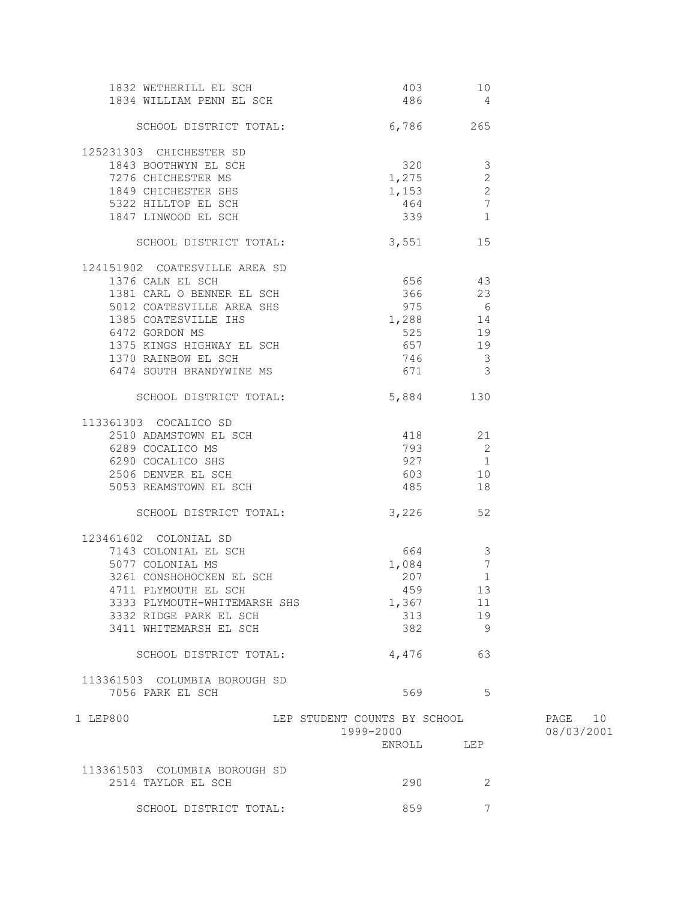| 1832 WETHERILL EL SCH                                                   | 403                                                      | 10                       |            |
|-------------------------------------------------------------------------|----------------------------------------------------------|--------------------------|------------|
| 1834 WILLIAM PENN EL SCH                                                | 486 4                                                    |                          |            |
| SCHOOL DISTRICT TOTAL: 6,786 265                                        |                                                          |                          |            |
| 125231303 CHICHESTER SD                                                 |                                                          |                          |            |
| 1843 BOOTHWYN EL SCH                                                    | $\begin{array}{ccc}\n 320 & 3 \\  1 & 275\n \end{array}$ |                          |            |
| 7276 CHICHESTER MS                                                      | 1,275                                                    | 2                        |            |
| 1849 CHICHESTER SHS                                                     |                                                          |                          |            |
|                                                                         | $1,153$ 2                                                |                          |            |
| 5322 HILLTOP EL SCH                                                     | 464                                                      | $\overline{7}$           |            |
| 1847 LINWOOD EL SCH                                                     | 339                                                      | 1                        |            |
| SCHOOL DISTRICT TOTAL:                                                  | 3,551                                                    | 15                       |            |
| 124151902 COATESVILLE AREA SD                                           |                                                          |                          |            |
| 1376 CALN EL SCH                                                        | 656 43                                                   |                          |            |
| 1381 CARL O BENNER EL SCH                                               | 366 23                                                   |                          |            |
|                                                                         | 975 6                                                    |                          |            |
| 5012 COATESVILLE AREA SHS<br>1385 COATESVILLE IHS                       | 1,288 14                                                 |                          |            |
| 6472 GORDON MS                                                          | 525                                                      | 19                       |            |
|                                                                         | $-657$                                                   | 19                       |            |
| 1375 KINGS HIGHWAY EL SCH<br>1370 RAINBOW EL SCH<br>1370 RAINBOW EL SCH | 746 3                                                    |                          |            |
| 6474 SOUTH BRANDYWINE MS                                                | 671 3                                                    |                          |            |
|                                                                         |                                                          |                          |            |
| SCHOOL DISTRICT TOTAL:                                                  | 5,884                                                    | 130                      |            |
| 113361303 COCALICO SD                                                   |                                                          |                          |            |
| 2510 ADAMSTOWN EL SCH                                                   | 418 21                                                   |                          |            |
| 6289 COCALICO MS                                                        | 793                                                      | $\overline{\phantom{0}}$ |            |
| 6289 COCALICO MS<br>6290 COCALICO SHS<br>2506 DENVER EL SCH             | 927 1                                                    |                          |            |
|                                                                         | 603 10                                                   |                          |            |
| 5053 REAMSTOWN EL SCH                                                   | 485                                                      | 18                       |            |
| SCHOOL DISTRICT TOTAL: 3,226                                            |                                                          | 52                       |            |
|                                                                         |                                                          |                          |            |
| 123461602 COLONIAL SD                                                   |                                                          |                          |            |
| 7143 COLONIAL EL SCH                                                    | 664 3                                                    |                          |            |
| 5077 COLONIAL MS                                                        | 1,084                                                    | $\overline{7}$           |            |
| 3261 CONSHOHOCKEN EL SCH                                                | 207                                                      | $\mathbf{1}$             |            |
| 4711 PLYMOUTH EL SCH                                                    | 459 13                                                   |                          |            |
| 3333 PLYMOUTH-WHITEMARSH SHS                                            | 1,367                                                    | 11                       |            |
| 3332 RIDGE PARK EL SCH                                                  | 313                                                      | 19                       |            |
| 3411 WHITEMARSH EL SCH                                                  | 382                                                      | 9                        |            |
| SCHOOL DISTRICT TOTAL:                                                  | 4,476                                                    | 63                       |            |
|                                                                         |                                                          |                          |            |
| 113361503 COLUMBIA BOROUGH SD                                           |                                                          |                          |            |
| 7056 PARK EL SCH                                                        | 569                                                      | 5                        |            |
| 1 LEP800                                                                | LEP STUDENT COUNTS BY SCHOOL                             |                          | PAGE 10    |
|                                                                         | 1999-2000                                                |                          | 08/03/2001 |
|                                                                         | ENROLL                                                   | LEP                      |            |
|                                                                         |                                                          |                          |            |
| 113361503 COLUMBIA BOROUGH SD                                           |                                                          |                          |            |
| 2514 TAYLOR EL SCH                                                      | 290                                                      | 2                        |            |
|                                                                         |                                                          |                          |            |
| SCHOOL DISTRICT TOTAL:                                                  | 859                                                      | 7                        |            |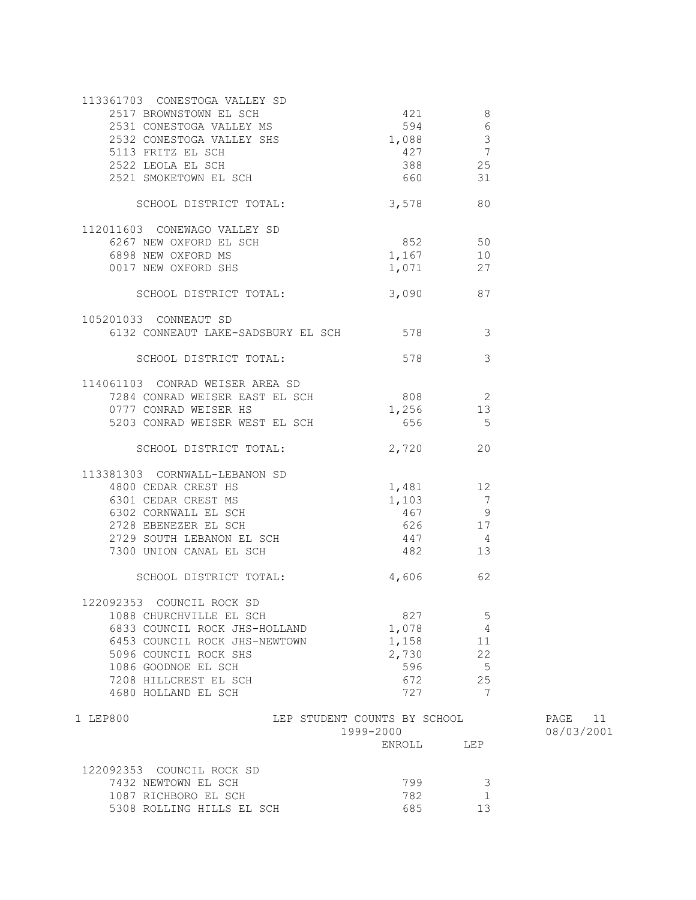| 113361703 CONESTOGA VALLEY SD                        |                                                                       |                            |            |
|------------------------------------------------------|-----------------------------------------------------------------------|----------------------------|------------|
| 2517 BROWNSTOWN EL SCH                               | 421                                                                   | $\overline{\phantom{0}}$ 8 |            |
| 2531 CONESTOGA VALLEY MS                             | 594 6                                                                 |                            |            |
| 2532 CONESTOGA VALLEY SHS                            | $1,088$ 3                                                             |                            |            |
| 5113 FRITZ EL SCH                                    |                                                                       |                            |            |
| 2522 LEOLA EL SCH                                    |                                                                       |                            |            |
| 2521 SMOKETOWN EL SCH                                | $\begin{array}{ccc} 427 & & 7 \\ 388 & & 25 \\ 660 & & & \end{array}$ |                            |            |
|                                                      |                                                                       |                            |            |
| SCHOOL DISTRICT TOTAL:                               | 3,578                                                                 | 80                         |            |
| 112011603 CONEWAGO VALLEY SD                         |                                                                       |                            |            |
| 6267 NEW OXFORD EL SCH                               | $852$ 50                                                              |                            |            |
| 6898 NEW OXFORD MS                                   | $1,167$ 10                                                            |                            |            |
| 0017 NEW OXFORD SHS                                  | 1,071 27                                                              |                            |            |
| SCHOOL DISTRICT TOTAL: 3,090 87                      |                                                                       |                            |            |
|                                                      |                                                                       |                            |            |
| 105201033 CONNEAUT SD                                |                                                                       |                            |            |
| 6132 CONNEAUT LAKE-SADSBURY EL SCH 578 3             |                                                                       |                            |            |
| SCHOOL DISTRICT TOTAL:                               | 578                                                                   | $\overline{\mathbf{3}}$    |            |
| 114061103 CONRAD WEISER AREA SD                      |                                                                       |                            |            |
| 7284 CONRAD WEISER EAST EL SCH 808 2                 |                                                                       |                            |            |
| 0777 CONRAD WEISER HS                                | 1,256 13                                                              |                            |            |
| 5203 CONRAD WEISER WEST EL SCH                       | 656                                                                   | $5^{\circ}$                |            |
|                                                      |                                                                       |                            |            |
| SCHOOL DISTRICT TOTAL:                               | 2,720                                                                 | 20                         |            |
| 113381303 CORNWALL-LEBANON SD                        |                                                                       |                            |            |
| 4800 CEDAR CREST HS                                  | 1,481 12                                                              |                            |            |
| 6301 CEDAR CREST MS                                  | $1,103$ 7                                                             |                            |            |
| 6302 CORNWALL EL SCH                                 | 467 9                                                                 |                            |            |
| 2728 EBENEZER EL SCH                                 | 626 17                                                                |                            |            |
| 2729 SOUTH LEBANON EL SCH<br>7300 UNION CANAL EL SCH | 447                                                                   | 4                          |            |
| 7300 UNION CANAL EL SCH                              | 482                                                                   | 13                         |            |
| SCHOOL DISTRICT TOTAL:                               | 4,606                                                                 | 62                         |            |
| 122092353 COUNCIL ROCK SD                            |                                                                       |                            |            |
| 1088 CHURCHVILLE EL SCH                              | 827                                                                   | 5                          |            |
| 6833 COUNCIL ROCK JHS-HOLLAND                        | 1,078                                                                 | 4                          |            |
| 6453 COUNCIL ROCK JHS-NEWTOWN                        | 1,158                                                                 | 11                         |            |
| 5096 COUNCIL ROCK SHS                                | 2,730                                                                 | 22                         |            |
| 1086 GOODNOE EL SCH                                  | 596                                                                   | 5                          |            |
| 7208 HILLCREST EL SCH                                | 672                                                                   | 25                         |            |
|                                                      | 727                                                                   | 7                          |            |
| 4680 HOLLAND EL SCH                                  |                                                                       |                            |            |
| 1 LEP800                                             | LEP STUDENT COUNTS BY SCHOOL                                          |                            | PAGE<br>11 |
|                                                      | 1999-2000                                                             |                            | 08/03/2001 |
|                                                      | ENROLL                                                                | LEP                        |            |
| 122092353 COUNCIL ROCK SD                            |                                                                       |                            |            |
| 7432 NEWTOWN EL SCH                                  | 799                                                                   | 3                          |            |
| 1087 RICHBORO EL SCH                                 | 782                                                                   | 1                          |            |
| 5308 ROLLING HILLS EL SCH                            | 685                                                                   | 13                         |            |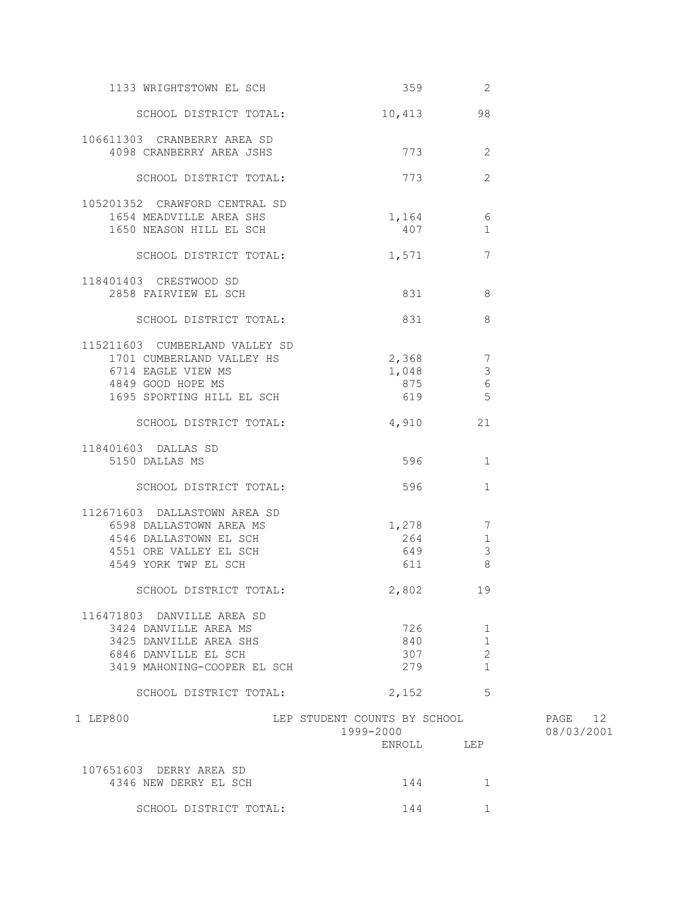| 1133 WRIGHTSTOWN EL SCH        |                                           | 359 2                                 |                       |
|--------------------------------|-------------------------------------------|---------------------------------------|-----------------------|
| SCHOOL DISTRICT TOTAL:         |                                           | 10,413 98                             |                       |
| 106611303 CRANBERRY AREA SD    |                                           |                                       |                       |
| 4098 CRANBERRY AREA JSHS       |                                           | 773<br>-2                             |                       |
| SCHOOL DISTRICT TOTAL:         | 773                                       | 2                                     |                       |
| 105201352 CRAWFORD CENTRAL SD  |                                           |                                       |                       |
| 1654 MEADVILLE AREA SHS        |                                           | 1,164 6                               |                       |
| 1650 NEASON HILL EL SCH        |                                           | 407<br>1                              |                       |
| SCHOOL DISTRICT TOTAL:         | 1,571                                     | 7                                     |                       |
| 118401403 CRESTWOOD SD         |                                           |                                       |                       |
| 2858 FAIRVIEW EL SCH           |                                           | 831 8                                 |                       |
| SCHOOL DISTRICT TOTAL:         |                                           | 8<br>831                              |                       |
| 115211603 CUMBERLAND VALLEY SD |                                           |                                       |                       |
| 1701 CUMBERLAND VALLEY HS      |                                           |                                       |                       |
| 6714 EAGLE VIEW MS             | 1,048                                     | $2,368$ 7<br>1 048 3<br>$\mathcal{S}$ |                       |
| 4849 GOOD HOPE MS              | 875                                       | 6                                     |                       |
| 1695 SPORTING HILL EL SCH      | 619                                       | 5                                     |                       |
|                                |                                           |                                       |                       |
| SCHOOL DISTRICT TOTAL:         | 4,910                                     | 21                                    |                       |
| 118401603 DALLAS SD            |                                           |                                       |                       |
| 5150 DALLAS MS                 | 596                                       | 1                                     |                       |
| SCHOOL DISTRICT TOTAL:         | 596                                       | 1                                     |                       |
| 112671603 DALLASTOWN AREA SD   |                                           |                                       |                       |
| 6598 DALLASTOWN AREA MS        |                                           | 1,278 7                               |                       |
| 4546 DALLASTOWN EL SCH         |                                           | 264<br>1                              |                       |
| 4551 ORE VALLEY EL SCH         | 649                                       | $\mathcal{S}$                         |                       |
| 4549 YORK TWP EL SCH           | 611                                       | 8                                     |                       |
|                                |                                           |                                       |                       |
| SCHOOL DISTRICT TOTAL:         | 2,802 19                                  |                                       |                       |
| 116471803 DANVILLE AREA SD     |                                           |                                       |                       |
| 3424 DANVILLE AREA MS          | 726                                       | 1                                     |                       |
| 3425 DANVILLE AREA SHS         | 840                                       | 1                                     |                       |
| 6846 DANVILLE EL SCH           | 307                                       | 2                                     |                       |
| 3419 MAHONING-COOPER EL SCH    | 279                                       | $\mathbf{1}$                          |                       |
| SCHOOL DISTRICT TOTAL:         |                                           | $\overline{5}$                        |                       |
|                                | 2,152                                     |                                       |                       |
| 1 LEP800                       | LEP STUDENT COUNTS BY SCHOOL<br>1999-2000 |                                       | PAGE 12<br>08/03/2001 |
|                                | ENROLL                                    | LEP                                   |                       |
| 107651603 DERRY AREA SD        |                                           |                                       |                       |
| 4346 NEW DERRY EL SCH          | 144                                       | 1                                     |                       |
|                                |                                           |                                       |                       |
| SCHOOL DISTRICT TOTAL:         | 144                                       | 1                                     |                       |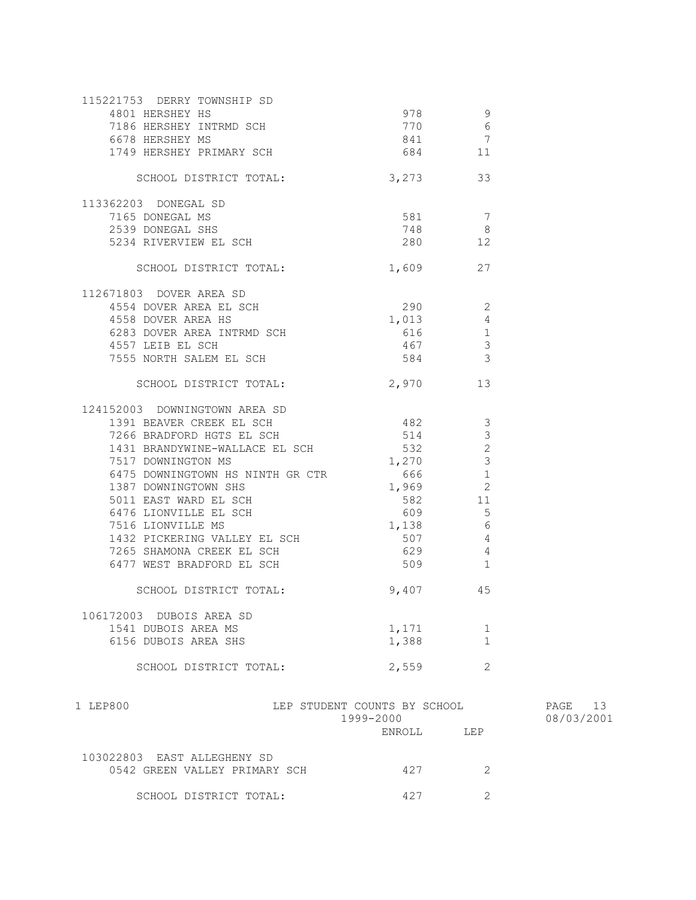|                                                        | ENROLL                                    | LEP                              |
|--------------------------------------------------------|-------------------------------------------|----------------------------------|
| 1 LEP800                                               | LEP STUDENT COUNTS BY SCHOOL<br>1999-2000 |                                  |
| SCHOOL DISTRICT TOTAL:                                 | 2,559                                     | 2                                |
| 6156 DUBOIS AREA SHS                                   | 1,388                                     | 1                                |
| 1541 DUBOIS AREA MS                                    | 1,171                                     | 1                                |
| 106172003 DUBOIS AREA SD                               |                                           |                                  |
| SCHOOL DISTRICT TOTAL:                                 | 9,407 45                                  |                                  |
| 6477 WEST BRADFORD EL SCH                              | 509                                       | $\mathbf{1}$                     |
| 7265 SHAMONA CREEK EL SCH                              | 629                                       | $\overline{4}$                   |
| 1432 PICKERING VALLEY EL SCH                           | 507                                       | $\overline{4}$                   |
| 7516 LIONVILLE MS                                      | 1,138                                     | - 6                              |
| 6476 LIONVILLE EL SCH                                  | 609 11                                    | 5                                |
| 5011 EAST WARD EL SCH                                  | 582 11                                    |                                  |
| 1387 DOWNINGTOWN SHS                                   | $1,969$ 2                                 |                                  |
| 7517 DOWNINGTON MS<br>6475 DOWNINGTOWN HS NINTH GR CTR | 1,270<br>666                              | $\mathbf{1}$                     |
| 1431 BRANDYWINE-WALLACE EL SCH                         | 532                                       | $\mathcal{S}$                    |
| 7266 BRADFORD HGTS EL SCH                              | 514                                       | $\mathfrak{Z}$<br>$\overline{c}$ |
| 1391 BEAVER CREEK EL SCH                               | 482                                       | 3                                |
| 124152003 DOWNINGTOWN AREA SD                          |                                           |                                  |
| SCHOOL DISTRICT TOTAL:                                 | 2,970 13                                  |                                  |
| 7555 NORTH SALEM EL SCH                                | 584                                       | $\mathcal{S}$                    |
| 4557 LEIB EL SCH                                       | 467                                       | $\mathcal{E}$                    |
| 6283 DOVER AREA INTRMD SCH                             | 616                                       | $\mathbf{1}$                     |
| 4558 DOVER AREA HS                                     | 1,013                                     | $\overline{4}$                   |
| 4554 DOVER AREA EL SCH                                 | 290                                       | -2                               |
| 112671803 DOVER AREA SD                                |                                           |                                  |
| SCHOOL DISTRICT TOTAL:                                 | 1,609 27                                  |                                  |
| 5234 RIVERVIEW EL SCH                                  | 280                                       | 12                               |
| 2539 DONEGAL SHS                                       | 748                                       | 8                                |
| 7165 DONEGAL MS                                        | 581                                       | 7                                |
| 113362203 DONEGAL SD                                   |                                           |                                  |
| SCHOOL DISTRICT TOTAL:                                 | 3,273 33                                  |                                  |
| 1749 HERSHEY PRIMARY SCH                               | 684 11                                    |                                  |
| 6678 HERSHEY MS                                        | 841                                       | $\overline{7}$                   |
| 7186 HERSHEY INTRMD SCH                                | 770                                       | 6                                |
| 4801 HERSHEY HS                                        | 978                                       | 9                                |
| 115221753 DERRY TOWNSHIP SD                            |                                           |                                  |

PAGE 13 08/03/2001

| 103022803 EAST ALLEGHENY SD   |     |  |
|-------------------------------|-----|--|
| 0542 GREEN VALLEY PRIMARY SCH | 427 |  |
| SCHOOL DISTRICT TOTAL:        | 427 |  |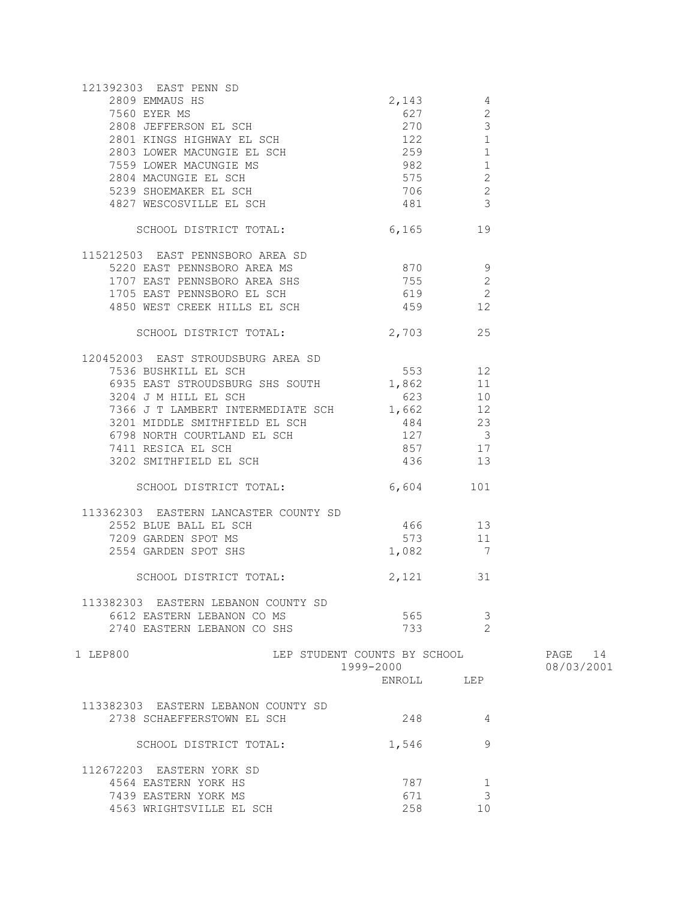| 121392303 EAST PENN SD<br>392303 EAST PENN SD<br>2809 EMMAUS HS<br>7560 EYER MS<br>2808 JEFFERSON EL SCH<br>2801 KINGS HIGHWAY EL SCH<br>2803 LOWER MACUNGIE EL SCH<br>7559 LOWER MACUNGIE MS<br>2804 MACUNGIE EL SCH<br>2804 MACUNGIE EL SCH<br>575 2<br>5239 SHOEMAKER EL |                              |                |            |
|-----------------------------------------------------------------------------------------------------------------------------------------------------------------------------------------------------------------------------------------------------------------------------|------------------------------|----------------|------------|
|                                                                                                                                                                                                                                                                             |                              |                |            |
|                                                                                                                                                                                                                                                                             |                              |                |            |
|                                                                                                                                                                                                                                                                             |                              |                |            |
|                                                                                                                                                                                                                                                                             |                              |                |            |
|                                                                                                                                                                                                                                                                             |                              |                |            |
|                                                                                                                                                                                                                                                                             |                              |                |            |
|                                                                                                                                                                                                                                                                             |                              |                |            |
|                                                                                                                                                                                                                                                                             |                              |                |            |
|                                                                                                                                                                                                                                                                             |                              |                |            |
|                                                                                                                                                                                                                                                                             |                              |                |            |
| SCHOOL DISTRICT TOTAL:                                                                                                                                                                                                                                                      | 6,165 19                     |                |            |
|                                                                                                                                                                                                                                                                             |                              |                |            |
| 115212503 EAST PENNSBORO AREA SD<br>5220 EAST PENNSBORO AREA MS<br>1707 EAST PENNSBORO AREA SHS<br>1705 EAST PENNSBORO EL SCH 619 2                                                                                                                                         |                              |                |            |
|                                                                                                                                                                                                                                                                             |                              |                |            |
|                                                                                                                                                                                                                                                                             |                              |                |            |
|                                                                                                                                                                                                                                                                             |                              |                |            |
| 4850 WEST CREEK HILLS EL SCH 459 12                                                                                                                                                                                                                                         |                              |                |            |
|                                                                                                                                                                                                                                                                             |                              |                |            |
| SCHOOL DISTRICT TOTAL: 2,703 25                                                                                                                                                                                                                                             |                              |                |            |
|                                                                                                                                                                                                                                                                             |                              |                |            |
|                                                                                                                                                                                                                                                                             |                              |                |            |
|                                                                                                                                                                                                                                                                             |                              |                |            |
|                                                                                                                                                                                                                                                                             |                              |                |            |
| 7366 J T LAMBERT INTERMEDIATE SCH 1,662 12                                                                                                                                                                                                                                  |                              |                |            |
|                                                                                                                                                                                                                                                                             |                              |                |            |
|                                                                                                                                                                                                                                                                             |                              |                |            |
|                                                                                                                                                                                                                                                                             |                              |                |            |
| 3201 MIDDLE SMITHFIELD EL SCH<br>6798 NORTH COURTLAND EL SCH<br>7411 RESICA EL SCH 857 17<br>3202 SMITHFIELD EL SCH 857 17<br>3202 SMITHFIELD EL SCH 436 13                                                                                                                 |                              |                |            |
|                                                                                                                                                                                                                                                                             |                              |                |            |
| SCHOOL DISTRICT TOTAL:                                                                                                                                                                                                                                                      | 6,604 101                    |                |            |
|                                                                                                                                                                                                                                                                             |                              |                |            |
|                                                                                                                                                                                                                                                                             |                              |                |            |
|                                                                                                                                                                                                                                                                             |                              |                |            |
| $\begin{tabular}{lllllllllllll} 113362303 & EASTERN LANCASTER COUNTY SD \\ 2552 BLUE BALL EL SCH & 466 & 13 \\ 7209 GARDEN SPOT MS & 573 & 11 \\ 2554 GARDEN SPOT SHS & & & 1,082 & 7 \\ \end{tabular}$                                                                     |                              |                |            |
| SCHOOL DISTRICT TOTAL: 2,121 31                                                                                                                                                                                                                                             |                              |                |            |
|                                                                                                                                                                                                                                                                             |                              |                |            |
| 113382303 EASTERN LEBANON COUNTY SD                                                                                                                                                                                                                                         |                              |                |            |
| 6612 EASTERN LEBANON CO MS                                                                                                                                                                                                                                                  | 565                          | 3              |            |
| 2740 EASTERN LEBANON CO SHS                                                                                                                                                                                                                                                 | 733                          | $\overline{2}$ |            |
| 1 LEP800                                                                                                                                                                                                                                                                    | LEP STUDENT COUNTS BY SCHOOL |                | PAGE 14    |
|                                                                                                                                                                                                                                                                             | 1999-2000                    |                | 08/03/2001 |
|                                                                                                                                                                                                                                                                             | ENROLL LEP                   |                |            |
|                                                                                                                                                                                                                                                                             |                              |                |            |
| 113382303 EASTERN LEBANON COUNTY SD                                                                                                                                                                                                                                         |                              |                |            |
| 2738 SCHAEFFERSTOWN EL SCH                                                                                                                                                                                                                                                  | 248                          | 4              |            |
| SCHOOL DISTRICT TOTAL:                                                                                                                                                                                                                                                      | 1,546                        | 9              |            |
| 112672203 EASTERN YORK SD                                                                                                                                                                                                                                                   |                              |                |            |
| 4564 EASTERN YORK HS                                                                                                                                                                                                                                                        | 787                          | $\mathbf 1$    |            |
| 7439 EASTERN YORK MS                                                                                                                                                                                                                                                        | 671                          | 3              |            |
| 4563 WRIGHTSVILLE EL SCH                                                                                                                                                                                                                                                    | 258                          | 10             |            |
|                                                                                                                                                                                                                                                                             |                              |                |            |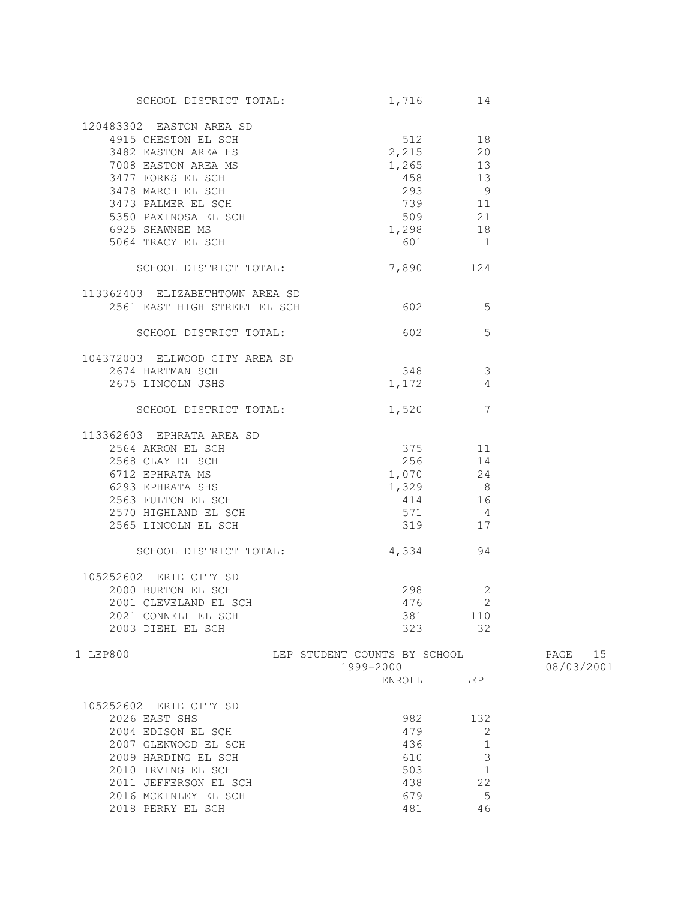| SCHOOL DISTRICT TOTAL:                                                                                                             | 1,716                                     | 14                       |                       |
|------------------------------------------------------------------------------------------------------------------------------------|-------------------------------------------|--------------------------|-----------------------|
| 120483302 EASTON AREA SD                                                                                                           |                                           |                          |                       |
| 4915 CHESTON EL SCH                                                                                                                |                                           | 512 18                   |                       |
| 3482 EASTON AREA HS                                                                                                                | 2,215                                     | 20                       |                       |
|                                                                                                                                    | 1,265 13                                  |                          |                       |
|                                                                                                                                    |                                           |                          |                       |
|                                                                                                                                    | 458 13                                    |                          |                       |
| 3482 EASTON AREA HS<br>7008 EASTON AREA MS<br>3477 FORKS EL SCH<br>3478 MARCH EL SCH<br>3473 PALMER EL SCH<br>5350 PAXINOSA EL SCH | 293 9                                     |                          |                       |
|                                                                                                                                    | 739 11                                    |                          |                       |
|                                                                                                                                    | 509                                       | 21                       |                       |
| 6925 SHAWNEE MS                                                                                                                    | $509$ 21<br>1,298 18                      |                          |                       |
| 5064 TRACY EL SCH                                                                                                                  | 601                                       | $\overline{1}$           |                       |
| SCHOOL DISTRICT TOTAL:                                                                                                             | 7,890 124                                 |                          |                       |
| 113362403 ELIZABETHTOWN AREA SD                                                                                                    |                                           |                          |                       |
| 2561 EAST HIGH STREET EL SCH                                                                                                       | $602$ 5                                   |                          |                       |
| SCHOOL DISTRICT TOTAL:                                                                                                             | 602 300                                   | 5                        |                       |
|                                                                                                                                    |                                           |                          |                       |
| 104372003 ELLWOOD CITY AREA SD<br>2674 HARTMAN SCH                                                                                 | 348                                       | $\overline{\phantom{a}}$ |                       |
| 2675 LINCOLN JSHS                                                                                                                  | 1,172                                     | 4                        |                       |
|                                                                                                                                    |                                           |                          |                       |
| SCHOOL DISTRICT TOTAL:                                                                                                             | 1,520                                     | $\overline{7}$           |                       |
| 113362603 EPHRATA AREA SD                                                                                                          |                                           |                          |                       |
| 2564 AKRON EL SCH                                                                                                                  | 375                                       | 11                       |                       |
| 2568 CLAY EL SCH                                                                                                                   | 256                                       | 14                       |                       |
| 6712 EPHRATA MS                                                                                                                    |                                           |                          |                       |
| 6293 EPHRATA SHS                                                                                                                   | $1,070$ 24<br>$1,329$ 8                   |                          |                       |
| 2563 FULTON EL SCH                                                                                                                 | $414$ 16                                  |                          |                       |
| 2570 HIGHLAND EL SCH                                                                                                               | 571 4                                     |                          |                       |
|                                                                                                                                    |                                           |                          |                       |
| 2565 LINCOLN EL SCH                                                                                                                | 319 17                                    |                          |                       |
| SCHOOL DISTRICT TOTAL:                                                                                                             | 4,334                                     | 94                       |                       |
| 105252602 ERIE CITY SD                                                                                                             |                                           |                          |                       |
| 2000 BURTON EL SCH                                                                                                                 | 298                                       | $\mathbf{2}$             |                       |
| 2001 CLEVELAND EL SCH                                                                                                              | 476                                       | $\overline{\phantom{0}}$ |                       |
| 2021 CONNELL EL SCH                                                                                                                |                                           | 381 110                  |                       |
| 2003 DIEHL EL SCH                                                                                                                  |                                           | 323 32                   |                       |
| 1 LEP800                                                                                                                           | LEP STUDENT COUNTS BY SCHOOL<br>1999-2000 |                          | PAGE 15<br>08/03/2001 |
|                                                                                                                                    | ENROLL                                    | LEP                      |                       |
| 105252602 ERIE CITY SD                                                                                                             |                                           |                          |                       |
|                                                                                                                                    |                                           |                          |                       |
| 2026 EAST SHS                                                                                                                      | 982                                       | 132                      |                       |
| 2004 EDISON EL SCH                                                                                                                 | 479                                       | 2                        |                       |
| 2007 GLENWOOD EL SCH                                                                                                               | 436                                       | $\mathbf 1$              |                       |
| 2009 HARDING EL SCH                                                                                                                | 610                                       | $\mathcal{S}$            |                       |
| 2010 IRVING EL SCH                                                                                                                 | 503                                       | $\mathbf{1}$             |                       |
| 2011 JEFFERSON EL SCH                                                                                                              | 438                                       | 22                       |                       |
| 2016 MCKINLEY EL SCH                                                                                                               | 679                                       | 5                        |                       |
| 2018 PERRY EL SCH                                                                                                                  | 481                                       | 46                       |                       |
|                                                                                                                                    |                                           |                          |                       |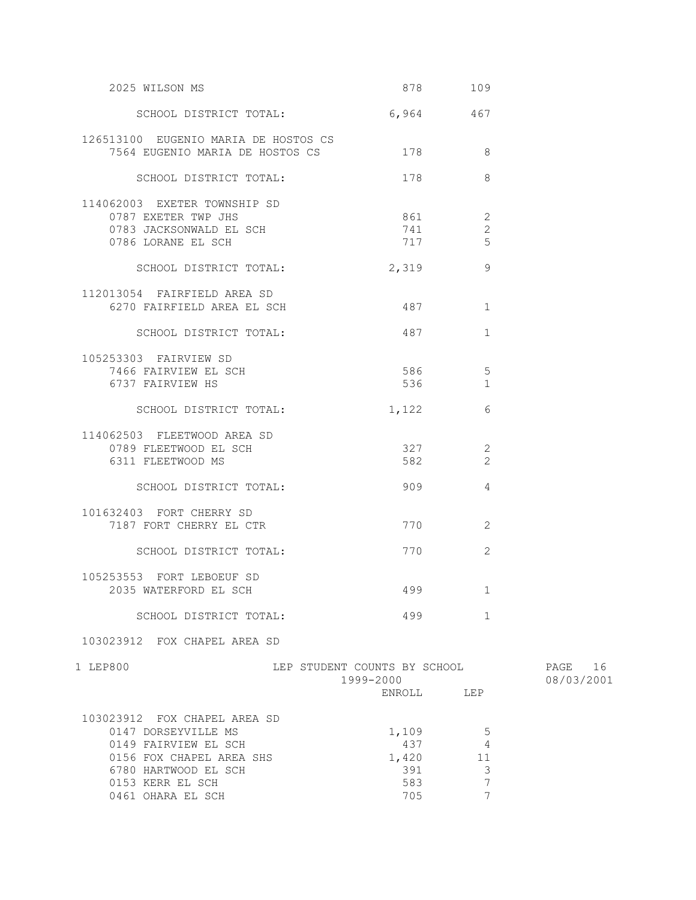| 2025 WILSON MS                                                          | 878 109                                                                                              |                |            |
|-------------------------------------------------------------------------|------------------------------------------------------------------------------------------------------|----------------|------------|
| SCHOOL DISTRICT TOTAL:                                                  | 6,964 467                                                                                            |                |            |
| 126513100 EUGENIO MARIA DE HOSTOS CS<br>7564 EUGENIO MARIA DE HOSTOS CS | 178                                                                                                  | 8              |            |
| SCHOOL DISTRICT TOTAL:                                                  | 178                                                                                                  | 8              |            |
| 114062003 EXETER TOWNSHIP SD                                            |                                                                                                      |                |            |
| 0787 EXETER TWP JHS                                                     | 861 86                                                                                               | 2              |            |
| 0783 JACKSONWALD EL SCH                                                 | 741                                                                                                  | $\overline{2}$ |            |
| 0786 LORANE EL SCH                                                      | 717                                                                                                  | 5              |            |
| SCHOOL DISTRICT TOTAL:                                                  | 2,319                                                                                                | 9              |            |
| 112013054 FAIRFIELD AREA SD                                             |                                                                                                      |                |            |
| 6270 FAIRFIELD AREA EL SCH                                              | 487 — 187                                                                                            | 1              |            |
| SCHOOL DISTRICT TOTAL:                                                  | 487   1890   1890   1890   1890   1890   1890   1891   1891   1891   1892   1892   1892   1892   189 | $\mathbf{1}$   |            |
| 105253303 FAIRVIEW SD                                                   |                                                                                                      |                |            |
| 7466 FAIRVIEW EL SCH                                                    | 586 38                                                                                               | 5              |            |
| 6737 FAIRVIEW HS                                                        | 536                                                                                                  | $\mathbf{1}$   |            |
| SCHOOL DISTRICT TOTAL:                                                  | 1,122                                                                                                | 6              |            |
| 114062503 FLEETWOOD AREA SD                                             |                                                                                                      |                |            |
| 0789 FLEETWOOD EL SCH                                                   | 327 — 100                                                                                            | $\overline{2}$ |            |
| 6311 FLEETWOOD MS                                                       | 582 7                                                                                                | $\overline{2}$ |            |
| SCHOOL DISTRICT TOTAL:                                                  | 909                                                                                                  | $\overline{4}$ |            |
| 101632403 FORT CHERRY SD                                                |                                                                                                      |                |            |
| 7187 FORT CHERRY EL CTR                                                 | 770 — 200                                                                                            | 2              |            |
| SCHOOL DISTRICT TOTAL:                                                  | 770 — 200                                                                                            | $\overline{c}$ |            |
| 105253553 FORT LEBOEUF SD                                               |                                                                                                      |                |            |
| 2035 WATERFORD EL SCH                                                   | 499                                                                                                  | $\mathbf{1}$   |            |
| SCHOOL DISTRICT TOTAL:                                                  | 499                                                                                                  | $\mathbf{1}$   |            |
| 103023912 FOX CHAPEL AREA SD                                            |                                                                                                      |                |            |
| 1 LEP800                                                                | LEP STUDENT COUNTS BY SCHOOL                                                                         |                | 16<br>PAGE |
|                                                                         | 1999-2000                                                                                            |                | 08/03/2001 |
|                                                                         | ENROLL                                                                                               | LEP            |            |
|                                                                         |                                                                                                      |                |            |

 103023912 FOX CHAPEL AREA SD 0147 DORSEYVILLE MS 0149 FAIRVIEW EL SCH 0156 FOX CHAPEL AREA SHS 6780 HARTWOOD EL SCH<br>0153 KERR EL SCH

0461 OHARA EL SCH

| 1,109 | 5. |
|-------|----|
| 437   |    |
| 1,420 | 11 |
| 391   | 3  |
| 583   |    |
| 705   |    |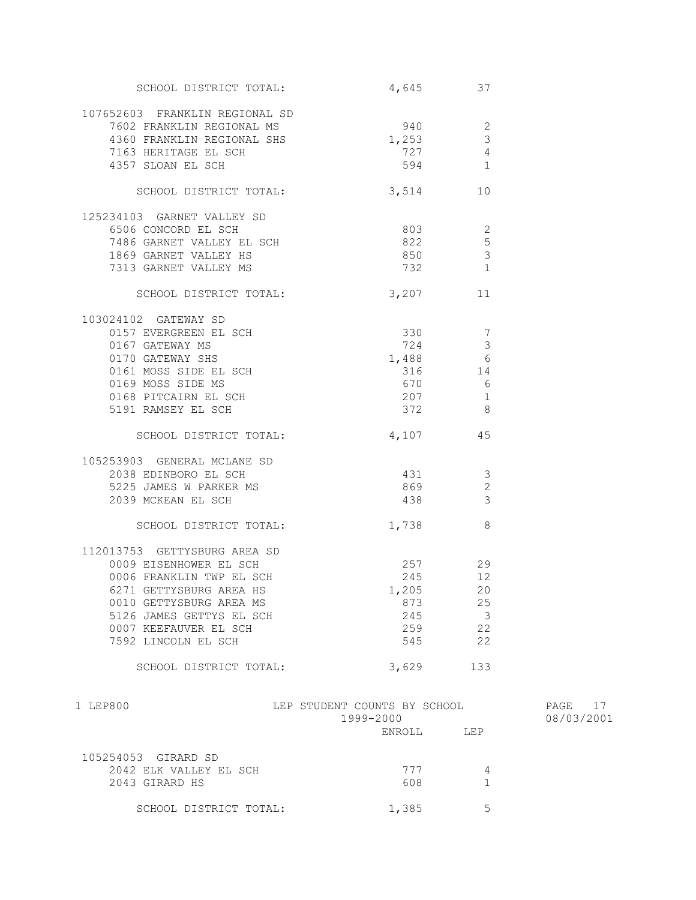| SCHOOL DISTRICT TOTAL:                                                                                                          | 4,645 37                                  |                |                          |
|---------------------------------------------------------------------------------------------------------------------------------|-------------------------------------------|----------------|--------------------------|
| 107652603 FRANKLIN REGIONAL SD                                                                                                  |                                           |                |                          |
| 7602 FRANKLIN REGIONAL MS                                                                                                       | $940$ 2                                   |                |                          |
|                                                                                                                                 | 1,253                                     | $\mathfrak{Z}$ |                          |
| 4360 FRANKLIN REGIONAL SHS<br>7163 HERITAGE EL SCH<br>4357 SIONN EL SOU                                                         | 727                                       | $\overline{4}$ |                          |
| 4357 SLOAN EL SCH                                                                                                               | 594                                       | $\overline{1}$ |                          |
| SCHOOL DISTRICT TOTAL: 3,514 10                                                                                                 |                                           |                |                          |
| 125234103 GARNET VALLEY SD                                                                                                      |                                           |                |                          |
| الحامل المستقرر 1486 GARNET VALLEY EL SCH<br>1869 GARNET VALLEY EL SCH                                                          | 803 000                                   | 2              |                          |
|                                                                                                                                 | 822                                       | 5              |                          |
|                                                                                                                                 | 850                                       | $\mathcal{S}$  |                          |
| 7313 GARNET VALLEY MS                                                                                                           | 732                                       | $\mathbf{1}$   |                          |
| SCHOOL DISTRICT TOTAL:                                                                                                          | $3,207$ 11                                |                |                          |
| 103024102 GATEWAY SD                                                                                                            |                                           |                |                          |
| 0157 EVERGREEN EL SCH                                                                                                           | $330 7$                                   |                |                          |
|                                                                                                                                 | 724                                       | $\mathcal{E}$  |                          |
|                                                                                                                                 | $1,488$ 6                                 |                |                          |
|                                                                                                                                 | 316                                       | 14             |                          |
|                                                                                                                                 | 670                                       | 6              |                          |
|                                                                                                                                 | 207                                       | $\overline{1}$ |                          |
| 0167 GATEWAY MS<br>0170 GATEWAY SHS<br>0161 MOSS SIDE EL SCH<br>0169 MOSS SIDE MS<br>0168 PITCAIRN EL SCH<br>5191 RAMSEY EL SCH | 372                                       | 8              |                          |
| SCHOOL DISTRICT TOTAL: 4,107 45                                                                                                 |                                           |                |                          |
| 105253903 GENERAL MCLANE SD                                                                                                     |                                           |                |                          |
| 2038 EDINBORO EL SCH<br>5225 IAMES M PARKER MS                                                                                  | 431                                       | $\mathcal{S}$  |                          |
| 5225 JAMES W PARKER MS                                                                                                          | 869                                       | $\overline{c}$ |                          |
| 2039 MCKEAN EL SCH                                                                                                              | 438                                       | 3              |                          |
| SCHOOL DISTRICT TOTAL:                                                                                                          | 1,738                                     | 8              |                          |
| 112013753 GETTYSBURG AREA SD                                                                                                    |                                           |                |                          |
| 0009 EISENHOWER EL SCH                                                                                                          | 257 29                                    |                |                          |
| 0006 FRANKLIN TWP EL SCH                                                                                                        | 245                                       | 12             |                          |
| 6271 GETTYSBURG AREA HS                                                                                                         | 1,205                                     | 20             |                          |
| 0010 GETTYSBURG AREA MS                                                                                                         | 873                                       | 25             |                          |
| 5126 JAMES GETTYS EL SCH                                                                                                        | 245                                       | $\mathcal{S}$  |                          |
| 0007 KEEFAUVER EL SCH                                                                                                           | 259                                       | 22             |                          |
| 7592 LINCOLN EL SCH                                                                                                             | 545                                       | 22             |                          |
| SCHOOL DISTRICT TOTAL:                                                                                                          | 3,629                                     | 133            |                          |
|                                                                                                                                 |                                           |                |                          |
| 1 LEP800                                                                                                                        | LEP STUDENT COUNTS BY SCHOOL<br>1999-2000 |                | PAGE<br>17<br>08/03/2001 |
|                                                                                                                                 | <b>ENROLL</b>                             | LEP            |                          |
|                                                                                                                                 |                                           |                |                          |

| 105254053 GIRARD SD<br>2042 ELK VALLEY EL SCH<br>2043 GIRARD HS | 777<br>608 |   |  |
|-----------------------------------------------------------------|------------|---|--|
| SCHOOL DISTRICT TOTAL:                                          | 1,385      | 5 |  |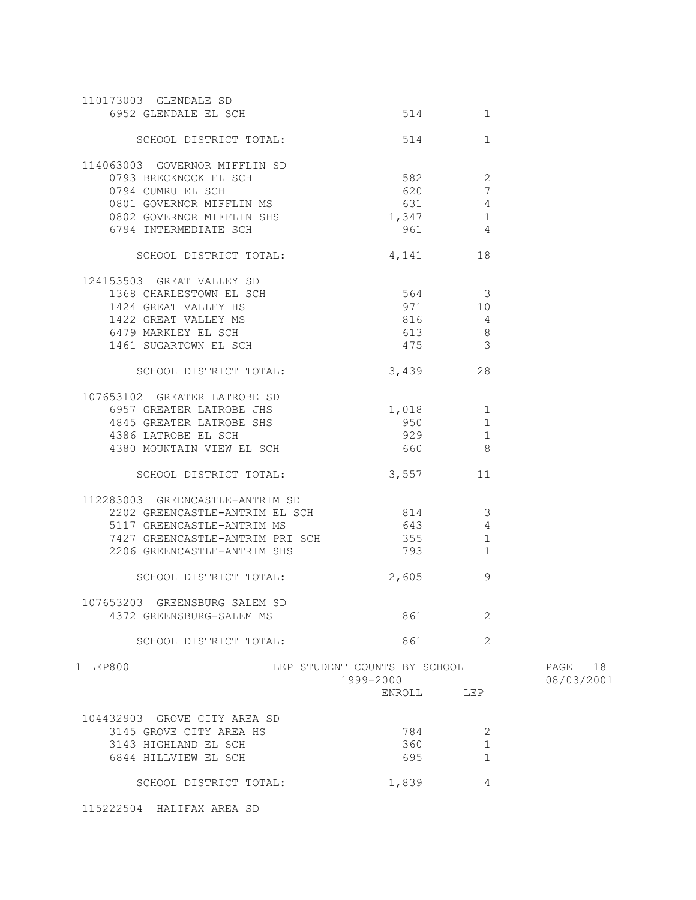| 110173003 GLENDALE SD                              |                              |                                |            |
|----------------------------------------------------|------------------------------|--------------------------------|------------|
| 6952 GLENDALE EL SCH                               |                              | 514<br>1                       |            |
| SCHOOL DISTRICT TOTAL:                             | 514                          | 1                              |            |
| 114063003 GOVERNOR MIFFLIN SD                      |                              |                                |            |
| 0793 BRECKNOCK EL SCH                              | 582                          | $\overline{2}$                 |            |
| 0794 CUMRU EL SCH                                  | 620                          | $7\phantom{.0}$                |            |
| 0801 GOVERNOR MIFFLIN MS                           | 631                          | $\overline{4}$                 |            |
| 0802 GOVERNOR MIFFLIN SHS                          | 1,347                        | $\mathbf{1}$                   |            |
| 6794 INTERMEDIATE SCH                              | 961                          | $\overline{4}$                 |            |
| SCHOOL DISTRICT TOTAL: 4,141                       |                              | 18                             |            |
| 124153503 GREAT VALLEY SD                          |                              |                                |            |
| ر المسلمة العامة 53505.<br>1368 CHARLESTOWN EL SCH |                              | 564 3                          |            |
| 1424 GREAT VALLEY HS                               | 971                          | $10$                           |            |
| 1422 GREAT VALLEY MS                               | 816                          | $\overline{4}$                 |            |
| 6479 MARKLEY EL SCH                                | 613                          | 8 <sup>8</sup>                 |            |
| 1461 SUGARTOWN EL SCH                              | 475                          | $\overline{3}$                 |            |
| SCHOOL DISTRICT TOTAL:                             | 3,439                        | 28                             |            |
| 107653102 GREATER LATROBE SD                       |                              |                                |            |
| 6957 GREATER LATROBE JHS                           |                              | $1,018$ 1                      |            |
| 4845 GREATER LATROBE SHS                           | 950                          | $\mathbf{1}$                   |            |
| 4386 LATROBE EL SCH                                | 929                          | $\mathbf{1}$                   |            |
| 4380 MOUNTAIN VIEW EL SCH                          | 660                          | $\overline{\phantom{0}}$       |            |
| SCHOOL DISTRICT TOTAL:                             |                              | 3,557 11                       |            |
| 112283003 GREENCASTLE-ANTRIM SD                    |                              |                                |            |
| 2202 GREENCASTLE-ANTRIM EL SCH                     |                              | 814<br>$\overline{\mathbf{3}}$ |            |
| 5117 GREENCASTLE-ANTRIM MS                         | 643                          | $\overline{4}$                 |            |
| 7427 GREENCASTLE-ANTRIM PRI SCH                    | 355                          | $\mathbf{1}$                   |            |
| 2206 GREENCASTLE-ANTRIM SHS                        | 793                          | $\mathbf{1}$                   |            |
| SCHOOL DISTRICT TOTAL:                             | 2,605                        | 9                              |            |
|                                                    |                              |                                |            |
| 107653203 GREENSBURG SALEM SD                      |                              |                                |            |
| 4372 GREENSBURG-SALEM MS                           | 861                          | 2                              |            |
| SCHOOL DISTRICT TOTAL:                             | 861                          | $\overline{2}$                 |            |
| 1 LEP800                                           | LEP STUDENT COUNTS BY SCHOOL |                                | PAGE 18    |
|                                                    | 1999-2000                    |                                | 08/03/2001 |
|                                                    | ENROLL                       | LEP                            |            |
| 104432903 GROVE CITY AREA SD                       |                              |                                |            |
| 3145 GROVE CITY AREA HS                            | 784                          | 2                              |            |
| 3143 HIGHLAND EL SCH                               | 360                          | $\mathbf{1}$                   |            |
| 6844 HILLVIEW EL SCH                               | 695                          | $\mathbf{1}$                   |            |
| SCHOOL DISTRICT TOTAL:                             | 1,839                        | 4                              |            |
|                                                    |                              |                                |            |

115222504 HALIFAX AREA SD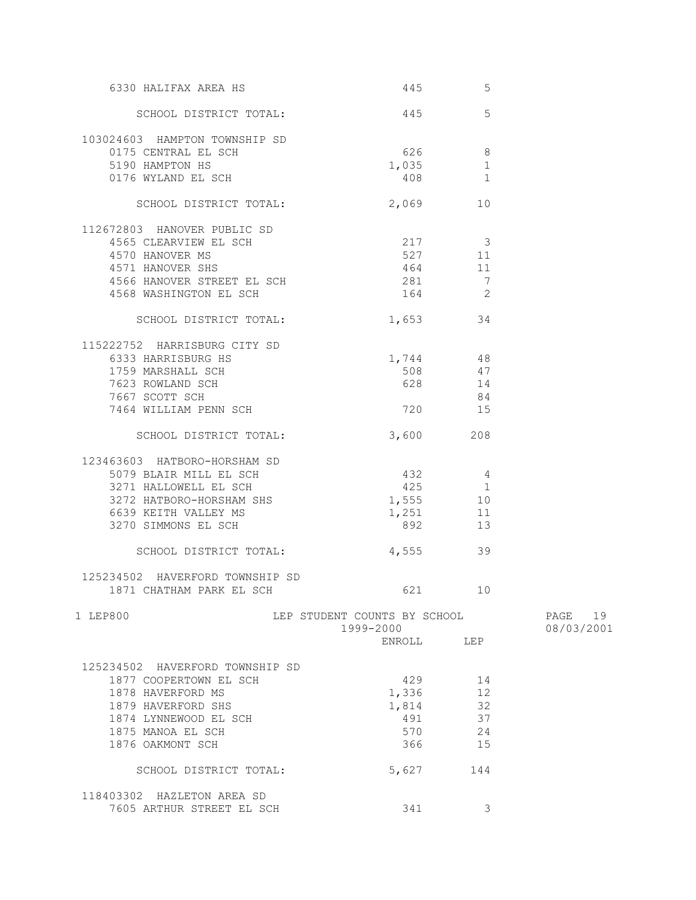| 6330 HALIFAX AREA HS            | 445                                       | 5              |                       |
|---------------------------------|-------------------------------------------|----------------|-----------------------|
| SCHOOL DISTRICT TOTAL:          | 445                                       | 5              |                       |
| 103024603 HAMPTON TOWNSHIP SD   |                                           |                |                       |
| 0175 CENTRAL EL SCH             | 626 100                                   | 8              |                       |
| 5190 HAMPTON HS                 | 1,035                                     | 1              |                       |
| 0176 WYLAND EL SCH              | 408                                       | 1              |                       |
| SCHOOL DISTRICT TOTAL:          | 2,069                                     | 10             |                       |
| 112672803 HANOVER PUBLIC SD     |                                           |                |                       |
| 4565 CLEARVIEW EL SCH           | 217 3                                     |                |                       |
| 4570 HANOVER MS                 | 527 11                                    |                |                       |
| 4571 HANOVER SHS                | 464                                       | -11            |                       |
| 4566 HANOVER STREET EL SCH      | 281                                       | 7              |                       |
| 4568 WASHINGTON EL SCH          | 164                                       | $\overline{2}$ |                       |
| SCHOOL DISTRICT TOTAL:          | 1,653 34                                  |                |                       |
| 115222752 HARRISBURG CITY SD    |                                           |                |                       |
| 6333 HARRISBURG HS              | 1,744 48                                  |                |                       |
| 1759 MARSHALL SCH               | 508 47                                    |                |                       |
| 7623 ROWLAND SCH                | 628                                       | 14             |                       |
| 7667 SCOTT SCH                  |                                           | 84             |                       |
| 7464 WILLIAM PENN SCH           | 720                                       | 15             |                       |
| SCHOOL DISTRICT TOTAL:          | 3,600                                     | 208            |                       |
| 123463603 HATBORO-HORSHAM SD    |                                           |                |                       |
| 5079 BLAIR MILL EL SCH          | 432 4                                     |                |                       |
| 3271 HALLOWELL EL SCH           | 425                                       | $\overline{1}$ |                       |
| 3272 HATBORO-HORSHAM SHS        | 1,555 10                                  |                |                       |
| 6639 KEITH VALLEY MS            | 1,251                                     | 11             |                       |
| 3270 SIMMONS EL SCH             | 892                                       | 13             |                       |
| SCHOOL DISTRICT TOTAL:          | 4,555                                     | 39             |                       |
| 125234502 HAVERFORD TOWNSHIP SD |                                           |                |                       |
| 1871 CHATHAM PARK EL SCH        | 621 — 100                                 | 10             |                       |
| 1 LEP800                        | LEP STUDENT COUNTS BY SCHOOL<br>1999-2000 |                | PAGE 19<br>08/03/2001 |
|                                 | ENROLL LEP                                |                |                       |
| 125234502 HAVERFORD TOWNSHIP SD |                                           |                |                       |
| 1877 COOPERTOWN EL SCH          | 429                                       | 14             |                       |
| 1878 HAVERFORD MS               | 1,336                                     | 12             |                       |
| 1879 HAVERFORD SHS              | 1,814                                     | 32             |                       |
| 1874 LYNNEWOOD EL SCH           | 491                                       | 37             |                       |
| 1875 MANOA EL SCH               | 570                                       | 24             |                       |
| 1876 OAKMONT SCH                | 366                                       | 15             |                       |
| SCHOOL DISTRICT TOTAL:          | 5,627                                     | 144            |                       |
| 118403302 HAZLETON AREA SD      |                                           |                |                       |
| 7605 ARTHUR STREET EL SCH       | 341                                       | 3              |                       |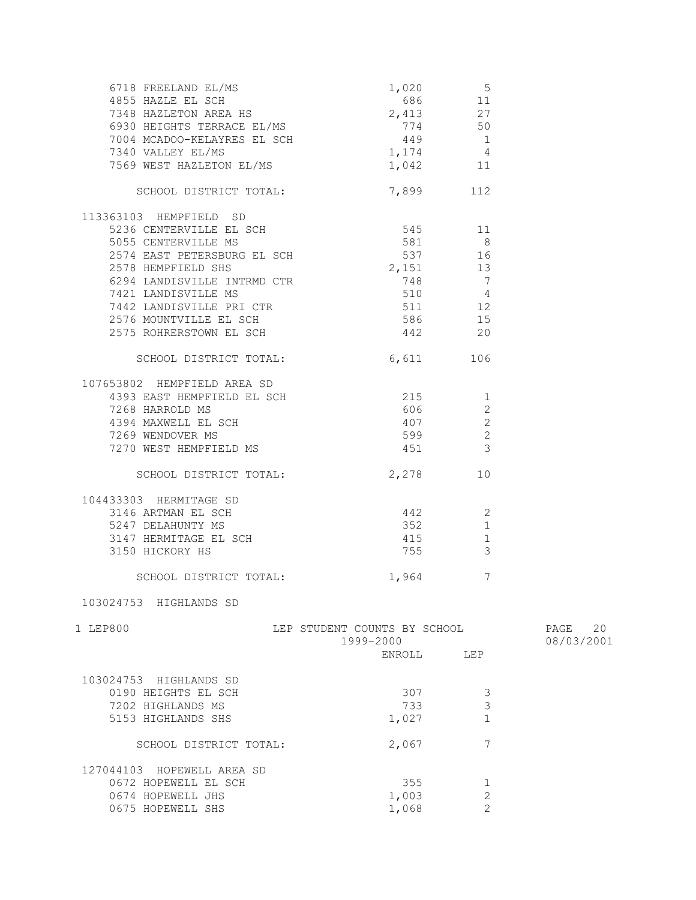| 6718 FREELAND EL/MS<br>4855 HAZLE EL SCH<br>7348 HAZLETON AREA HS<br>6930 HEIGHTS TERRACE EL/MS<br>7004 MCADOO-KELAYRES EL SCH<br>7340 VALLEY EL/MS<br>7340 VALLEY EL/MS<br>7340 VALLEY EL/MS<br>7340 VALLEY EL/MS<br>7340 1,174<br>7560 11<br>7569 WEST HAZLETON EL/MS                                    | 1,042 11                                                |                                                                                       |                       |
|------------------------------------------------------------------------------------------------------------------------------------------------------------------------------------------------------------------------------------------------------------------------------------------------------------|---------------------------------------------------------|---------------------------------------------------------------------------------------|-----------------------|
| SCHOOL DISTRICT TOTAL:                                                                                                                                                                                                                                                                                     | 7,899 112                                               |                                                                                       |                       |
| 113363103 HEMPFIELD SD<br>5236 CENTERVILLE EL SCH<br>5055 CENTERVILLE MS<br>2574 EAST PETERSBURG EL SCH<br>2578 HEMPFIELD SHS<br>6294 LANDISVILLE INTRMD CTR<br>1442 LANDISVILLE PRI CTR<br>2576 MOUNTVILLE EL SCH<br>2575 ROHRERSTOWN EL SCH<br>2575 ROHRERSTOWN EL SCH<br>2575 ROHRERSTOWN EL SCH<br>267 | 545 11<br>$581$ 8<br>537 16<br>2,151 13<br>748 7        |                                                                                       |                       |
| SCHOOL DISTRICT TOTAL: 6,611                                                                                                                                                                                                                                                                               |                                                         | 106                                                                                   |                       |
| 107653802 HEMPFIELD AREA SD<br>$4393$ EAST HEMPFIELD EL SCH $215$ 215<br>7268 HARROLD MS<br>4394 MAXWELL EL SCH<br>7269 WENDOVER MS<br>7270 WEST HEMPFIELD MS                                                                                                                                              | 606<br>407<br>599<br>451                                | $\mathbf{2}$<br>$\overline{c}$<br>$\overline{\mathbf{c}}$<br>$\overline{\phantom{a}}$ |                       |
| SCHOOL DISTRICT TOTAL:                                                                                                                                                                                                                                                                                     | 2,278                                                   | 10                                                                                    |                       |
| 104433303 HERMITAGE SD<br>3150 HICKORY HS                                                                                                                                                                                                                                                                  | 755                                                     | 2<br>1<br>1<br>3                                                                      |                       |
| SCHOOL DISTRICT TOTAL: 1,964                                                                                                                                                                                                                                                                               |                                                         | 7                                                                                     |                       |
| 103024753 HIGHLANDS SD                                                                                                                                                                                                                                                                                     |                                                         |                                                                                       |                       |
| 1 LEP800                                                                                                                                                                                                                                                                                                   | LEP STUDENT COUNTS BY SCHOOL<br>1999-2000<br>ENROLL LEP |                                                                                       | PAGE 20<br>08/03/2001 |
| 103024753 HIGHLANDS SD<br>0190 HEIGHTS EL SCH<br>7202 HIGHLANDS MS<br>5153 HIGHLANDS SHS                                                                                                                                                                                                                   | 307<br>733<br>1,027                                     | 3<br>3<br>$\mathbf{1}$                                                                |                       |
| SCHOOL DISTRICT TOTAL:                                                                                                                                                                                                                                                                                     | 2,067                                                   | 7                                                                                     |                       |
| 127044103 HOPEWELL AREA SD<br>0672 HOPEWELL EL SCH<br>0674 HOPEWELL JHS<br>0675 HOPEWELL SHS                                                                                                                                                                                                               | 355<br>1,003<br>1,068                                   | 1<br>$\mathbf{2}$<br>$\mathfrak{D}$                                                   |                       |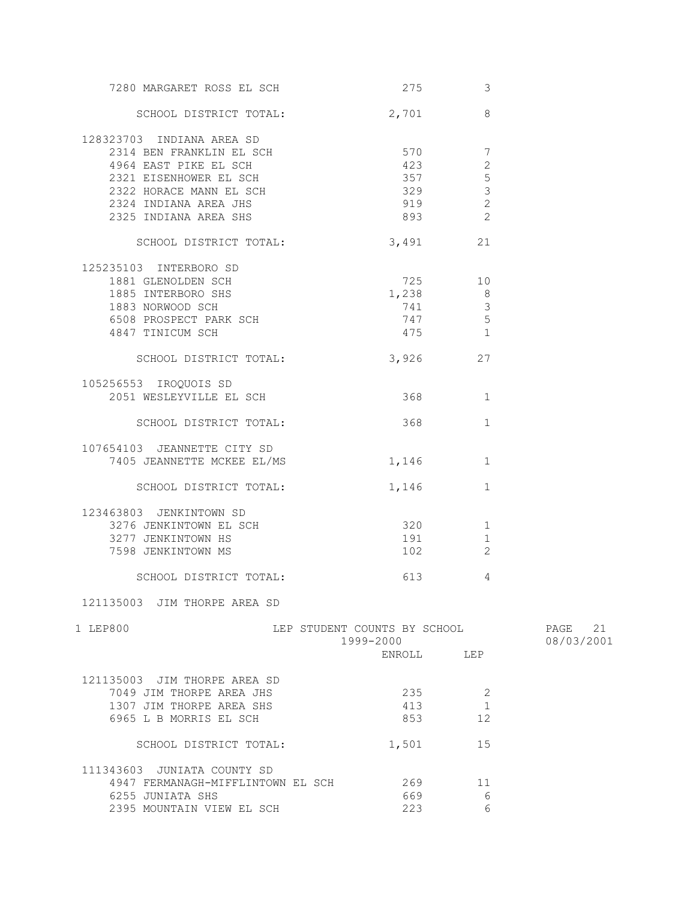| 7280 MARGARET ROSS EL SCH         | 275 — 275                    | 3              |            |
|-----------------------------------|------------------------------|----------------|------------|
| SCHOOL DISTRICT TOTAL:            | 2,701                        | 8              |            |
| 128323703 INDIANA AREA SD         |                              |                |            |
| 2314 BEN FRANKLIN EL SCH          | 570                          | 7              |            |
| 4964 EAST PIKE EL SCH             | 423                          | 2              |            |
|                                   |                              |                |            |
| 2321 EISENHOWER EL SCH            | 357                          | 5              |            |
| 2322 HORACE MANN EL SCH           | 329                          | $\mathfrak{Z}$ |            |
| 2324 INDIANA AREA JHS             | 919                          | $\overline{c}$ |            |
| 2325 INDIANA AREA SHS             |                              | $\overline{c}$ |            |
|                                   |                              |                |            |
| SCHOOL DISTRICT TOTAL:            | 3,491                        | 21             |            |
| 125235103 INTERBORO SD            |                              |                |            |
| 1881 GLENOLDEN SCH                | 725 10                       |                |            |
| 1885 INTERBORO SHS                | $1,238$ 8                    |                |            |
|                                   |                              |                |            |
| 1883 NORWOOD SCH                  | 741                          | 3              |            |
| 6508 PROSPECT PARK SCH            | 747                          | 5              |            |
| 4847 TINICUM SCH                  | 475 1                        |                |            |
| SCHOOL DISTRICT TOTAL:            | 3,926                        | 27             |            |
|                                   |                              |                |            |
| 105256553 IROQUOIS SD             |                              |                |            |
| 2051 WESLEYVILLE EL SCH           | 368 368                      | $\mathbf{1}$   |            |
| SCHOOL DISTRICT TOTAL:            | 368 368                      | $\mathbf{1}$   |            |
| 107654103 JEANNETTE CITY SD       |                              |                |            |
| 7405 JEANNETTE MCKEE EL/MS        | 1,146                        | 1              |            |
|                                   |                              |                |            |
| SCHOOL DISTRICT TOTAL:            | 1,146                        | $\mathbf{1}$   |            |
| 123463803 JENKINTOWN SD           |                              |                |            |
| 3276 JENKINTOWN EL SCH            | 320                          | 1              |            |
|                                   |                              |                |            |
| 3277 JENKINTOWN HS                | 191                          | 1              |            |
| 7598 JENKINTOWN MS                | 102 200                      | 2              |            |
| SCHOOL DISTRICT TOTAL:            | 613 — 13                     | 4              |            |
| 121135003 JIM THORPE AREA SD      |                              |                |            |
| 1 LEP800                          | LEP STUDENT COUNTS BY SCHOOL |                | PAGE 21    |
|                                   | 1999-2000                    |                | 08/03/2001 |
|                                   |                              |                |            |
|                                   | ENROLL LEP                   |                |            |
| 121135003 JIM THORPE AREA SD      |                              |                |            |
| 7049 JIM THORPE AREA JHS          | 235                          | 2              |            |
| 1307 JIM THORPE AREA SHS          | 413                          | $\mathbf{1}$   |            |
|                                   |                              |                |            |
| 6965 L B MORRIS EL SCH            | 853                          | 12             |            |
| SCHOOL DISTRICT TOTAL:            | 1,501                        | 15             |            |
| 111343603 JUNIATA COUNTY SD       |                              |                |            |
|                                   |                              |                |            |
| 4947 FERMANAGH-MIFFLINTOWN EL SCH | 269                          | 11             |            |
| 6255 JUNIATA SHS                  | 669                          | 6              |            |
| 2395 MOUNTAIN VIEW EL SCH         | 223                          | 6              |            |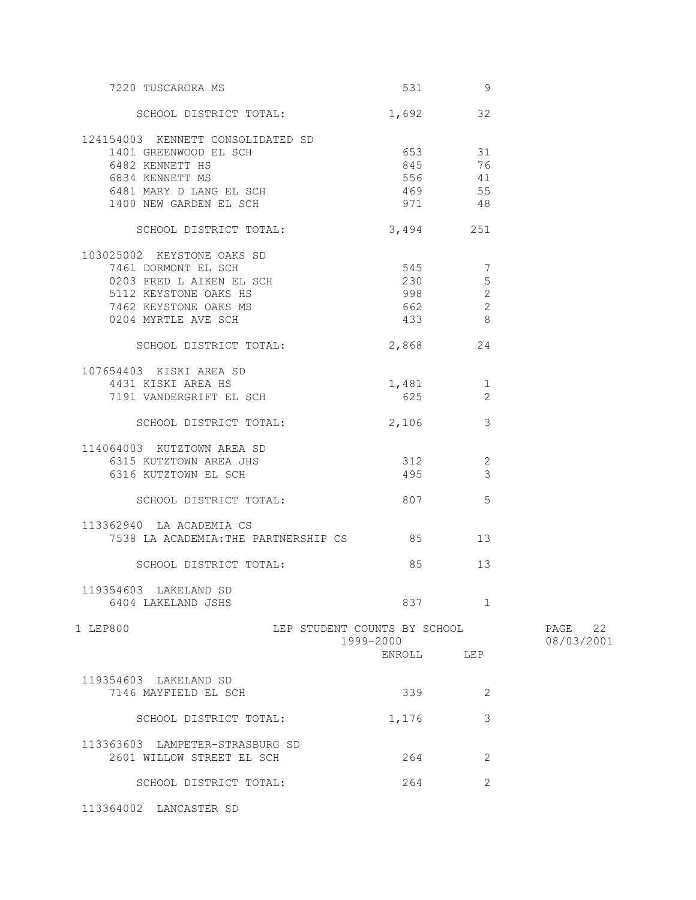| 7220 TUSCARORA MS                                                                                                                                      | 531 000                                        | -9                   |                       |
|--------------------------------------------------------------------------------------------------------------------------------------------------------|------------------------------------------------|----------------------|-----------------------|
| SCHOOL DISTRICT TOTAL:                                                                                                                                 | 1,692 32                                       |                      |                       |
| 124154003 KENNETT CONSOLIDATED SD<br>1401 GREENWOOD EL SCH<br>6482 KENNETT HS<br>6834 KENNETT MS<br>6481 MARY D LANG EL SCH<br>1400 NEW GARDEN EL SCH  | 653 31<br>845 76<br>556 41<br>469 55<br>971 48 |                      |                       |
| SCHOOL DISTRICT TOTAL:                                                                                                                                 | 3,494 251                                      |                      |                       |
| 103025002 KEYSTONE OAKS SD<br>7461 DORMONT EL SCH<br>0203 FRED L AIKEN EL SCH<br>5112 KEYSTONE OAKS HS<br>7462 KEYSTONE OAKS MS<br>0204 MYRTLE AVE SCH | 545 7<br>230<br>998 2<br>662<br>433 8          | $5\overline{)}$<br>2 |                       |
| SCHOOL DISTRICT TOTAL:                                                                                                                                 | 2,868 24                                       |                      |                       |
| 107654403 KISKI AREA SD<br>4431 KISKI AREA HS<br>7191 VANDERGRIFT EL SCH                                                                               | 1,481 1<br>625 30                              | $\overline{2}$       |                       |
| SCHOOL DISTRICT TOTAL:                                                                                                                                 | 2,106                                          | 3                    |                       |
| 114064003 KUTZTOWN AREA SD<br>6315 KUTZTOWN AREA JHS<br>6316 KUTZTOWN EL SCH                                                                           | 312<br>495                                     | 2<br>$\mathcal{S}$   |                       |
| SCHOOL DISTRICT TOTAL:                                                                                                                                 | 807                                            | 5                    |                       |
| 113362940 LA ACADEMIA CS<br>7538 LA ACADEMIA: THE PARTNERSHIP CS 85 13                                                                                 |                                                |                      |                       |
| SCHOOL DISTRICT TOTAL:                                                                                                                                 | 85                                             | 13                   |                       |
| 119354603 LAKELAND SD<br>6404 LAKELAND JSHS                                                                                                            | 837 — 100                                      | 1                    |                       |
| 1 LEP800                                                                                                                                               | LEP STUDENT COUNTS BY SCHOOL<br>1999-2000      |                      | PAGE 22<br>08/03/2001 |
|                                                                                                                                                        | ENROLL LEP                                     |                      |                       |
| 119354603 LAKELAND SD<br>7146 MAYFIELD EL SCH                                                                                                          | 339                                            | 2                    |                       |
| SCHOOL DISTRICT TOTAL:                                                                                                                                 | 1,176                                          | 3                    |                       |
| 113363603 LAMPETER-STRASBURG SD<br>2601 WILLOW STREET EL SCH                                                                                           | 264                                            | 2                    |                       |
| SCHOOL DISTRICT TOTAL:                                                                                                                                 | 264                                            | 2                    |                       |
| 113364002 LANCASTER SD                                                                                                                                 |                                                |                      |                       |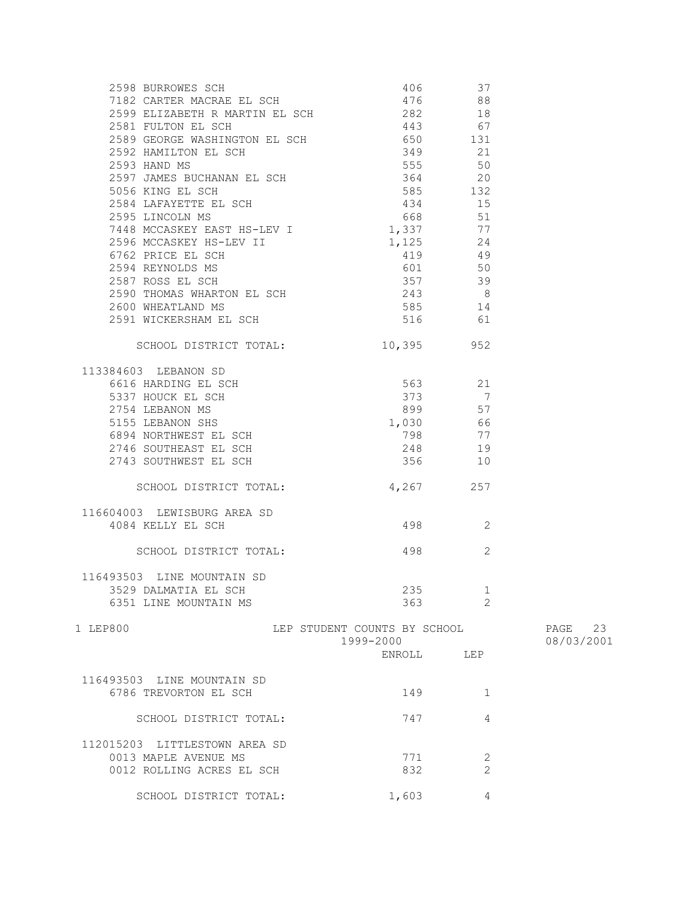| 2598 BURROWES SCH<br>7182 CARTER MACRAE EL SCH                                                                                                                                                                                                        | 406 — 10                     | 37             |            |
|-------------------------------------------------------------------------------------------------------------------------------------------------------------------------------------------------------------------------------------------------------|------------------------------|----------------|------------|
|                                                                                                                                                                                                                                                       | 476                          | 88             |            |
| 2599 ELIZABETH R MARTIN EL SCH $282$                                                                                                                                                                                                                  |                              | 18             |            |
| 2581 FULTON EL SCH                                                                                                                                                                                                                                    | 443 67                       |                |            |
| 2589 GEORGE WASHINGTON EL SCH 650 650 131                                                                                                                                                                                                             |                              |                |            |
|                                                                                                                                                                                                                                                       |                              |                |            |
|                                                                                                                                                                                                                                                       |                              |                |            |
|                                                                                                                                                                                                                                                       |                              |                |            |
|                                                                                                                                                                                                                                                       |                              |                |            |
| 2592 HAMILTON EL SCH<br>2592 HAMILTON EL SCH<br>2593 HAND MS<br>2597 JAMES BUCHANAN EL SCH<br>5056 KING EL SCH<br>2584 LAFAYETTE EL SCH<br>2595 LINCOLN MS<br>2595 LINCOLN MS<br>2595 LINCOLN MS<br>2595 LINCOLN MS<br>2595 LINCOLN MS<br>268<br>2595 |                              |                |            |
|                                                                                                                                                                                                                                                       |                              |                |            |
| 7448 MCCASKEY EAST HS-LEV I 1,337                                                                                                                                                                                                                     |                              | 77             |            |
|                                                                                                                                                                                                                                                       |                              |                |            |
|                                                                                                                                                                                                                                                       |                              |                |            |
|                                                                                                                                                                                                                                                       |                              |                |            |
|                                                                                                                                                                                                                                                       |                              |                |            |
|                                                                                                                                                                                                                                                       |                              |                |            |
|                                                                                                                                                                                                                                                       |                              |                |            |
|                                                                                                                                                                                                                                                       |                              |                |            |
| 2596 MCCASKEY HS-LEV I<br>2596 MCCASKEY HS-LEV II 1,125 24<br>2594 REYNOLDS MS 601 50<br>2587 ROSS EL SCH 357 39<br>2590 THOMAS WHARTON EL SCH 243 8<br>2600 WHEATLAND MS 585 14<br>2591 NICKERSHAM EL SCH 516 61                                     |                              |                |            |
|                                                                                                                                                                                                                                                       |                              |                |            |
| SCHOOL DISTRICT TOTAL: 10,395 952                                                                                                                                                                                                                     |                              |                |            |
| 113384603 LEBANON SD                                                                                                                                                                                                                                  |                              |                |            |
|                                                                                                                                                                                                                                                       |                              |                |            |
|                                                                                                                                                                                                                                                       |                              |                |            |
|                                                                                                                                                                                                                                                       |                              |                |            |
|                                                                                                                                                                                                                                                       |                              |                |            |
|                                                                                                                                                                                                                                                       |                              |                |            |
|                                                                                                                                                                                                                                                       |                              |                |            |
|                                                                                                                                                                                                                                                       |                              |                |            |
| 373 1000 1000 10000 10000 10000 10000 10000 10000 10000 10000 10000 10000 10000 10000 10000 10000 10000 10000 10000 10000 10000 10000 10000 10000 10000 10000 10000 10000 10000 10000 10000 10000 10000 10000 10000 10000 1000                        |                              |                |            |
| SCHOOL DISTRICT TOTAL: 4,267 257                                                                                                                                                                                                                      |                              |                |            |
| 116604003 LEWISBURG AREA SD                                                                                                                                                                                                                           |                              |                |            |
| 4084 KELLY EL SCH                                                                                                                                                                                                                                     | 498 — 198                    | 2              |            |
|                                                                                                                                                                                                                                                       |                              |                |            |
| SCHOOL DISTRICT TOTAL:                                                                                                                                                                                                                                | 498 — 198                    | $\overline{2}$ |            |
|                                                                                                                                                                                                                                                       |                              |                |            |
| 116493503 LINE MOUNTAIN SD                                                                                                                                                                                                                            |                              |                |            |
| 3529 DALMATIA EL SCH                                                                                                                                                                                                                                  | 235                          | 1              |            |
| 6351 LINE MOUNTAIN MS                                                                                                                                                                                                                                 | 363                          | 2              |            |
| 1 LEP800                                                                                                                                                                                                                                              | LEP STUDENT COUNTS BY SCHOOL |                | PAGE 23    |
|                                                                                                                                                                                                                                                       | 1999-2000                    |                | 08/03/2001 |
|                                                                                                                                                                                                                                                       | ENROLL LEP                   |                |            |
|                                                                                                                                                                                                                                                       |                              |                |            |
| 116493503 LINE MOUNTAIN SD                                                                                                                                                                                                                            |                              |                |            |
| 6786 TREVORTON EL SCH                                                                                                                                                                                                                                 | 149                          | $\mathbf{1}$   |            |
|                                                                                                                                                                                                                                                       |                              |                |            |
| SCHOOL DISTRICT TOTAL:                                                                                                                                                                                                                                | 747                          | 4              |            |
|                                                                                                                                                                                                                                                       |                              |                |            |
| 112015203 LITTLESTOWN AREA SD                                                                                                                                                                                                                         |                              |                |            |
| 0013 MAPLE AVENUE MS                                                                                                                                                                                                                                  | 771                          | 2              |            |
| 0012 ROLLING ACRES EL SCH                                                                                                                                                                                                                             | 832                          | $\overline{2}$ |            |
| SCHOOL DISTRICT TOTAL:                                                                                                                                                                                                                                | 1,603                        | 4              |            |
|                                                                                                                                                                                                                                                       |                              |                |            |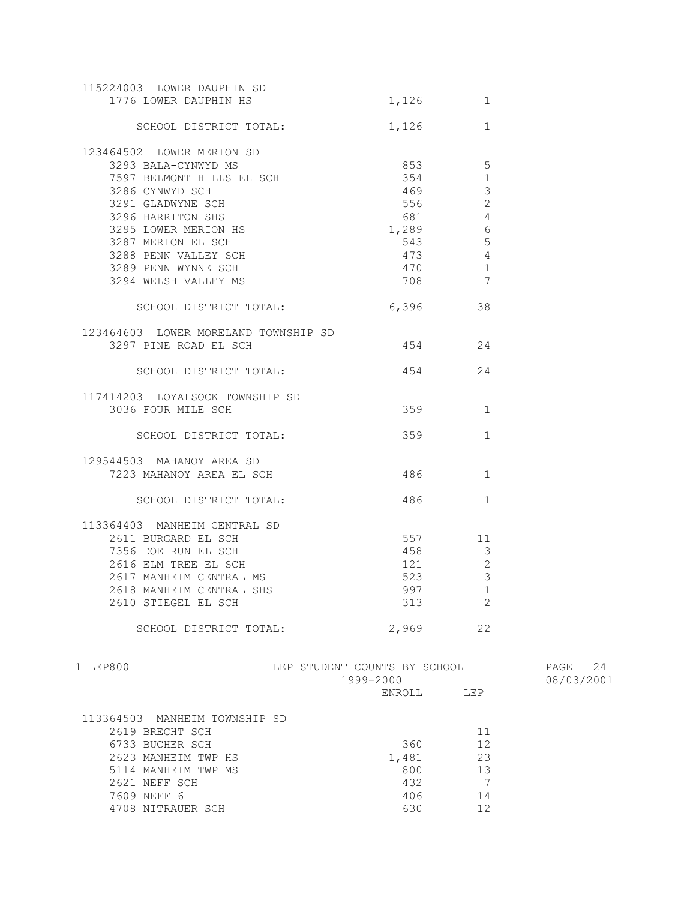| 115224003 LOWER DAUPHIN SD<br>1776 LOWER DAUPHIN HS | 1,126 | $\mathbf{1}$   |
|-----------------------------------------------------|-------|----------------|
| SCHOOL DISTRICT TOTAL:                              | 1,126 | $\mathbf{1}$   |
| 123464502 LOWER MERION SD                           |       |                |
| 3293 BALA-CYNWYD MS                                 | 853   | 5              |
| 7597 BELMONT HILLS EL SCH                           | 354   | $\mathbf{1}$   |
| 3286 CYNWYD SCH                                     | 469   | 3              |
| 3291 GLADWYNE SCH                                   | 556   | $\overline{2}$ |
| 3296 HARRITON SHS                                   | 681   | $\overline{4}$ |
| 3295 LOWER MERION HS                                | 1,289 | 6              |
| 3287 MERION EL SCH                                  | 543   | 5              |
| 3288 PENN VALLEY SCH                                | 473   | $\overline{4}$ |
| 3289 PENN WYNNE SCH                                 | 470   | $\overline{1}$ |
| 3294 WELSH VALLEY MS                                | 708   | 7              |
| SCHOOL DISTRICT TOTAL:                              | 6,396 | 38             |
| 123464603 LOWER MORELAND TOWNSHIP SD                |       |                |
| 3297 PINE ROAD EL SCH                               | 454   | 24             |
| SCHOOL DISTRICT TOTAL:                              | 454 6 | 24             |
| 117414203 LOYALSOCK TOWNSHIP SD                     |       |                |
| 3036 FOUR MILE SCH                                  | 359   | 1              |
| SCHOOL DISTRICT TOTAL:                              | 359   | $\mathbf{1}$   |
| 129544503 MAHANOY AREA SD                           |       |                |
| 7223 MAHANOY AREA EL SCH                            | 486   | $\mathbf{1}$   |
| SCHOOL DISTRICT TOTAL:                              | 486   | $\mathbf{1}$   |
| 113364403 MANHEIM CENTRAL SD                        |       |                |
| 2611 BURGARD EL SCH                                 | 557   | 11             |
| 7356 DOE RUN EL SCH                                 | 458   | 3              |
| 2616 ELM TREE EL SCH                                | 121   | $\overline{2}$ |
| 2617 MANHEIM CENTRAL MS                             | 523   | 3              |
| 2618 MANHEIM CENTRAL SHS                            | 997   | 1              |
| 2610 STIEGEL EL SCH                                 | 313   | $\overline{2}$ |
| SCHOOL DISTRICT TOTAL:                              | 2,969 | 22             |

| 1 LEP800                      | LEP STUDENT COUNTS BY SCHOOL<br>1999-2000 |     | 24<br>PAGE<br>08/03/2001 |
|-------------------------------|-------------------------------------------|-----|--------------------------|
|                               | ENROLL                                    | LEP |                          |
| 113364503 MANHEIM TOWNSHIP SD |                                           |     |                          |
| 2619 BRECHT SCH               |                                           | 11  |                          |
| 6733 BUCHER SCH               | 360                                       | 12  |                          |
| 2623 MANHEIM TWP HS           | 1,481                                     | 23  |                          |
| 5114 MANHEIM TWP MS           | 800                                       | 13  |                          |
| 2621 NEFF SCH                 | 432                                       |     |                          |
| 7609 NEFF 6                   | 406                                       | 14  |                          |
| 4708 NITRAUER SCH             | 630                                       | 12  |                          |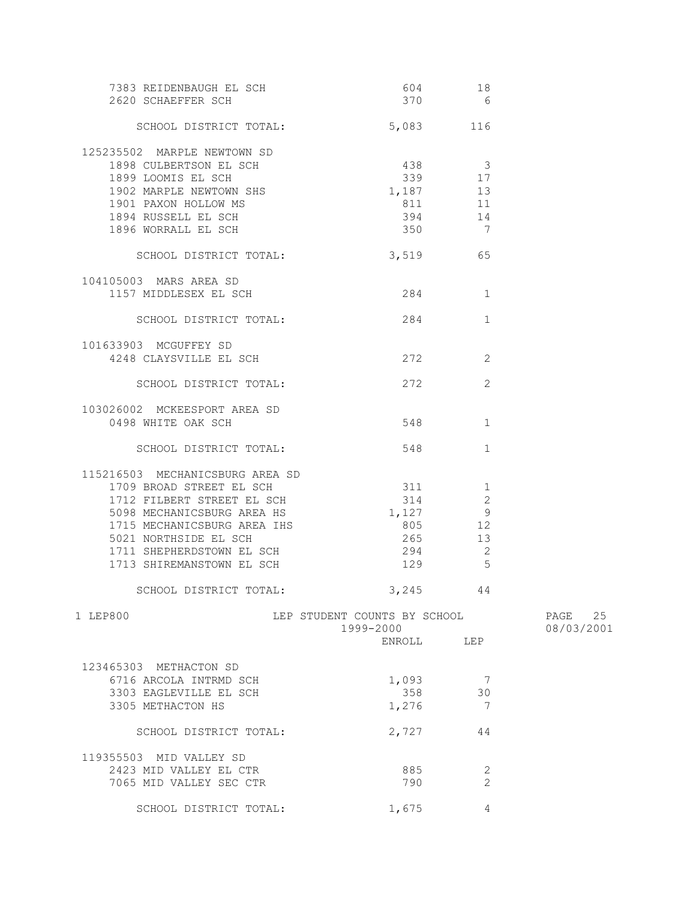| 7383 REIDENBAUGH EL SCH<br>2620 SCHAEFFER SCH                                                                                                                                                                                             | 604<br>370                                                      | 18<br>$6\overline{6}$                                            |            |
|-------------------------------------------------------------------------------------------------------------------------------------------------------------------------------------------------------------------------------------------|-----------------------------------------------------------------|------------------------------------------------------------------|------------|
| SCHOOL DISTRICT TOTAL:                                                                                                                                                                                                                    | 5,083 116                                                       |                                                                  |            |
| 125235502 MARPLE NEWTOWN SD<br>1898 CULBERTSON EL SCH<br>1899 LOOMIS EL SCH<br>1902 MARPLE NEWTOWN SHS<br>1901 PAXON HOLLOW MS<br>1894 RUSSELL EL SCH                                                                                     | 438 3<br>339 17<br>1,187 13<br>811<br>394                       | 11<br>14                                                         |            |
| 1896 WORRALL EL SCH                                                                                                                                                                                                                       | 350                                                             | $\overline{7}$                                                   |            |
| SCHOOL DISTRICT TOTAL: 3,519 65                                                                                                                                                                                                           |                                                                 |                                                                  |            |
| 104105003 MARS AREA SD<br>1157 MIDDLESEX EL SCH                                                                                                                                                                                           | 284                                                             | 1                                                                |            |
| SCHOOL DISTRICT TOTAL:                                                                                                                                                                                                                    | 284                                                             | $\mathbf{1}$                                                     |            |
| 101633903 MCGUFFEY SD<br>4248 CLAYSVILLE EL SCH                                                                                                                                                                                           | 272                                                             | 2                                                                |            |
| SCHOOL DISTRICT TOTAL:                                                                                                                                                                                                                    | 272                                                             | 2                                                                |            |
| 103026002 MCKEESPORT AREA SD<br>0498 WHITE OAK SCH                                                                                                                                                                                        | 548                                                             | $\mathbf{1}$                                                     |            |
| SCHOOL DISTRICT TOTAL:                                                                                                                                                                                                                    | 548                                                             | $\mathbf{1}$                                                     |            |
| 115216503 MECHANICSBURG AREA SD<br>1709 BROAD STREET EL SCH<br>1712 FILBERT STREET EL SCH<br>5098 MECHANICSBURG AREA HS<br>1715 MECHANICSBURG AREA IHS<br>5021 NORTHSIDE EL SCH<br>1711 SHEPHERDSTOWN EL SCH<br>1713 SHIREMANSTOWN EL SCH | 311 1<br>314<br>1,127<br>805<br>265<br>294<br>129               | $\mathbf{2}$<br>9<br>12<br>13<br>$\overline{\phantom{0}}^2$<br>5 |            |
| SCHOOL DISTRICT TOTAL:                                                                                                                                                                                                                    | $3,245$ 44                                                      |                                                                  |            |
| 1 LEP800                                                                                                                                                                                                                                  | LEP STUDENT COUNTS BY SCHOOL PAGE 25<br>1999-2000<br>ENROLL LEP |                                                                  | 08/03/2001 |
| 123465303 METHACTON SD<br>6716 ARCOLA INTRMD SCH<br>3303 EAGLEVILLE EL SCH<br>3305 METHACTON HS                                                                                                                                           | 1,093<br>358<br>1,276                                           | $\overline{7}$<br>30<br>$\overline{7}$                           |            |
| SCHOOL DISTRICT TOTAL:                                                                                                                                                                                                                    | 2,727                                                           | 44                                                               |            |
| 119355503 MID VALLEY SD<br>2423 MID VALLEY EL CTR<br>7065 MID VALLEY SEC CTR                                                                                                                                                              | 885<br>790                                                      | 2<br>$\overline{2}$                                              |            |
| SCHOOL DISTRICT TOTAL:                                                                                                                                                                                                                    | 1,675                                                           | 4                                                                |            |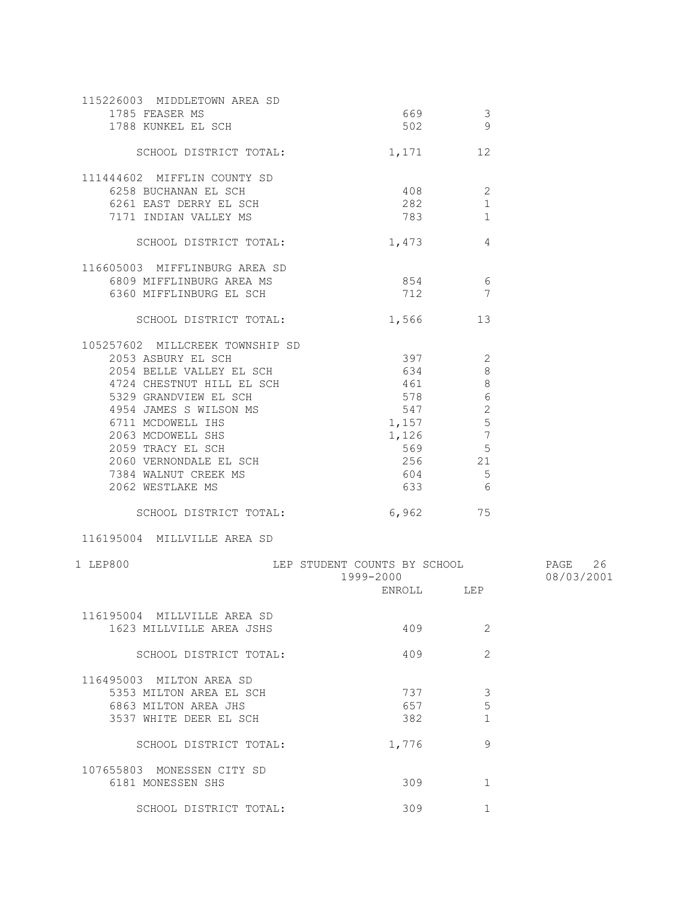| 115226003 MIDDLETOWN AREA SD    |                              |                |            |
|---------------------------------|------------------------------|----------------|------------|
| 1785 FEASER MS                  | 669 -                        | 3              |            |
| 1788 KUNKEL EL SCH              | 502                          | 9              |            |
| SCHOOL DISTRICT TOTAL:          |                              | 1,171 12       |            |
|                                 |                              |                |            |
| 111444602 MIFFLIN COUNTY SD     |                              |                |            |
| 6258 BUCHANAN EL SCH            |                              | 408<br>2       |            |
| 6261 EAST DERRY EL SCH          | 282                          | $\mathbf{1}$   |            |
| 7171 INDIAN VALLEY MS           |                              | $\mathbf{1}$   |            |
| SCHOOL DISTRICT TOTAL:          | 1,473                        | 4              |            |
| 116605003 MIFFLINBURG AREA SD   |                              |                |            |
| 6809 MIFFLINBURG AREA MS        |                              | 854 6          |            |
| 6360 MIFFLINBURG EL SCH         | 712                          | 7              |            |
|                                 |                              |                |            |
| SCHOOL DISTRICT TOTAL:          |                              | 1,566 13       |            |
| 105257602 MILLCREEK TOWNSHIP SD |                              |                |            |
| 2053 ASBURY EL SCH              | 397                          | 2              |            |
| 2054 BELLE VALLEY EL SCH        | 634                          | $8\,$          |            |
| 4724 CHESTNUT HILL EL SCH       | 461                          | $8\,$          |            |
| 5329 GRANDVIEW EL SCH           | 578                          | 6              |            |
| 4954 JAMES S WILSON MS          | 547                          | $\mathbf{2}$   |            |
| 6711 MCDOWELL IHS               | 1,157                        | $\mathbf 5$    |            |
| 2063 MCDOWELL SHS               | 1,126                        | 7              |            |
| 2059 TRACY EL SCH               | 569                          | 5              |            |
| 2060 VERNONDALE EL SCH          | 256                          | 21             |            |
| 7384 WALNUT CREEK MS            | 604                          | $\overline{5}$ |            |
| 2062 WESTLAKE MS                | 633                          | 6              |            |
| SCHOOL DISTRICT TOTAL:          |                              | 6,962 75       |            |
| 116195004 MILLVILLE AREA SD     |                              |                |            |
| 1 LEP800                        | LEP STUDENT COUNTS BY SCHOOL |                | PAGE 26    |
|                                 | 1999-2000                    |                | 08/03/2001 |
|                                 |                              | ENROLL LEP     |            |
|                                 |                              |                |            |
| 116195004 MILLVILLE AREA SD     |                              |                |            |
| 1623 MILLVILLE AREA JSHS        | 409                          | 2              |            |
| SCHOOL DISTRICT TOTAL:          | 409                          | $\overline{2}$ |            |
|                                 |                              |                |            |
| 116495003 MILTON AREA SD        |                              |                |            |
| 5353 MILTON AREA EL SCH         | 737                          | 3              |            |
| 6863 MILTON AREA JHS            | 657                          | 5              |            |
| 3537 WHITE DEER EL SCH          | 382                          | $\mathbf{1}$   |            |
| SCHOOL DISTRICT TOTAL:          | 1,776                        | 9              |            |
|                                 |                              |                |            |
| 107655803 MONESSEN CITY SD      |                              |                |            |
| 6181 MONESSEN SHS               | 309                          | 1              |            |
| SCHOOL DISTRICT TOTAL:          | 309                          | $\mathbf 1$    |            |
|                                 |                              |                |            |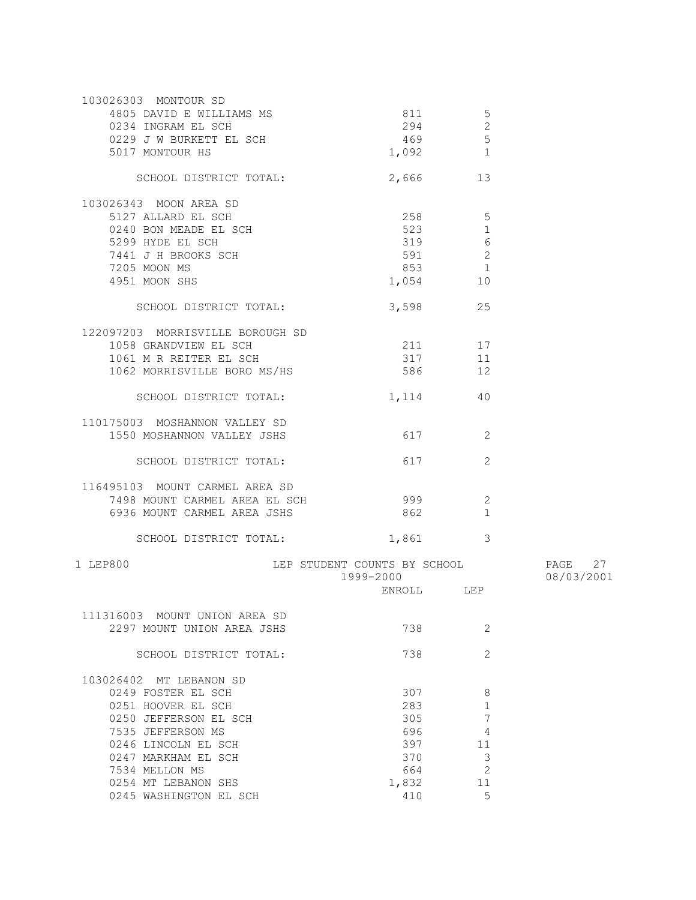| 103026303 MONTOUR SD<br>4805 DAVID E WILLIAMS MS<br>0234 INGRAM EL SCH<br>0234 INGRAM EL SCH<br>0229 J W BURKETT EL SCH<br>5017 MONTOUR HS                                                               | 811<br>294<br>469<br>1,092                             | 5<br>$\mathbf{2}$<br>5<br>$\overline{1}$                       |                       |
|----------------------------------------------------------------------------------------------------------------------------------------------------------------------------------------------------------|--------------------------------------------------------|----------------------------------------------------------------|-----------------------|
| SCHOOL DISTRICT TOTAL:                                                                                                                                                                                   | 2,666 13                                               |                                                                |                       |
| 103026343 MOON AREA SD<br>5127 ALLARD EL SCH<br>0240 BON MEADE EL SCH<br>5299 HYDE EL SCH<br>7441 J H BROOKS SCH<br>7205 MOON MS<br>4951 MOON SHS                                                        | 258 5<br>523<br>319<br>591<br>853<br>1,054             | $\mathbf{1}$<br>6<br>2<br>$\mathbf{1}$<br>10                   |                       |
| SCHOOL DISTRICT TOTAL:                                                                                                                                                                                   | 3,598                                                  | 25                                                             |                       |
| 122097203 MORRISVILLE BOROUGH SD<br>1058 GRANDVIEW EL SCH<br>1061 M R REITER EL SCH<br>1062 MORRISVILLE BORO MS/HS                                                                                       | 211 17<br>317<br>586                                   | 11<br>12                                                       |                       |
| SCHOOL DISTRICT TOTAL:                                                                                                                                                                                   | 1, 114 40                                              |                                                                |                       |
| 110175003 MOSHANNON VALLEY SD<br>1550 MOSHANNON VALLEY JSHS                                                                                                                                              | 617 — 17                                               | 2                                                              |                       |
| SCHOOL DISTRICT TOTAL:                                                                                                                                                                                   | 617                                                    | 2                                                              |                       |
| 116495103 MOUNT CARMEL AREA SD<br>7498 MOUNT CARMEL AREA EL SCH<br>6936 MOUNT CARMEL AREA JSHS<br>SCHOOL DISTRICT TOTAL:                                                                                 | 999<br>862<br>1,861 3                                  | 2<br>1                                                         |                       |
|                                                                                                                                                                                                          |                                                        |                                                                |                       |
| 1 LEP800<br>LEP STUDENT COUNTS BY SCHOOL                                                                                                                                                                 | 1999-2000<br>ENROLL LEP                                |                                                                | PAGE 27<br>08/03/2001 |
| 111316003 MOUNT UNION AREA SD<br>2297 MOUNT UNION AREA JSHS                                                                                                                                              | 738                                                    | 2                                                              |                       |
| SCHOOL DISTRICT TOTAL:                                                                                                                                                                                   | 738                                                    | 2                                                              |                       |
| 103026402 MT LEBANON SD<br>0249 FOSTER EL SCH<br>0251 HOOVER EL SCH<br>0250 JEFFERSON EL SCH<br>7535 JEFFERSON MS<br>0246 LINCOLN EL SCH<br>0247 MARKHAM EL SCH<br>7534 MELLON MS<br>0254 MT LEBANON SHS | 307<br>283<br>305<br>696<br>397<br>370<br>664<br>1,832 | 8<br>1<br>$\overline{7}$<br>4<br>11<br>3<br>$\mathbf{2}$<br>11 |                       |
| 0245 WASHINGTON EL SCH                                                                                                                                                                                   | 410                                                    | 5                                                              |                       |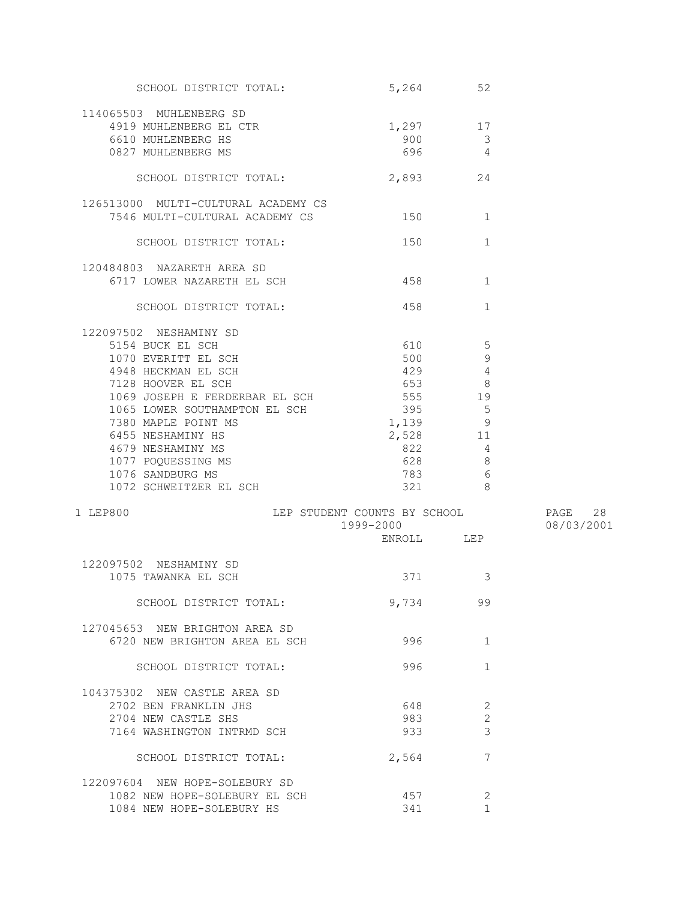| SCHOOL DISTRICT TOTAL:                   | 5,264      | 52                                |            |
|------------------------------------------|------------|-----------------------------------|------------|
| 114065503 MUHLENBERG SD                  |            |                                   |            |
| 4919 MUHLENBERG EL CTR                   | $1,297$ 17 |                                   |            |
| 6610 MUHLENBERG HS                       | 900        | 3                                 |            |
| 0827 MUHLENBERG MS                       | 696        | $\overline{4}$                    |            |
|                                          |            |                                   |            |
| SCHOOL DISTRICT TOTAL:                   | 2,893      | 24                                |            |
| 126513000 MULTI-CULTURAL ACADEMY CS      |            |                                   |            |
| 7546 MULTI-CULTURAL ACADEMY CS           | 150        | 1                                 |            |
|                                          |            |                                   |            |
| SCHOOL DISTRICT TOTAL:                   | 150        | $\mathbf{1}$                      |            |
| 120484803 NAZARETH AREA SD               |            |                                   |            |
| 6717 LOWER NAZARETH EL SCH               | 458 458    | $\mathbf{1}$                      |            |
|                                          |            |                                   |            |
| SCHOOL DISTRICT TOTAL:                   | 458 —      | $\mathbf{1}$                      |            |
| 122097502 NESHAMINY SD                   |            |                                   |            |
| 5154 BUCK EL SCH                         | 610        | $5\phantom{.0}$                   |            |
| 1070 EVERITT EL SCH                      | 500        | 9                                 |            |
| 4948 HECKMAN EL SCH                      | 429        | $\overline{4}$                    |            |
| 7128 HOOVER EL SCH                       | 653 000    | 8                                 |            |
| 1069 JOSEPH E FERDERBAR EL SCH           | 555 19     |                                   |            |
| 1065 LOWER SOUTHAMPTON EL SCH            | 395        | 5                                 |            |
| 7380 MAPLE POINT MS                      | 1,139      | 9                                 |            |
| 6455 NESHAMINY HS                        | 2,528      | 11                                |            |
| 4679 NESHAMINY MS                        | 822        | $\overline{4}$                    |            |
|                                          | 628        |                                   |            |
| 1077 POQUESSING MS                       |            | 8                                 |            |
| 1076 SANDBURG MS                         | 783        | - 6<br>$\overline{\phantom{a}}$ 8 |            |
| 1072 SCHWEITZER EL SCH                   | 321        |                                   |            |
| LEP STUDENT COUNTS BY SCHOOL<br>1 LEP800 |            |                                   | PAGE 28    |
|                                          | 1999-2000  |                                   | 08/03/2001 |
|                                          | ENROLL LEP |                                   |            |
|                                          |            |                                   |            |
| 122097502 NESHAMINY SD                   |            |                                   |            |
| 1075 TAWANKA EL SCH                      | 371 — 100  | 3                                 |            |
| SCHOOL DISTRICT TOTAL:                   | 9,734      | 99                                |            |
| 127045653 NEW BRIGHTON AREA SD           |            |                                   |            |
| 6720 NEW BRIGHTON AREA EL SCH            | 996        | $\mathbf{1}$                      |            |
|                                          |            |                                   |            |
| SCHOOL DISTRICT TOTAL:                   | 996        | $\mathbf{1}$                      |            |
| 104375302 NEW CASTLE AREA SD             |            |                                   |            |
| 2702 BEN FRANKLIN JHS                    | 648        | 2                                 |            |
| 2704 NEW CASTLE SHS                      | 983        | 2                                 |            |
| 7164 WASHINGTON INTRMD SCH               | 933        | 3                                 |            |
|                                          |            |                                   |            |
| SCHOOL DISTRICT TOTAL:                   | 2,564      | 7                                 |            |
| 122097604 NEW HOPE-SOLEBURY SD           |            |                                   |            |
| 1082 NEW HOPE-SOLEBURY EL SCH            | 457        | 2                                 |            |
| 1084 NEW HOPE-SOLEBURY HS                | 341        | $\mathbf{1}$                      |            |
|                                          |            |                                   |            |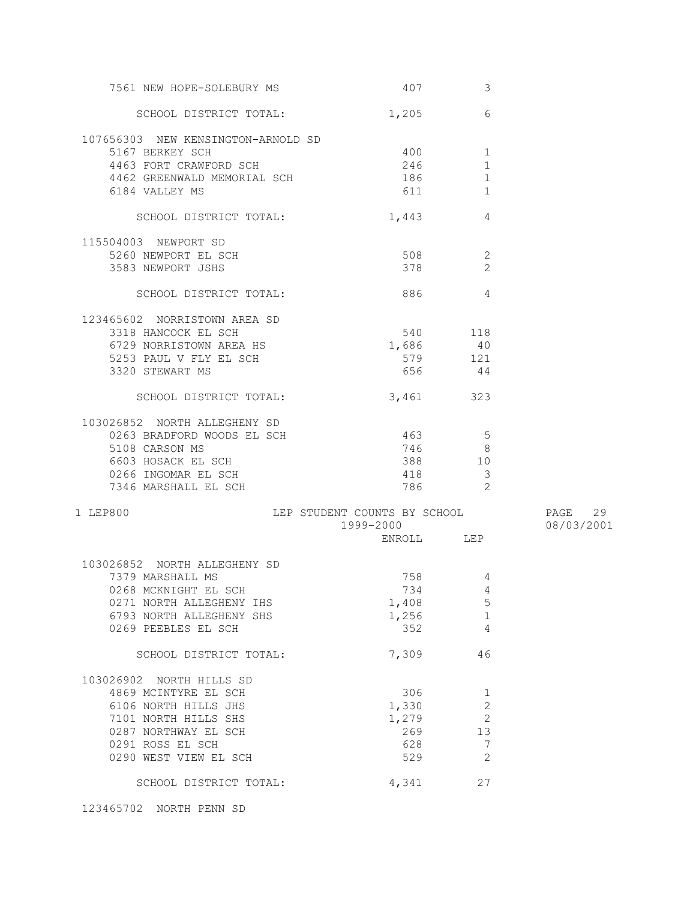| 7561 NEW HOPE-SOLEBURY MS          | 407                                    | 3                          |            |
|------------------------------------|----------------------------------------|----------------------------|------------|
| SCHOOL DISTRICT TOTAL:             | 1,205                                  | 6                          |            |
| 107656303 NEW KENSINGTON-ARNOLD SD |                                        |                            |            |
| 5167 BERKEY SCH                    | 400                                    | 1                          |            |
| 4463 FORT CRAWFORD SCH             | 246                                    | $\mathbf{1}$               |            |
| 4462 GREENWALD MEMORIAL SCH        | 186                                    | $\mathbf 1$                |            |
| 6184 VALLEY MS                     |                                        | 611 61<br>1                |            |
|                                    |                                        |                            |            |
| SCHOOL DISTRICT TOTAL:             | 1,443                                  | 4                          |            |
| 115504003 NEWPORT SD               |                                        |                            |            |
| 5260 NEWPORT EL SCH                | $508$ 2                                |                            |            |
| 3583 NEWPORT JSHS                  | 378                                    | -2                         |            |
|                                    |                                        |                            |            |
| SCHOOL DISTRICT TOTAL:             |                                        | 886 4                      |            |
| 123465602 NORRISTOWN AREA SD       |                                        |                            |            |
| 3318 HANCOCK EL SCH                |                                        | 540 118                    |            |
| 6729 NORRISTOWN AREA HS            | 1,686                                  | 40                         |            |
| 5253 PAUL V FLY EL SCH             | 579                                    | 121                        |            |
| 3320 STEWART MS                    | 656                                    | 44                         |            |
|                                    |                                        |                            |            |
| SCHOOL DISTRICT TOTAL:             | 3,461 323                              |                            |            |
| 103026852 NORTH ALLEGHENY SD       |                                        |                            |            |
| 0263 BRADFORD WOODS EL SCH         | 463                                    | 5                          |            |
| 5108 CARSON MS                     | 746                                    | 8 <sup>8</sup>             |            |
| 6603 HOSACK EL SCH                 | 388                                    | 10                         |            |
| 0266 INGOMAR EL SCH                | 418                                    | $\overline{\mathbf{3}}$    |            |
| 7346 MARSHALL EL SCH               | 786                                    | $\overline{\phantom{0}}^2$ |            |
|                                    |                                        |                            |            |
| 1 LEP800                           | LEP STUDENT COUNTS BY SCHOOL 5 PAGE 29 |                            |            |
|                                    | 1999-2000                              |                            | 08/03/2001 |
|                                    |                                        | ENROLL LEP                 |            |
| 103026852 NORTH ALLEGHENY SD       |                                        |                            |            |
| 7379 MARSHALL MS                   | 758                                    | 4                          |            |
| 0268 MCKNIGHT EL SCH               |                                        | 734 4                      |            |
| 0271 NORTH ALLEGHENY IHS           | 1,408                                  | 5                          |            |
| 6793 NORTH ALLEGHENY SHS           | 1,256                                  | $\mathbf{1}$               |            |
| 0269 PEEBLES EL SCH                | 352                                    | 4                          |            |
|                                    |                                        |                            |            |
| SCHOOL DISTRICT TOTAL:             | 7,309                                  | 46                         |            |
| 103026902 NORTH HILLS SD           |                                        |                            |            |
| 4869 MCINTYRE EL SCH               | 306                                    | $\mathbf{1}$               |            |
| 6106 NORTH HILLS JHS               | 1,330                                  | $\sqrt{2}$                 |            |
| 7101 NORTH HILLS SHS               | 1,279                                  | $\overline{c}$             |            |
| 0287 NORTHWAY EL SCH               | 269                                    | 13                         |            |
| 0291 ROSS EL SCH                   | 628                                    | 7                          |            |
| 0290 WEST VIEW EL SCH              | 529                                    | 2                          |            |
|                                    |                                        |                            |            |
| SCHOOL DISTRICT TOTAL:             | 4,341                                  | 27                         |            |

123465702 NORTH PENN SD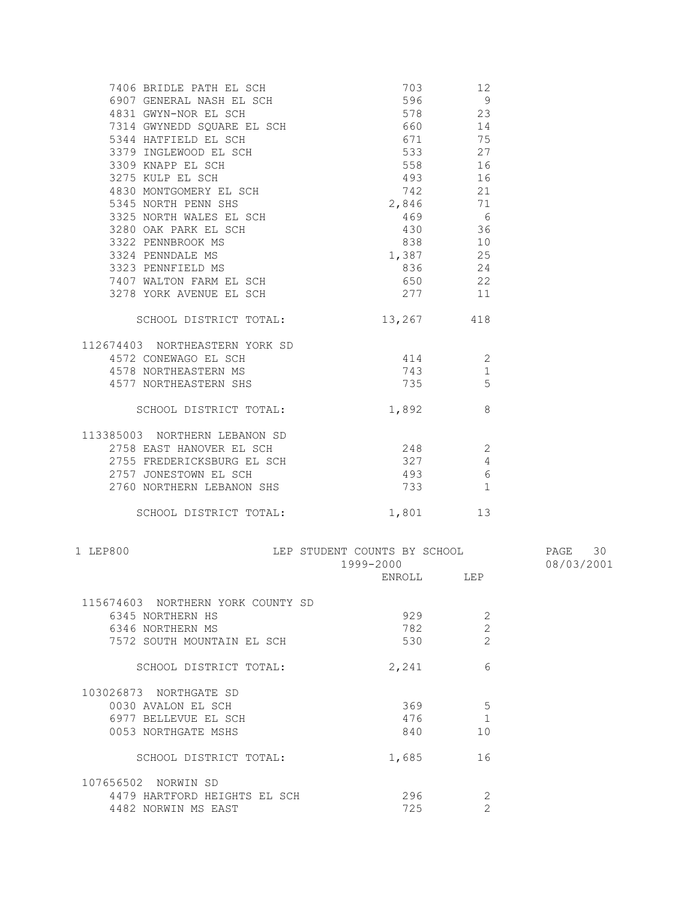| 7406 BRIDLE PATH EL SCH                                         | 703                                                                                                                                                                                                                             | 12             |            |
|-----------------------------------------------------------------|---------------------------------------------------------------------------------------------------------------------------------------------------------------------------------------------------------------------------------|----------------|------------|
| 6907 GENERAL NASH EL SCH                                        | 596                                                                                                                                                                                                                             | 9              |            |
|                                                                 | 578                                                                                                                                                                                                                             | 23             |            |
| 4831 GWYN-NOR EL SCH<br>7314 GWYNEDD SQUARE EL SCH              | 660 000                                                                                                                                                                                                                         | 14             |            |
| 5344 HATFIELD EL SCH                                            | 671                                                                                                                                                                                                                             | 75             |            |
| 3379 INGLEWOOD EL SCH                                           | 533                                                                                                                                                                                                                             | 27             |            |
|                                                                 | 558 30                                                                                                                                                                                                                          | 16             |            |
| 3309 KNAPP EL SCH<br>3275 KULP EL SCH<br>4830 MONTGOMERY EL SCH | 493                                                                                                                                                                                                                             | 16             |            |
|                                                                 | 742                                                                                                                                                                                                                             | 21             |            |
| 5345 NORTH PENN SHS                                             | 2,846                                                                                                                                                                                                                           | 71             |            |
| JJ4J NORTH PENN SHS<br>3325 NORTH WALES EL SCH                  |                                                                                                                                                                                                                                 |                |            |
|                                                                 | 469                                                                                                                                                                                                                             | 6              |            |
| 3280 OAK PARK EL SCH                                            | 430                                                                                                                                                                                                                             | 36             |            |
| 3322 PENNBROOK MS                                               |                                                                                                                                                                                                                                 | 10             |            |
| 3324 PENNDALE MS                                                | 1,387                                                                                                                                                                                                                           | 25             |            |
| 3323 PENNFIELD MS                                               | 836 1990                                                                                                                                                                                                                        | 24             |            |
| 7407 WALTON FARM EL SCH                                         | 650 650                                                                                                                                                                                                                         | 22             |            |
| 3278 YORK AVENUE EL SCH                                         | 277                                                                                                                                                                                                                             | 11             |            |
| SCHOOL DISTRICT TOTAL:                                          | 13,267 418                                                                                                                                                                                                                      |                |            |
| 112674403 NORTHEASTERN YORK SD                                  |                                                                                                                                                                                                                                 |                |            |
| 4572 CONEWAGO EL SCH                                            | 414                                                                                                                                                                                                                             | -2             |            |
| 4578 NORTHEASTERN MS                                            | 743                                                                                                                                                                                                                             | 1              |            |
| 4577 NORTHEASTERN SHS                                           | 735                                                                                                                                                                                                                             | 5              |            |
|                                                                 |                                                                                                                                                                                                                                 |                |            |
| SCHOOL DISTRICT TOTAL:                                          | 1,892                                                                                                                                                                                                                           | 8              |            |
| 113385003 NORTHERN LEBANON SD                                   |                                                                                                                                                                                                                                 |                |            |
| 2758 EAST HANOVER EL SCH                                        | 248                                                                                                                                                                                                                             | -2             |            |
| 2755 FREDERICKSBURG EL SCH                                      | 327                                                                                                                                                                                                                             | 4              |            |
| 2757 JONESTOWN EL SCH                                           | 493 493                                                                                                                                                                                                                         | - 6            |            |
| 2760 NORTHERN LEBANON SHS                                       | 733 — 733 — 733 — 733 — 733 — 744 — 752 — 752 — 752 — 752 — 752 — 753 — 753 — 753 — 754 — 755 — 755 — 755 — 755 — 755 — 755 — 755 — 755 — 755 — 755 — 755 — 755 — 755 — 755 — 755 — 755 — 755 — 755 — 755 — 755 — 755 — 755 — 7 | 1              |            |
| SCHOOL DISTRICT TOTAL:                                          | 1,801                                                                                                                                                                                                                           | 13             |            |
| 1 LEP800                                                        | LEP STUDENT COUNTS BY SCHOOL                                                                                                                                                                                                    |                | PAGE 30    |
|                                                                 | 1999-2000                                                                                                                                                                                                                       |                | 08/03/2001 |
|                                                                 | ENROLL LEP                                                                                                                                                                                                                      |                |            |
|                                                                 |                                                                                                                                                                                                                                 |                |            |
| 115674603 NORTHERN YORK COUNTY SD                               |                                                                                                                                                                                                                                 |                |            |
| 6345 NORTHERN HS                                                | 929                                                                                                                                                                                                                             | 2              |            |
| 6346 NORTHERN MS                                                | 782                                                                                                                                                                                                                             | $\overline{c}$ |            |
| 7572 SOUTH MOUNTAIN EL SCH                                      | 530                                                                                                                                                                                                                             | $\overline{2}$ |            |
| SCHOOL DISTRICT TOTAL:                                          | 2,241                                                                                                                                                                                                                           | 6              |            |
| 103026873 NORTHGATE SD                                          |                                                                                                                                                                                                                                 |                |            |
| 0030 AVALON EL SCH                                              | 369                                                                                                                                                                                                                             | -5             |            |
| 6977 BELLEVUE EL SCH                                            | 476                                                                                                                                                                                                                             | $\mathbf{1}$   |            |
| 0053 NORTHGATE MSHS                                             | 840                                                                                                                                                                                                                             | 10             |            |
| SCHOOL DISTRICT TOTAL:                                          | 1,685                                                                                                                                                                                                                           | 16             |            |
|                                                                 |                                                                                                                                                                                                                                 |                |            |
| 107656502 NORWIN SD                                             |                                                                                                                                                                                                                                 |                |            |
| 4479 HARTFORD HEIGHTS EL SCH                                    | 296                                                                                                                                                                                                                             | 2              |            |
| 4482 NORWIN MS EAST                                             | 725                                                                                                                                                                                                                             | $\overline{2}$ |            |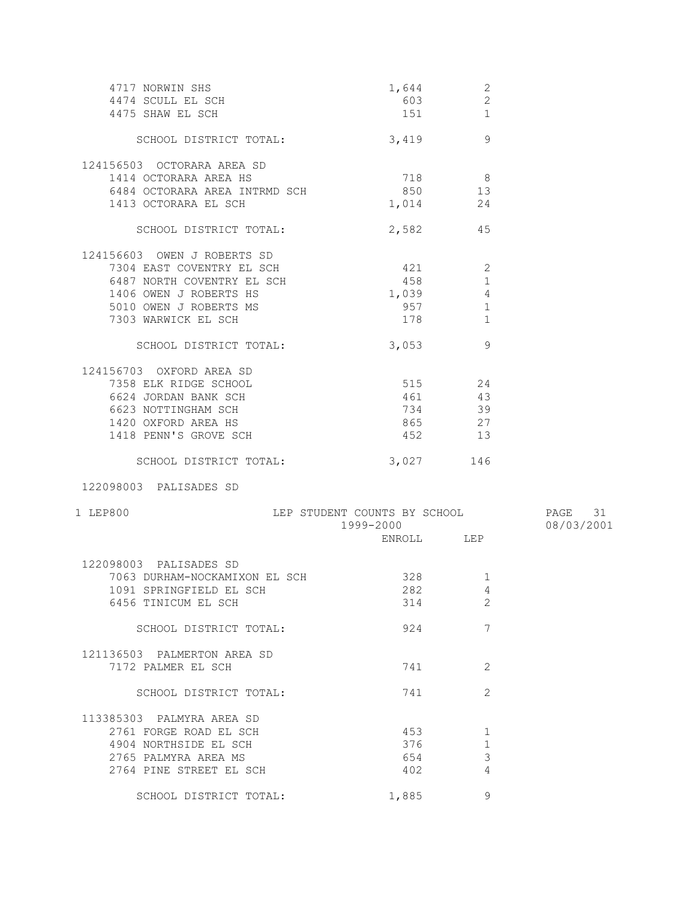| 4717 NORWIN SHS<br>4474 SCULL EL SCH<br>4475 SHAW EL SCH | 1,644<br>603<br>151 000                | $\sqrt{2}$<br>$\overline{c}$<br>$\mathbf{1}$ |            |
|----------------------------------------------------------|----------------------------------------|----------------------------------------------|------------|
| SCHOOL DISTRICT TOTAL: 3,419                             |                                        | 9                                            |            |
| 124156503 OCTORARA AREA SD                               |                                        |                                              |            |
| 1414 OCTORARA AREA HS                                    | 718 8                                  |                                              |            |
| 6484 OCTORARA AREA INTRMD SCH                            | 850 13                                 |                                              |            |
| 1413 OCTORARA EL SCH                                     | 1,014 24                               |                                              |            |
| SCHOOL DISTRICT TOTAL:                                   | 2,582 45                               |                                              |            |
| 124156603 OWEN J ROBERTS SD                              |                                        |                                              |            |
| 7304 EAST COVENTRY EL SCH                                | 421                                    | $\mathbf{2}$                                 |            |
| 6487 NORTH COVENTRY EL SCH                               | 458                                    | 1                                            |            |
| 1406 OWEN J ROBERTS HS                                   | 1,039                                  | 4                                            |            |
| 5010 OWEN J ROBERTS MS                                   |                                        | 1                                            |            |
| 7303 WARWICK EL SCH                                      | 178                                    | 1                                            |            |
|                                                          |                                        |                                              |            |
| SCHOOL DISTRICT TOTAL:                                   | 3,053                                  | 9                                            |            |
| 124156703 OXFORD AREA SD                                 |                                        |                                              |            |
| 7358 ELK RIDGE SCHOOL                                    | 515 24                                 |                                              |            |
| 6624 JORDAN BANK SCH                                     | 461 43                                 |                                              |            |
| 6623 NOTTINGHAM SCH                                      | 734 39                                 |                                              |            |
| 1420 OXFORD AREA HS                                      | 865 27                                 |                                              |            |
| 1418 PENN'S GROVE SCH                                    | 452 13                                 |                                              |            |
| SCHOOL DISTRICT TOTAL:                                   | 3,027                                  | 146                                          |            |
| 122098003 PALISADES SD                                   |                                        |                                              |            |
|                                                          |                                        |                                              |            |
| 1 LEP800                                                 | LEP STUDENT COUNTS BY SCHOOL 5 PAGE 31 |                                              |            |
|                                                          | 1999-2000                              |                                              | 08/03/2001 |
|                                                          | ENROLL LEP                             |                                              |            |
| 122098003 PALISADES SD                                   |                                        |                                              |            |
| 7063 DURHAM-NOCKAMIXON EL SCH                            | 328                                    | 1                                            |            |
| 1091 SPRINGFIELD EL SCH                                  | 282                                    | $4\overline{4}$                              |            |
| 6456 TINICUM EL SCH                                      | 314                                    | 2                                            |            |
| SCHOOL DISTRICT TOTAL:                                   | 924                                    | 7                                            |            |
|                                                          |                                        |                                              |            |
| 121136503 PALMERTON AREA SD                              |                                        |                                              |            |
| 7172 PALMER EL SCH                                       | 741                                    | 2                                            |            |
| SCHOOL DISTRICT TOTAL:                                   | 741                                    | 2                                            |            |
| 113385303 PALMYRA AREA SD                                |                                        |                                              |            |
| 2761 FORGE ROAD EL SCH                                   | 453                                    | 1                                            |            |
| 4904 NORTHSIDE EL SCH                                    | 376                                    | $\mathbf{1}$                                 |            |
| 2765 PALMYRA AREA MS                                     | 654                                    | 3                                            |            |
| 2764 PINE STREET EL SCH                                  | 402                                    | 4                                            |            |
|                                                          |                                        |                                              |            |
| SCHOOL DISTRICT TOTAL:                                   | 1,885                                  | 9                                            |            |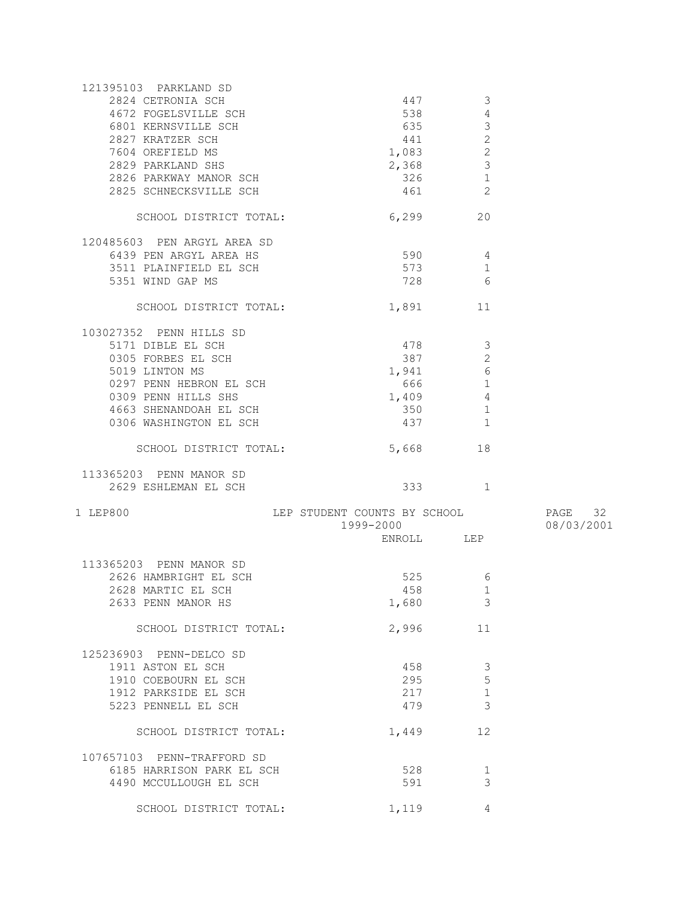| 121395103 PARKLAND SD       |                              |                       |            |
|-----------------------------|------------------------------|-----------------------|------------|
| 2824 CETRONIA SCH           | 447                          | 3                     |            |
| 4672 FOGELSVILLE SCH        | 538                          | 4                     |            |
| 6801 KERNSVILLE SCH         | 635                          | $\mathfrak{Z}$        |            |
| 2827 KRATZER SCH            |                              | $\overline{c}$<br>441 |            |
|                             |                              |                       |            |
| 7604 OREFIELD MS            | 1,083                        | $\mathbf{2}$          |            |
| 2829 PARKLAND SHS           | 2,368                        | $\mathcal{S}$         |            |
| 2826 PARKWAY MANOR SCH      | 326                          | $\mathbf{1}$          |            |
| 2825 SCHNECKSVILLE SCH      | 461                          | $\overline{2}$        |            |
|                             |                              | 20                    |            |
| SCHOOL DISTRICT TOTAL:      | 6,299                        |                       |            |
| 120485603 PEN ARGYL AREA SD |                              |                       |            |
| 6439 PEN ARGYL AREA HS      |                              | 590 4                 |            |
| 3511 PLAINFIELD EL SCH      | 573                          | 1                     |            |
| 5351 WIND GAP MS            |                              | 728 3<br>6            |            |
|                             |                              |                       |            |
| SCHOOL DISTRICT TOTAL:      | 1,891                        | 11                    |            |
| 103027352 PENN HILLS SD     |                              |                       |            |
| 5171 DIBLE EL SCH           | 478                          | -3                    |            |
| 0305 FORBES EL SCH          | 387                          | $\mathbf{2}$          |            |
| 5019 LINTON MS              | 1,941                        | $\epsilon$            |            |
| 0297 PENN HEBRON EL SCH     | 666 100                      | $\mathbf{1}$          |            |
| 0309 PENN HILLS SHS         | 1,409                        | $\overline{4}$        |            |
|                             |                              |                       |            |
| 4663 SHENANDOAH EL SCH      | 350                          | $\mathbf{1}$          |            |
| 0306 WASHINGTON EL SCH      | 437                          | $\mathbf{1}$          |            |
| SCHOOL DISTRICT TOTAL:      | 5,668                        | 18                    |            |
| 113365203 PENN MANOR SD     |                              |                       |            |
| 2629 ESHLEMAN EL SCH        |                              | 333 1                 |            |
| 1 LEP800                    | LEP STUDENT COUNTS BY SCHOOL |                       | PAGE 32    |
|                             | 1999-2000                    |                       | 08/03/2001 |
|                             |                              | ENROLL LEP            |            |
|                             |                              |                       |            |
| 113365203 PENN MANOR SD     |                              |                       |            |
| 2626 HAMBRIGHT EL SCH       |                              | 6                     |            |
| 2628 MARTIC EL SCH          |                              | 458 and $\sim$<br>1   |            |
| 2633 PENN MANOR HS          | 1,680                        | 3                     |            |
|                             | 2,996                        | 11                    |            |
| SCHOOL DISTRICT TOTAL:      |                              |                       |            |
| 125236903 PENN-DELCO SD     |                              |                       |            |
| 1911 ASTON EL SCH           | 458                          | 3                     |            |
| 1910 COEBOURN EL SCH        | 295                          | 5                     |            |
| 1912 PARKSIDE EL SCH        | 217                          | $\mathbf{1}$          |            |
| 5223 PENNELL EL SCH         | 479                          | 3                     |            |
| SCHOOL DISTRICT TOTAL:      | 1,449                        | 12                    |            |
|                             |                              |                       |            |
| 107657103 PENN-TRAFFORD SD  |                              |                       |            |
| 6185 HARRISON PARK EL SCH   | 528                          | 1                     |            |
| 4490 MCCULLOUGH EL SCH      | 591                          | 3                     |            |
| SCHOOL DISTRICT TOTAL:      | 1,119                        | $\overline{4}$        |            |
|                             |                              |                       |            |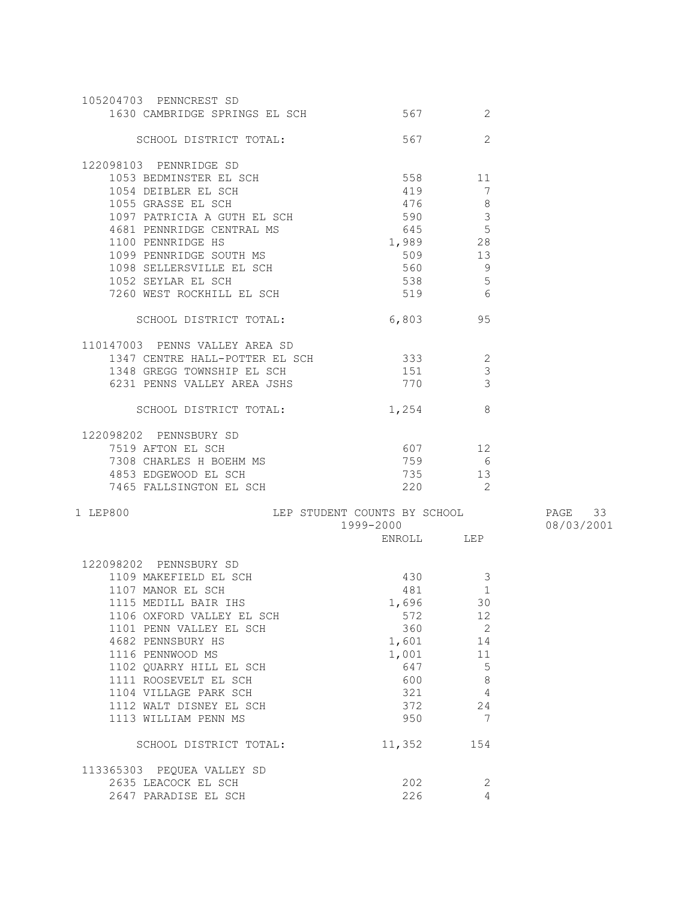| 567<br>2<br>SCHOOL DISTRICT TOTAL:<br>122098103 PENNRIDGE SD<br>558 11<br>1053 BEDMINSTER EL SCH<br>419<br>1054 DEIBLER EL SCH<br>7<br>476<br>8<br>1055 GRASSE EL SCH<br>1097 PATRICIA A GUTH EL SCH<br>$\mathcal{S}$<br>590<br>$\frac{3}{5}$<br>4681 PENNRIDGE CENTRAL MS<br>645<br>1,989<br>1100 PENNRIDGE HS<br>13<br>1099 PENNRIDGE SOUTH MS<br>509<br>1098 SELLERSVILLE EL SCH<br>560 9<br>538 5<br>1052 SEYLAR EL SCH<br>7260 WEST ROCKHILL EL SCH<br>519 6<br>6,803 95<br>SCHOOL DISTRICT TOTAL:<br>110147003 PENNS VALLEY AREA SD<br>333<br>$\overline{2}$<br>1347 CENTRE HALL-POTTER EL SCH<br>$\mathcal{S}$<br>151<br>1348 GREGG TOWNSHIP EL SCH<br>770<br>$\mathcal{E}$<br>6231 PENNS VALLEY AREA JSHS<br>-8<br>SCHOOL DISTRICT TOTAL:<br>1,254<br>122098202 PENNSBURY SD<br>607 12<br>7519 AFTON EL SCH<br>759<br>6<br>7308 CHARLES H BOEHM MS<br>735<br>4853 EDGEWOOD EL SCH<br>13<br>$\overline{2}$<br>220<br>7465 FALLSINGTON EL SCH<br>LEP STUDENT COUNTS BY SCHOOL 57 PAGE 33<br>1999-2000<br>08/03/2001<br>ENROLL LEP<br>122098202 PENNSBURY SD<br>430<br>1109 MAKEFIELD EL SCH<br>3<br>$\mathbf{1}$<br>1107 MANOR EL SCH<br>481<br>1,696<br>30<br>1115 MEDILL BAIR IHS<br>572<br>1106 OXFORD VALLEY EL SCH<br>12<br>360<br>$\overline{\phantom{0}}$ 2<br>1101 PENN VALLEY EL SCH<br>4682 PENNSBURY HS<br>1,601<br>14<br>1116 PENNWOOD MS<br>1,001<br>11<br>5<br>1102 QUARRY HILL EL SCH<br>647<br>600<br>$\,8\,$<br>1111 ROOSEVELT EL SCH<br>1104 VILLAGE PARK SCH<br>321<br>4<br>372<br>1112 WALT DISNEY EL SCH<br>24<br>950<br>7<br>1113 WILLIAM PENN MS | 105204703 PENNCREST SD<br>1630 CAMBRIDGE SPRINGS EL SCH | 567    | 2   |  |
|-------------------------------------------------------------------------------------------------------------------------------------------------------------------------------------------------------------------------------------------------------------------------------------------------------------------------------------------------------------------------------------------------------------------------------------------------------------------------------------------------------------------------------------------------------------------------------------------------------------------------------------------------------------------------------------------------------------------------------------------------------------------------------------------------------------------------------------------------------------------------------------------------------------------------------------------------------------------------------------------------------------------------------------------------------------------------------------------------------------------------------------------------------------------------------------------------------------------------------------------------------------------------------------------------------------------------------------------------------------------------------------------------------------------------------------------------------------------------------------------------------------------------------------------------------------------------------|---------------------------------------------------------|--------|-----|--|
|                                                                                                                                                                                                                                                                                                                                                                                                                                                                                                                                                                                                                                                                                                                                                                                                                                                                                                                                                                                                                                                                                                                                                                                                                                                                                                                                                                                                                                                                                                                                                                               |                                                         |        |     |  |
|                                                                                                                                                                                                                                                                                                                                                                                                                                                                                                                                                                                                                                                                                                                                                                                                                                                                                                                                                                                                                                                                                                                                                                                                                                                                                                                                                                                                                                                                                                                                                                               |                                                         |        |     |  |
|                                                                                                                                                                                                                                                                                                                                                                                                                                                                                                                                                                                                                                                                                                                                                                                                                                                                                                                                                                                                                                                                                                                                                                                                                                                                                                                                                                                                                                                                                                                                                                               |                                                         |        |     |  |
|                                                                                                                                                                                                                                                                                                                                                                                                                                                                                                                                                                                                                                                                                                                                                                                                                                                                                                                                                                                                                                                                                                                                                                                                                                                                                                                                                                                                                                                                                                                                                                               |                                                         |        |     |  |
|                                                                                                                                                                                                                                                                                                                                                                                                                                                                                                                                                                                                                                                                                                                                                                                                                                                                                                                                                                                                                                                                                                                                                                                                                                                                                                                                                                                                                                                                                                                                                                               |                                                         |        |     |  |
|                                                                                                                                                                                                                                                                                                                                                                                                                                                                                                                                                                                                                                                                                                                                                                                                                                                                                                                                                                                                                                                                                                                                                                                                                                                                                                                                                                                                                                                                                                                                                                               |                                                         |        |     |  |
|                                                                                                                                                                                                                                                                                                                                                                                                                                                                                                                                                                                                                                                                                                                                                                                                                                                                                                                                                                                                                                                                                                                                                                                                                                                                                                                                                                                                                                                                                                                                                                               |                                                         |        |     |  |
|                                                                                                                                                                                                                                                                                                                                                                                                                                                                                                                                                                                                                                                                                                                                                                                                                                                                                                                                                                                                                                                                                                                                                                                                                                                                                                                                                                                                                                                                                                                                                                               |                                                         |        |     |  |
|                                                                                                                                                                                                                                                                                                                                                                                                                                                                                                                                                                                                                                                                                                                                                                                                                                                                                                                                                                                                                                                                                                                                                                                                                                                                                                                                                                                                                                                                                                                                                                               |                                                         |        |     |  |
|                                                                                                                                                                                                                                                                                                                                                                                                                                                                                                                                                                                                                                                                                                                                                                                                                                                                                                                                                                                                                                                                                                                                                                                                                                                                                                                                                                                                                                                                                                                                                                               |                                                         |        |     |  |
|                                                                                                                                                                                                                                                                                                                                                                                                                                                                                                                                                                                                                                                                                                                                                                                                                                                                                                                                                                                                                                                                                                                                                                                                                                                                                                                                                                                                                                                                                                                                                                               |                                                         |        |     |  |
|                                                                                                                                                                                                                                                                                                                                                                                                                                                                                                                                                                                                                                                                                                                                                                                                                                                                                                                                                                                                                                                                                                                                                                                                                                                                                                                                                                                                                                                                                                                                                                               |                                                         |        |     |  |
|                                                                                                                                                                                                                                                                                                                                                                                                                                                                                                                                                                                                                                                                                                                                                                                                                                                                                                                                                                                                                                                                                                                                                                                                                                                                                                                                                                                                                                                                                                                                                                               |                                                         |        |     |  |
|                                                                                                                                                                                                                                                                                                                                                                                                                                                                                                                                                                                                                                                                                                                                                                                                                                                                                                                                                                                                                                                                                                                                                                                                                                                                                                                                                                                                                                                                                                                                                                               |                                                         |        |     |  |
|                                                                                                                                                                                                                                                                                                                                                                                                                                                                                                                                                                                                                                                                                                                                                                                                                                                                                                                                                                                                                                                                                                                                                                                                                                                                                                                                                                                                                                                                                                                                                                               |                                                         |        |     |  |
|                                                                                                                                                                                                                                                                                                                                                                                                                                                                                                                                                                                                                                                                                                                                                                                                                                                                                                                                                                                                                                                                                                                                                                                                                                                                                                                                                                                                                                                                                                                                                                               |                                                         |        |     |  |
|                                                                                                                                                                                                                                                                                                                                                                                                                                                                                                                                                                                                                                                                                                                                                                                                                                                                                                                                                                                                                                                                                                                                                                                                                                                                                                                                                                                                                                                                                                                                                                               |                                                         |        |     |  |
|                                                                                                                                                                                                                                                                                                                                                                                                                                                                                                                                                                                                                                                                                                                                                                                                                                                                                                                                                                                                                                                                                                                                                                                                                                                                                                                                                                                                                                                                                                                                                                               |                                                         |        |     |  |
|                                                                                                                                                                                                                                                                                                                                                                                                                                                                                                                                                                                                                                                                                                                                                                                                                                                                                                                                                                                                                                                                                                                                                                                                                                                                                                                                                                                                                                                                                                                                                                               |                                                         |        |     |  |
|                                                                                                                                                                                                                                                                                                                                                                                                                                                                                                                                                                                                                                                                                                                                                                                                                                                                                                                                                                                                                                                                                                                                                                                                                                                                                                                                                                                                                                                                                                                                                                               |                                                         |        |     |  |
|                                                                                                                                                                                                                                                                                                                                                                                                                                                                                                                                                                                                                                                                                                                                                                                                                                                                                                                                                                                                                                                                                                                                                                                                                                                                                                                                                                                                                                                                                                                                                                               |                                                         |        |     |  |
|                                                                                                                                                                                                                                                                                                                                                                                                                                                                                                                                                                                                                                                                                                                                                                                                                                                                                                                                                                                                                                                                                                                                                                                                                                                                                                                                                                                                                                                                                                                                                                               |                                                         |        |     |  |
|                                                                                                                                                                                                                                                                                                                                                                                                                                                                                                                                                                                                                                                                                                                                                                                                                                                                                                                                                                                                                                                                                                                                                                                                                                                                                                                                                                                                                                                                                                                                                                               |                                                         |        |     |  |
|                                                                                                                                                                                                                                                                                                                                                                                                                                                                                                                                                                                                                                                                                                                                                                                                                                                                                                                                                                                                                                                                                                                                                                                                                                                                                                                                                                                                                                                                                                                                                                               | 1 LEP800                                                |        |     |  |
|                                                                                                                                                                                                                                                                                                                                                                                                                                                                                                                                                                                                                                                                                                                                                                                                                                                                                                                                                                                                                                                                                                                                                                                                                                                                                                                                                                                                                                                                                                                                                                               |                                                         |        |     |  |
|                                                                                                                                                                                                                                                                                                                                                                                                                                                                                                                                                                                                                                                                                                                                                                                                                                                                                                                                                                                                                                                                                                                                                                                                                                                                                                                                                                                                                                                                                                                                                                               |                                                         |        |     |  |
|                                                                                                                                                                                                                                                                                                                                                                                                                                                                                                                                                                                                                                                                                                                                                                                                                                                                                                                                                                                                                                                                                                                                                                                                                                                                                                                                                                                                                                                                                                                                                                               |                                                         |        |     |  |
|                                                                                                                                                                                                                                                                                                                                                                                                                                                                                                                                                                                                                                                                                                                                                                                                                                                                                                                                                                                                                                                                                                                                                                                                                                                                                                                                                                                                                                                                                                                                                                               |                                                         |        |     |  |
|                                                                                                                                                                                                                                                                                                                                                                                                                                                                                                                                                                                                                                                                                                                                                                                                                                                                                                                                                                                                                                                                                                                                                                                                                                                                                                                                                                                                                                                                                                                                                                               |                                                         |        |     |  |
|                                                                                                                                                                                                                                                                                                                                                                                                                                                                                                                                                                                                                                                                                                                                                                                                                                                                                                                                                                                                                                                                                                                                                                                                                                                                                                                                                                                                                                                                                                                                                                               |                                                         |        |     |  |
|                                                                                                                                                                                                                                                                                                                                                                                                                                                                                                                                                                                                                                                                                                                                                                                                                                                                                                                                                                                                                                                                                                                                                                                                                                                                                                                                                                                                                                                                                                                                                                               |                                                         |        |     |  |
|                                                                                                                                                                                                                                                                                                                                                                                                                                                                                                                                                                                                                                                                                                                                                                                                                                                                                                                                                                                                                                                                                                                                                                                                                                                                                                                                                                                                                                                                                                                                                                               |                                                         |        |     |  |
|                                                                                                                                                                                                                                                                                                                                                                                                                                                                                                                                                                                                                                                                                                                                                                                                                                                                                                                                                                                                                                                                                                                                                                                                                                                                                                                                                                                                                                                                                                                                                                               |                                                         |        |     |  |
|                                                                                                                                                                                                                                                                                                                                                                                                                                                                                                                                                                                                                                                                                                                                                                                                                                                                                                                                                                                                                                                                                                                                                                                                                                                                                                                                                                                                                                                                                                                                                                               |                                                         |        |     |  |
|                                                                                                                                                                                                                                                                                                                                                                                                                                                                                                                                                                                                                                                                                                                                                                                                                                                                                                                                                                                                                                                                                                                                                                                                                                                                                                                                                                                                                                                                                                                                                                               |                                                         |        |     |  |
|                                                                                                                                                                                                                                                                                                                                                                                                                                                                                                                                                                                                                                                                                                                                                                                                                                                                                                                                                                                                                                                                                                                                                                                                                                                                                                                                                                                                                                                                                                                                                                               |                                                         |        |     |  |
|                                                                                                                                                                                                                                                                                                                                                                                                                                                                                                                                                                                                                                                                                                                                                                                                                                                                                                                                                                                                                                                                                                                                                                                                                                                                                                                                                                                                                                                                                                                                                                               |                                                         |        |     |  |
|                                                                                                                                                                                                                                                                                                                                                                                                                                                                                                                                                                                                                                                                                                                                                                                                                                                                                                                                                                                                                                                                                                                                                                                                                                                                                                                                                                                                                                                                                                                                                                               |                                                         |        |     |  |
|                                                                                                                                                                                                                                                                                                                                                                                                                                                                                                                                                                                                                                                                                                                                                                                                                                                                                                                                                                                                                                                                                                                                                                                                                                                                                                                                                                                                                                                                                                                                                                               | SCHOOL DISTRICT TOTAL:                                  | 11,352 | 154 |  |
|                                                                                                                                                                                                                                                                                                                                                                                                                                                                                                                                                                                                                                                                                                                                                                                                                                                                                                                                                                                                                                                                                                                                                                                                                                                                                                                                                                                                                                                                                                                                                                               |                                                         |        |     |  |
| 113365303 PEQUEA VALLEY SD<br>2635 LEACOCK EL SCH<br>202<br>2                                                                                                                                                                                                                                                                                                                                                                                                                                                                                                                                                                                                                                                                                                                                                                                                                                                                                                                                                                                                                                                                                                                                                                                                                                                                                                                                                                                                                                                                                                                 |                                                         |        |     |  |
| 4<br>226<br>2647 PARADISE EL SCH                                                                                                                                                                                                                                                                                                                                                                                                                                                                                                                                                                                                                                                                                                                                                                                                                                                                                                                                                                                                                                                                                                                                                                                                                                                                                                                                                                                                                                                                                                                                              |                                                         |        |     |  |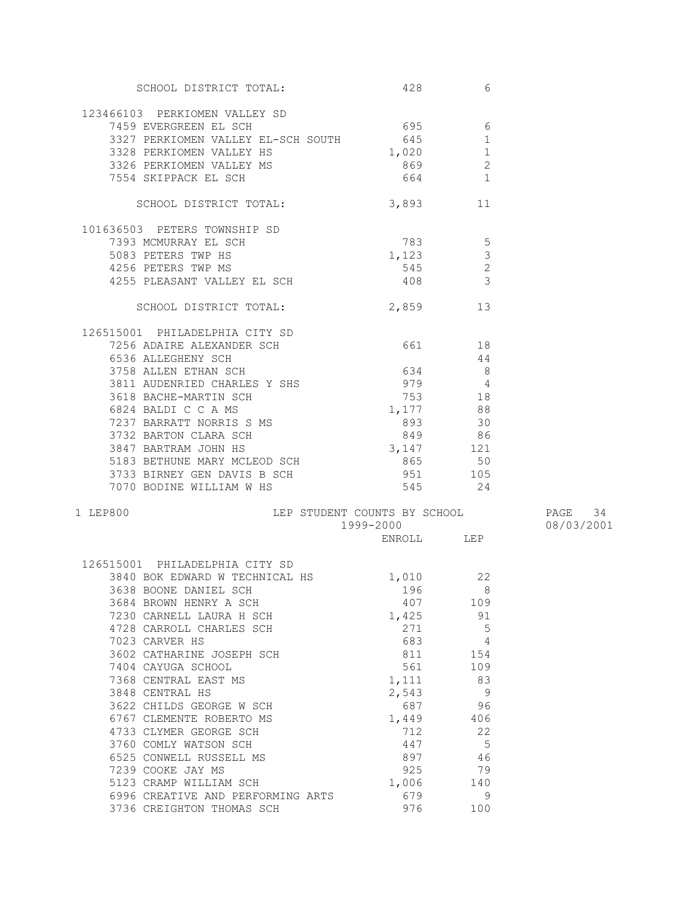| SCHOOL DISTRICT TOTAL:                                                                  | 428               | 6              |            |
|-----------------------------------------------------------------------------------------|-------------------|----------------|------------|
|                                                                                         |                   |                |            |
| 123466103 PERKIOMEN VALLEY SD                                                           |                   |                |            |
| 7459 EVERGREEN EL SCH                                                                   | 695 6             |                |            |
| 3327 PERKIOMEN VALLEY EL-SCH SOUTH 645                                                  |                   | 1              |            |
| 3328 PERKIOMEN VALLEY HS<br>3326 PERKIOMEN VALLEY MS                                    | $1,020$ 1         |                |            |
|                                                                                         | 869 30            | 2              |            |
| 7554 SKIPPACK EL SCH                                                                    | 664 1             |                |            |
| SCHOOL DISTRICT TOTAL:                                                                  | 3,893 11          |                |            |
|                                                                                         |                   |                |            |
| 101636503 PETERS TOWNSHIP SD                                                            |                   |                |            |
| 7393 MCMURRAY EL SCH                                                                    | 783 5             |                |            |
| 5083 PETERS TWP HS                                                                      | $1,123$ 3         |                |            |
| 4256 PETERS TWP MS                                                                      | $545$ 2           |                |            |
| 4255 PLEASANT VALLEY EL SCH 408 408                                                     |                   |                |            |
| SCHOOL DISTRICT TOTAL:                                                                  | 2,859 13          |                |            |
|                                                                                         |                   |                |            |
| 126515001 PHILADELPHIA CITY SD<br>7256 ADAIRE ALEXANDER SCH                             | 661 18            |                |            |
| 6536 ALLEGHENY SCH                                                                      |                   | -44            |            |
| 3758 ALLEN ETHAN SCH                                                                    | $634$ 8           |                |            |
|                                                                                         | $979$ 4           |                |            |
| 3811 AUDENRIED CHARLES Y SHS<br>3618 BACHE-MARTIN SCH                                   | 753 18            |                |            |
| 6824 BALDI C C A MS                                                                     |                   |                |            |
| 7237 BARRATT NORRIS S MS                                                                | $1,177$ 88        |                |            |
| 3732 BARTON CLARA SCH                                                                   | $893$ 30          |                |            |
|                                                                                         | 849 86            |                |            |
| 3847 BARTRAM JOHN HS                                                                    | $3,147$ 121       |                |            |
|                                                                                         | 865 50<br>951 105 |                |            |
| 5183 BETHUNE MARY MCLEOD SCH<br>3733 BIRNEY GEN DAVIS B SCH<br>7070 BODINE WILLIAM W HS | $545$ 24          |                |            |
|                                                                                         |                   |                |            |
| LEP STUDENT COUNTS BY SCHOOL FAGE 34<br>1 LEP800                                        |                   |                |            |
|                                                                                         | 1999-2000         |                | 08/03/2001 |
|                                                                                         | ENROLL LEP        |                |            |
| 126515001 PHILADELPHIA CITY SD                                                          |                   |                |            |
| 3840 BOK EDWARD W TECHNICAL HS 1,010                                                    |                   | 22             |            |
| 3638 BOONE DANIEL SCH                                                                   | 196 8             |                |            |
| 3684 BROWN HENRY A SCH                                                                  | 407               | - 109          |            |
| 7230 CARNELL LAURA H SCH                                                                | 1,425             | 91             |            |
| 4728 CARROLL CHARLES SCH                                                                | 271               | $5^{\circ}$    |            |
| 7023 CARVER HS                                                                          | 683               | 4              |            |
| 3602 CATHARINE JOSEPH SCH                                                               | 811               | 154            |            |
| 7404 CAYUGA SCHOOL                                                                      | 561               | 109            |            |
| 7368 CENTRAL EAST MS                                                                    | 1,111             | 83             |            |
| 3848 CENTRAL HS                                                                         | 2,543             | $\overline{9}$ |            |
| 3622 CHILDS GEORGE W SCH                                                                | 687               | 96             |            |
| 6767 CLEMENTE ROBERTO MS                                                                | 1,449             | 406            |            |
| 4733 CLYMER GEORGE SCH                                                                  | 712               | 22             |            |
| 3760 COMLY WATSON SCH                                                                   | 447               | $-5$           |            |
| 6525 CONWELL RUSSELL MS                                                                 | 897               | 46             |            |
| 7239 COOKE JAY MS                                                                       | 925               | 79             |            |
| 5123 CRAMP WILLIAM SCH                                                                  | 1,006             | 140            |            |
| 6996 CREATIVE AND PERFORMING ARTS                                                       | 679               | - 9            |            |
| 3736 CREIGHTON THOMAS SCH                                                               | 976               | 100            |            |
|                                                                                         |                   |                |            |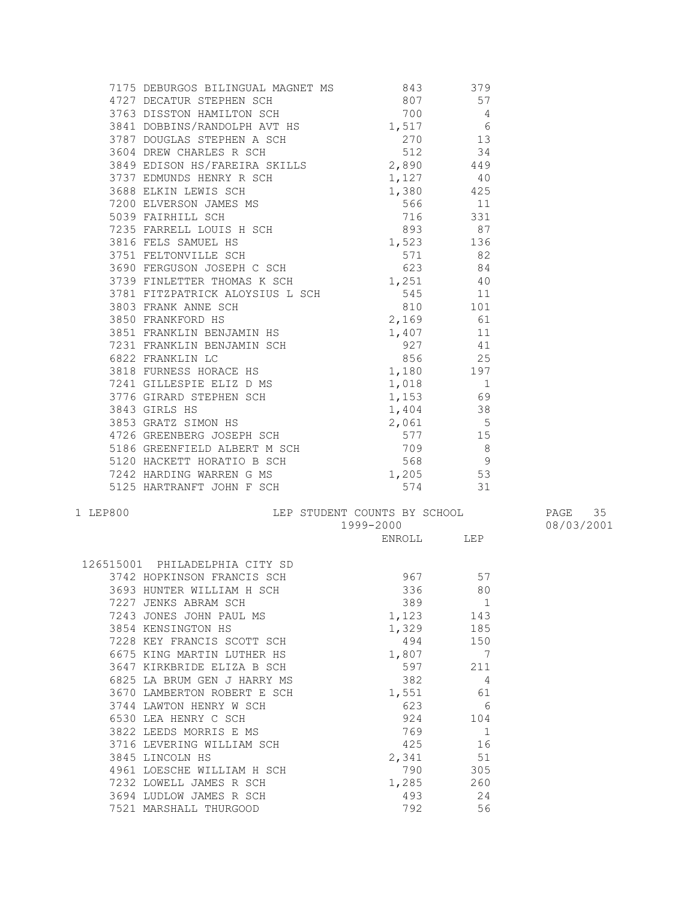| 7175 DEBURGOS BILINGUAL MAGNET MS<br>4727 DECATUR STEPHEN SCH<br>3763 DISSTON HAMILTON SCH<br>3841 DOBBINS/RANDLTON SCH<br>3841 DOBBINS/RANDLDH AVT HS<br>3841 DOBBINS/RANDLDH AVT HS<br>3841 1517 |           |  |
|----------------------------------------------------------------------------------------------------------------------------------------------------------------------------------------------------|-----------|--|
|                                                                                                                                                                                                    |           |  |
|                                                                                                                                                                                                    |           |  |
|                                                                                                                                                                                                    |           |  |
|                                                                                                                                                                                                    |           |  |
|                                                                                                                                                                                                    |           |  |
|                                                                                                                                                                                                    |           |  |
|                                                                                                                                                                                                    |           |  |
|                                                                                                                                                                                                    |           |  |
|                                                                                                                                                                                                    |           |  |
|                                                                                                                                                                                                    |           |  |
|                                                                                                                                                                                                    |           |  |
|                                                                                                                                                                                                    |           |  |
|                                                                                                                                                                                                    |           |  |
|                                                                                                                                                                                                    |           |  |
|                                                                                                                                                                                                    |           |  |
|                                                                                                                                                                                                    |           |  |
|                                                                                                                                                                                                    |           |  |
|                                                                                                                                                                                                    |           |  |
|                                                                                                                                                                                                    |           |  |
|                                                                                                                                                                                                    |           |  |
|                                                                                                                                                                                                    |           |  |
|                                                                                                                                                                                                    |           |  |
|                                                                                                                                                                                                    |           |  |
|                                                                                                                                                                                                    |           |  |
|                                                                                                                                                                                                    |           |  |
|                                                                                                                                                                                                    |           |  |
|                                                                                                                                                                                                    |           |  |
|                                                                                                                                                                                                    |           |  |
|                                                                                                                                                                                                    |           |  |
|                                                                                                                                                                                                    |           |  |
| 5125 HARTRANFT JOHN F SCH                                                                                                                                                                          | 574 31    |  |
| 1 LEP<br>800 LEP STUDENT COUNTS BY SCHOOL PAGE 35 1999-2000 D8/03/2001 ENROLL LEP                                                                                                                  |           |  |
|                                                                                                                                                                                                    |           |  |
|                                                                                                                                                                                                    |           |  |
| 126515001 PHILADELPHIA CITY SD<br>3742 HOPKINSON FRANCIS SCH<br>3693 HUNTER WILLIAM H SCH<br>7227 JENKS ABRAM SCH<br>7243 JONES JOHN PAUL MS<br>3854 KENSINGTON HS<br>1,123<br>1,329<br>185        |           |  |
|                                                                                                                                                                                                    |           |  |
|                                                                                                                                                                                                    |           |  |
|                                                                                                                                                                                                    |           |  |
|                                                                                                                                                                                                    |           |  |
| 3854 KENSINGTON HS                                                                                                                                                                                 | 1,329 185 |  |

|      | 126515001 PHILADELPHIA CITY SD |       |     |
|------|--------------------------------|-------|-----|
|      | 3742 HOPKINSON FRANCIS SCH     | 967   | 57  |
| 3693 | HUNTER WILLIAM H SCH           | 336   | 80  |
|      | 7227 JENKS ABRAM SCH           | 389   | 1   |
|      | 7243 JONES JOHN PAUL MS        | 1,123 | 143 |
|      | 3854 KENSINGTON HS             | 1,329 | 185 |
|      | 7228 KEY FRANCIS SCOTT SCH     | 494   | 150 |
|      | 6675 KING MARTIN LUTHER HS     | 1,807 | 7   |
|      | 3647 KIRKBRIDE ELIZA B SCH     | 597   | 211 |
|      | 6825 LA BRUM GEN J HARRY MS    | 382   | 4   |
|      | 3670 LAMBERTON ROBERT E SCH    | 1,551 | 61  |
|      | 3744 LAWTON HENRY W SCH        | 623   | 6   |
|      | 6530 LEA HENRY C SCH           | 924   | 104 |
|      | 3822 LEEDS MORRIS E MS         | 769   | 1   |
|      | 3716 LEVERING WILLIAM SCH      | 425   | 16  |
|      | 3845 LINCOLN HS                | 2,341 | 51  |
|      | 4961 LOESCHE WILLIAM H SCH     | 790   | 305 |
|      | 7232 LOWELL JAMES R SCH        | 1,285 | 260 |
| 3694 | LUDLOW JAMES R SCH             | 493   | 2.4 |
| 7521 | MARSHALL THURGOOD              | 792   | 56  |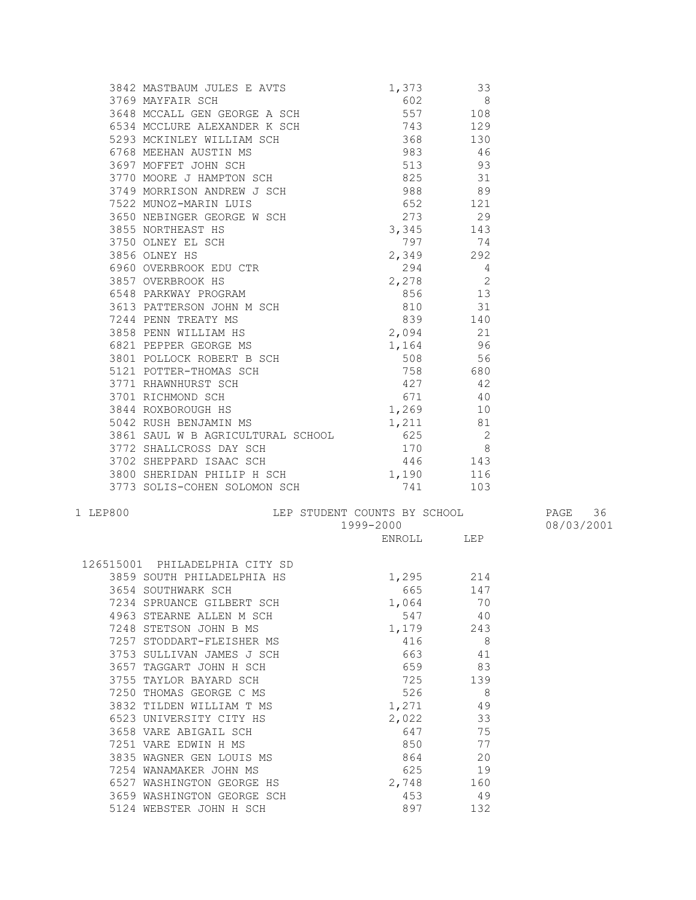| 1 LEP800 | LEP STUDENT COUNTS BY SCHOOL PAGE 36<br>1999-2000 PAGE 36<br>ENDOLL LEP |            |  |
|----------|-------------------------------------------------------------------------|------------|--|
|          |                                                                         |            |  |
|          |                                                                         | ENROLL LEP |  |
|          | 126515001 PHILADELPHIA CITY SD                                          |            |  |

| 126515001 PHILADELPHIA CITY SD |          |     |
|--------------------------------|----------|-----|
| 3859 SOUTH PHILADELPHIA HS     | 1,295    | 214 |
| 3654 SOUTHWARK SCH             | 665 — 10 | 147 |
| 7234 SPRUANCE GILBERT SCH      | 1,064    | 70  |
| 4963 STEARNE ALLEN M SCH       | 547      | 40  |
| 7248<br>STETSON JOHN B MS      | 1,179    | 243 |
| 7257<br>STODDART-FLEISHER MS   | 416      | 8   |
| 3753 SULLIVAN JAMES J SCH      | 663      | 41  |
| 3657<br>TAGGART JOHN H SCH     | 659      | 83  |
| 3755 TAYLOR BAYARD SCH         | 725      | 139 |
| 7250 THOMAS GEORGE C MS        | 526      | - 8 |
| 3832 TILDEN WILLIAM T MS       | 1,271    | 49  |
| 6523 UNIVERSITY CITY HS        | 2,022    | 33  |
| 3658 VARE ABIGAIL SCH          | 647      | 75  |
| 7251 VARE EDWIN H MS           | 850      | 77  |
| WAGNER GEN LOUIS MS<br>3835    | 864      | 20  |
| 7254<br>WANAMAKER JOHN MS      | 625      | 19  |
| 6527 WASHINGTON GEORGE HS      | 2,748    | 160 |
| 3659<br>WASHINGTON GEORGE SCH  | 453      | 49  |
| 5124 WEBSTER JOHN H SCH        | 897 — 10 | 132 |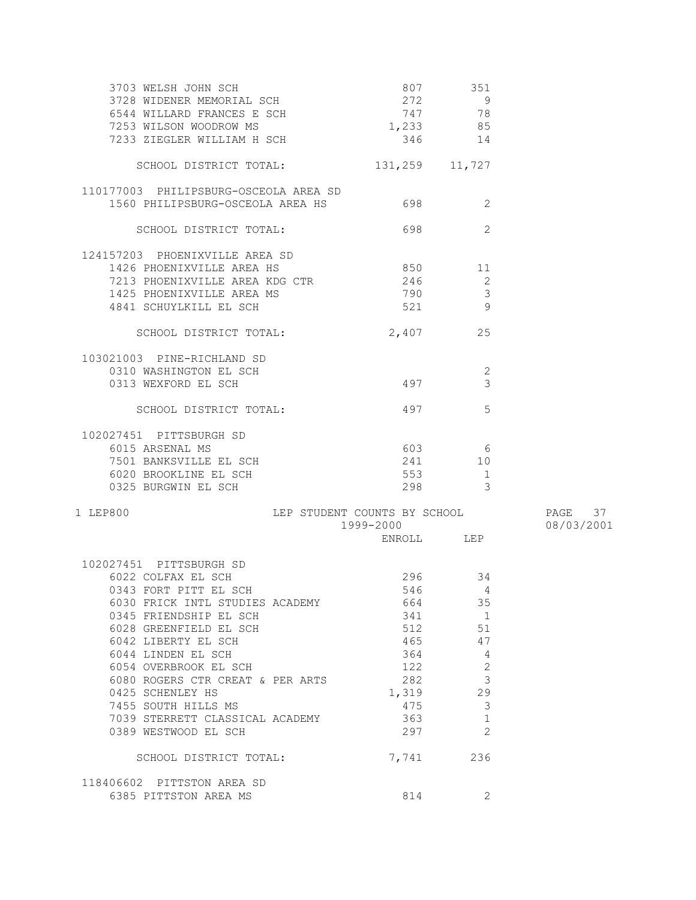| 3703 WELSH JOHN SCH<br>3728 WIDENER MEMORIAL SCH<br>6544 WILLARD FRANCES E SCH<br>7253 WILSON WOODROW MS<br>7233 ZIEGLER WILLIAM H SCH | 807<br>272<br>$747$ $78$<br>1,233 85<br>346 | 351<br>- 9<br>14 |            |
|----------------------------------------------------------------------------------------------------------------------------------------|---------------------------------------------|------------------|------------|
| SCHOOL DISTRICT TOTAL:                                                                                                                 | 131,259 11,727                              |                  |            |
| 110177003 PHILIPSBURG-OSCEOLA AREA SD<br>1560 PHILIPSBURG-OSCEOLA AREA HS 698                                                          |                                             | 2                |            |
| SCHOOL DISTRICT TOTAL:                                                                                                                 | 698                                         | 2                |            |
| 124157203 PHOENIXVILLE AREA SD                                                                                                         |                                             |                  |            |
| 1426 PHOENIXVILLE AREA HS                                                                                                              | 850 11                                      |                  |            |
| 7213 PHOENIXVILLE AREA KDG CTR                                                                                                         | 246 2                                       |                  |            |
| 1425 PHOENIXVILLE AREA MS                                                                                                              | 790 3                                       |                  |            |
| 4841 SCHUYLKILL EL SCH                                                                                                                 | 521 9                                       |                  |            |
| SCHOOL DISTRICT TOTAL:                                                                                                                 | 2,407 25                                    |                  |            |
| 103021003 PINE-RICHLAND SD                                                                                                             |                                             |                  |            |
| 0310 WASHINGTON EL SCH                                                                                                                 |                                             | 2                |            |
| 0313 WEXFORD EL SCH                                                                                                                    | 497                                         | 3                |            |
| SCHOOL DISTRICT TOTAL:                                                                                                                 | 497                                         | - 5              |            |
| 102027451 PITTSBURGH SD                                                                                                                |                                             |                  |            |
| 6015 ARSENAL MS                                                                                                                        |                                             | 603 6            |            |
| 7501 BANKSVILLE EL SCH                                                                                                                 | 241                                         | 10               |            |
| 6020 BROOKLINE EL SCH                                                                                                                  | 553                                         | $\overline{1}$   |            |
| 0325 BURGWIN EL SCH                                                                                                                    |                                             | 298 3            |            |
| LEP STUDENT COUNTS BY SCHOOL TAGE 37<br>1 LEP800                                                                                       |                                             |                  |            |
|                                                                                                                                        | 1999-2000                                   |                  | 08/03/2001 |
|                                                                                                                                        | ENROLL LEP                                  |                  |            |
| 102027451 PITTSBURGH SD                                                                                                                |                                             |                  |            |
| 6022 COLFAX EL SCH                                                                                                                     |                                             | 296 34           |            |
| 0343 FORT PITT EL SCH                                                                                                                  |                                             | 546 4            |            |
| 6030 FRICK INTL STUDIES ACADEMY                                                                                                        | 664                                         | 35               |            |
| 0345 FRIENDSHIP EL SCH                                                                                                                 | 341                                         | $\overline{1}$   |            |
| 6028 GREENFIELD EL SCH                                                                                                                 | 512                                         | 51               |            |
| 6042 LIBERTY EL SCH                                                                                                                    | 465                                         | 47               |            |
| 6044 LINDEN EL SCH                                                                                                                     | 364                                         | 4                |            |
| 6054 OVERBROOK EL SCH                                                                                                                  | 122                                         | $\sqrt{2}$       |            |
| 6080 ROGERS CTR CREAT & PER ARTS                                                                                                       | 282                                         | 3                |            |
| 0425 SCHENLEY HS                                                                                                                       | 1,319                                       | 29               |            |
| 7455 SOUTH HILLS MS                                                                                                                    | 475                                         | 3                |            |
| 7039 STERRETT CLASSICAL ACADEMY                                                                                                        | 363                                         | $\mathbf 1$      |            |
| 0389 WESTWOOD EL SCH                                                                                                                   | 297                                         | $\overline{2}$   |            |
| SCHOOL DISTRICT TOTAL:                                                                                                                 | 7,741                                       | 236              |            |
| 118406602 PITTSTON AREA SD                                                                                                             |                                             |                  |            |
| 6385 PITTSTON AREA MS                                                                                                                  | 814                                         | 2                |            |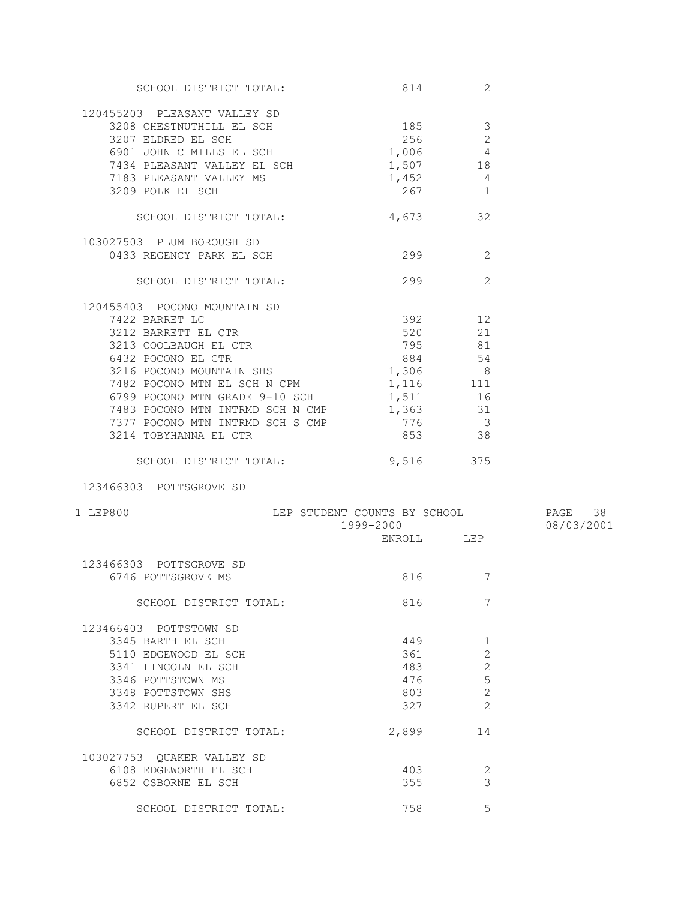| SCHOOL DISTRICT TOTAL:                                                          | 814                          | 2                        |            |
|---------------------------------------------------------------------------------|------------------------------|--------------------------|------------|
| 120455203 PLEASANT VALLEY SD                                                    |                              |                          |            |
|                                                                                 |                              | 3                        |            |
| 3208 CHESTNUTHILL EL SCH<br>3207 ELDRED EL SCH<br>3207 ELDRED EL SCH            | 256                          | $\overline{2}$           |            |
| 6901 JOHN C MILLS EL SCH                                                        | $1,006$ 4                    |                          |            |
|                                                                                 | 1,507                        |                          |            |
| 7434 PLEASANT VALLEY EL SCH<br>7183 PLEASANT VALLEY MS                          |                              | 18<br>$\overline{4}$     |            |
| 3209 POLK EL SCH                                                                | 1,452<br>267                 | 1                        |            |
|                                                                                 |                              |                          |            |
| SCHOOL DISTRICT TOTAL:                                                          | 4,673                        | 32                       |            |
| 103027503 PLUM BOROUGH SD                                                       |                              |                          |            |
| 0433 REGENCY PARK EL SCH                                                        | 299                          | 2                        |            |
| SCHOOL DISTRICT TOTAL:                                                          | 299                          | 2                        |            |
| 120455403 POCONO MOUNTAIN SD                                                    |                              |                          |            |
|                                                                                 | 392 12                       |                          |            |
| 3212 BARRETT EL CTR<br>3213 COOLBAUGH EL CTR<br>6432 POCONO EL CTR<br>3216 POCO | 520 21                       |                          |            |
|                                                                                 | 795 81                       |                          |            |
|                                                                                 | 884 54                       |                          |            |
| 3216 POCONO MOUNTAIN SHS                                                        | 1,306 8                      |                          |            |
| 7482 POCONO MTN EL SCH N CPM                                                    | 1, 116 111                   |                          |            |
| 6799 POCONO MTN GRADE 9-10 SCH                                                  | 1,511                        |                          |            |
| 7483 POCONO MTN INTRMD SCH N CMP                                                | 1,363                        | 16<br>31                 |            |
|                                                                                 | 776                          | $\overline{\phantom{a}}$ |            |
| 7377 POCONO MTN INTRMD SCH S CMP<br>3214 TOBYHANNA EL CTR                       | 853 38                       |                          |            |
|                                                                                 |                              |                          |            |
| SCHOOL DISTRICT TOTAL:                                                          | 9,516                        | 375                      |            |
| 123466303 POTTSGROVE SD                                                         |                              |                          |            |
| 1 LEP800                                                                        | LEP STUDENT COUNTS BY SCHOOL |                          | PAGE 38    |
|                                                                                 | 1999-2000                    |                          | 08/03/2001 |
|                                                                                 | ENROLL LEP                   |                          |            |
| 123466303 POTTSGROVE SD                                                         |                              |                          |            |
| 6746 POTTSGROVE MS                                                              | 816 — 10                     | 7                        |            |
| SCHOOL DISTRICT TOTAL:                                                          | 816                          | 7                        |            |
| 123466403 POTTSTOWN SD                                                          |                              |                          |            |
| 3345 BARTH EL SCH                                                               | 449                          | 1                        |            |
| 5110 EDGEWOOD EL SCH                                                            | 361                          | $\overline{2}$           |            |
| 3341 LINCOLN EL SCH                                                             | 483                          | $\mathbf{2}$             |            |
| 3346 POTTSTOWN MS                                                               | 476                          | 5                        |            |
| 3348 POTTSTOWN SHS                                                              | 803                          | $\overline{c}$           |            |
| 3342 RUPERT EL SCH                                                              | 327                          | $\overline{2}$           |            |
| SCHOOL DISTRICT TOTAL:                                                          | 2,899                        | 14                       |            |
|                                                                                 |                              |                          |            |
| 103027753 QUAKER VALLEY SD                                                      |                              |                          |            |
| 6108 EDGEWORTH EL SCH                                                           | 403                          | 2                        |            |
| 6852 OSBORNE EL SCH                                                             | 355                          | 3                        |            |
|                                                                                 |                              |                          |            |
| SCHOOL DISTRICT TOTAL:                                                          | 758                          | 5                        |            |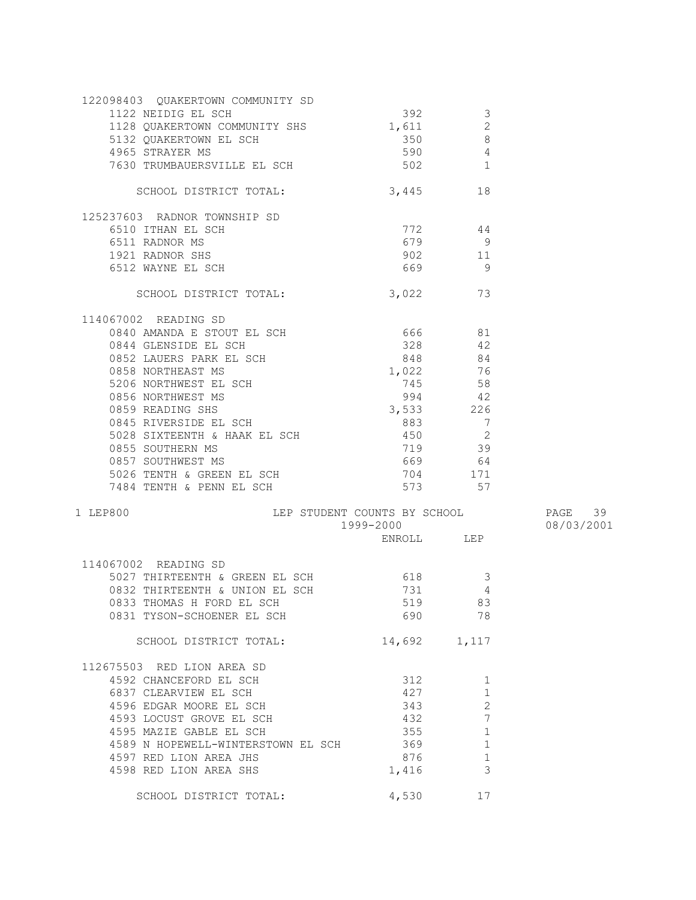| 122098403 QUAKERTOWN COMMUNITY SD                                                                                                                                                                                                                  |                    |                                       |            |
|----------------------------------------------------------------------------------------------------------------------------------------------------------------------------------------------------------------------------------------------------|--------------------|---------------------------------------|------------|
| 1122 NEIDIG EL SCH                                                                                                                                                                                                                                 | 392                | $\mathcal{S}$                         |            |
|                                                                                                                                                                                                                                                    |                    |                                       |            |
|                                                                                                                                                                                                                                                    |                    | $\begin{array}{c} 2 \\ 8 \end{array}$ |            |
| 1128 QUAKERTOWN COMMUNITY SHS<br>5132 QUAKERTOWN EL SCH<br>4965 STRAYER MS<br>7630 TDIMOALIPROVITIE TO ACT                                                                                                                                         | $590$ 4            |                                       |            |
| 7630 TRUMBAUERSVILLE EL SCH 502 1                                                                                                                                                                                                                  |                    |                                       |            |
|                                                                                                                                                                                                                                                    |                    |                                       |            |
| SCHOOL DISTRICT TOTAL:                                                                                                                                                                                                                             | 3,445 18           |                                       |            |
| 125237603 RADNOR TOWNSHIP SD                                                                                                                                                                                                                       |                    |                                       |            |
|                                                                                                                                                                                                                                                    |                    |                                       |            |
| 6510 ITHAN EL SCH<br>6511 RADNOR MS                                                                                                                                                                                                                | $772$ 44<br>$44$ 9 |                                       |            |
| 6511 RADNOR MS<br>1921 RADNOR SHS<br>6512 WAYNE EL SCH                                                                                                                                                                                             |                    | $902$ 11                              |            |
|                                                                                                                                                                                                                                                    | 669 9              |                                       |            |
|                                                                                                                                                                                                                                                    |                    |                                       |            |
| SCHOOL DISTRICT TOTAL: 3,022 73                                                                                                                                                                                                                    |                    |                                       |            |
| 114067002 READING SD                                                                                                                                                                                                                               |                    |                                       |            |
| 0840 AMANDA E STOUT EL SCH<br>0840 AMANDA E STOUT EL SCH<br>0852 LAUERS PARK EL SCH<br>0852 LAUERS PARK EL SCH<br>0858 NORTHEAST MS<br>5206 NORTHWEST EL SCH<br>0856 NORTHWEST MS<br>0856 NORTHWEST MS<br>0859 READING SHS<br>0859 READING SHS<br> |                    |                                       |            |
|                                                                                                                                                                                                                                                    |                    |                                       |            |
|                                                                                                                                                                                                                                                    |                    |                                       |            |
|                                                                                                                                                                                                                                                    |                    |                                       |            |
|                                                                                                                                                                                                                                                    |                    |                                       |            |
|                                                                                                                                                                                                                                                    |                    |                                       |            |
|                                                                                                                                                                                                                                                    |                    |                                       |            |
| 0859 READING SHS                                                                                                                                                                                                                                   | $3,533$ 226        |                                       |            |
| 0845 RIVERSIDE EL SCH                                                                                                                                                                                                                              |                    |                                       |            |
|                                                                                                                                                                                                                                                    |                    |                                       |            |
| 0855 SOUTHERN MS<br>0857 SOUTHWEST MS                                                                                                                                                                                                              |                    | 719 39                                |            |
|                                                                                                                                                                                                                                                    | 669 64<br>704 171  |                                       |            |
|                                                                                                                                                                                                                                                    |                    |                                       |            |
| 5026 TENTH & GREEN EL SCH<br>7484 TENTH & PENN EL SCH                                                                                                                                                                                              |                    | $573$ $57$                            |            |
|                                                                                                                                                                                                                                                    |                    |                                       |            |
| LEP STUDENT COUNTS BY SCHOOL PAGE 39<br>1999-2000 D8/03/2001<br>ENROLL LEP<br>1 LEP800                                                                                                                                                             |                    |                                       |            |
|                                                                                                                                                                                                                                                    |                    |                                       | 08/03/2001 |
|                                                                                                                                                                                                                                                    |                    |                                       |            |
| 114067002 READING SD                                                                                                                                                                                                                               |                    |                                       |            |
| 5027 THIRTEENTH & GREEN EL SCH 618<br>0832 THIRTEENTH & UNION EL SCH 731<br>0832 THIRTEENTH & UNION EL SCH 731                                                                                                                                     |                    | $\overline{\mathbf{3}}$               |            |
|                                                                                                                                                                                                                                                    |                    | $\overline{4}$                        |            |
| 0833 THOMAS H FORD EL SCH 519 83                                                                                                                                                                                                                   |                    |                                       |            |
| 0831 TYSON-SCHOENER EL SCH                                                                                                                                                                                                                         | 690                | 78                                    |            |
|                                                                                                                                                                                                                                                    |                    |                                       |            |
| SCHOOL DISTRICT TOTAL:                                                                                                                                                                                                                             | 14,692 1,117       |                                       |            |
| 112675503 RED LION AREA SD                                                                                                                                                                                                                         |                    |                                       |            |
| 4592 CHANCEFORD EL SCH                                                                                                                                                                                                                             | 312                | 1                                     |            |
| 6837 CLEARVIEW EL SCH                                                                                                                                                                                                                              | 427                | $\mathbf 1$                           |            |
| 4596 EDGAR MOORE EL SCH                                                                                                                                                                                                                            | 343                | $\mathbf{2}$                          |            |
| 4593 LOCUST GROVE EL SCH                                                                                                                                                                                                                           | 432                | $7\phantom{.0}$                       |            |
| 4595 MAZIE GABLE EL SCH                                                                                                                                                                                                                            | 355                | $\mathbf 1$                           |            |
|                                                                                                                                                                                                                                                    |                    |                                       |            |
| 4589 N HOPEWELL-WINTERSTOWN EL SCH                                                                                                                                                                                                                 | 369                | 1                                     |            |
| 4597 RED LION AREA JHS                                                                                                                                                                                                                             | 876                | 1                                     |            |
| 4598 RED LION AREA SHS                                                                                                                                                                                                                             | 1,416              | 3                                     |            |
| SCHOOL DISTRICT TOTAL:                                                                                                                                                                                                                             | 4,530              | 17                                    |            |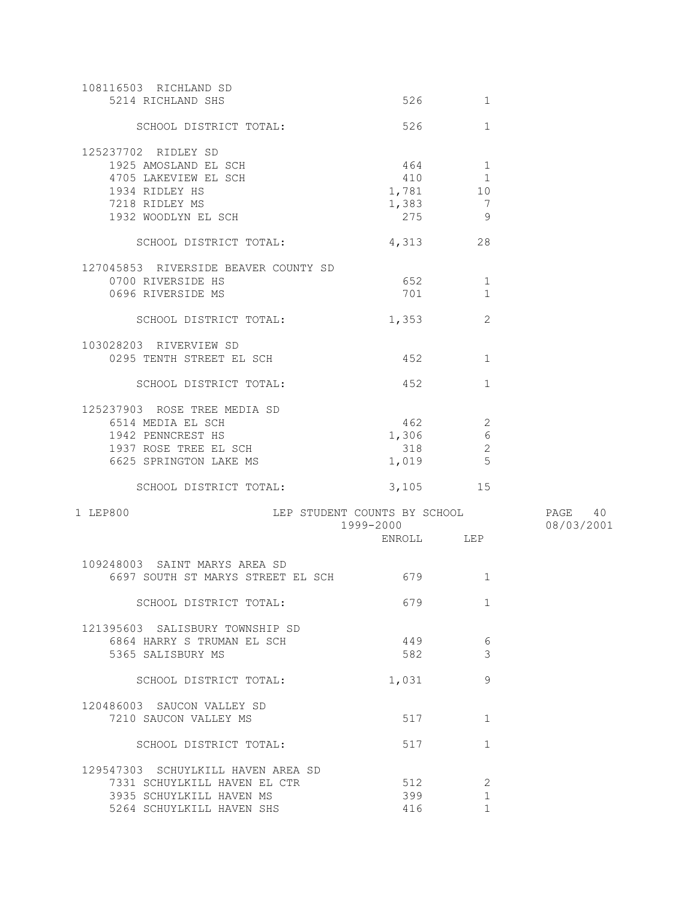| 108116503 RICHLAND SD<br>5214 RICHLAND SHS         | 526                    | 1            |            |
|----------------------------------------------------|------------------------|--------------|------------|
| SCHOOL DISTRICT TOTAL:                             | 526                    | $\mathbf{1}$ |            |
| 125237702 RIDLEY SD                                |                        |              |            |
| 1925 AMOSLAND EL SCH                               | $464$ 1                |              |            |
| 4705 LAKEVIEW EL SCH                               | 410 1                  |              |            |
| 1934 RIDLEY HS                                     | 1,781 10               |              |            |
| 7218 RIDLEY MS                                     | $1,383$ 7              |              |            |
| 1932 WOODLYN EL SCH                                | 275                    | - 9          |            |
|                                                    |                        |              |            |
| SCHOOL DISTRICT TOTAL:                             | 4,313                  | 28           |            |
| 127045853 RIVERSIDE BEAVER COUNTY SD               |                        |              |            |
| 0700 RIVERSIDE HS                                  | 652 66                 | 1            |            |
| 0696 RIVERSIDE MS                                  | 701 701                | 1            |            |
| SCHOOL DISTRICT TOTAL:                             | 1,353                  | 2            |            |
|                                                    |                        |              |            |
| 103028203 RIVERVIEW SD                             |                        |              |            |
| 0295 TENTH STREET EL SCH                           | 452 and $\overline{a}$ | $\mathbf{1}$ |            |
| SCHOOL DISTRICT TOTAL:                             | 452 452                | $\mathbf{1}$ |            |
|                                                    |                        |              |            |
| 125237903 ROSE TREE MEDIA SD                       |                        |              |            |
| 6514 MEDIA EL SCH                                  | 462                    | 2            |            |
| 1942 PENNCREST HS                                  | 1,306                  | $\epsilon$   |            |
| 1937 ROSE TREE EL SCH                              | 318                    | 2<br>5       |            |
| 6625 SPRINGTON LAKE MS                             | 1,019                  |              |            |
| SCHOOL DISTRICT TOTAL:                             | 3,105 15               |              |            |
| LEP STUDENT COUNTS BY SCHOOL 5 PAGE 40<br>1 LEP800 |                        |              |            |
|                                                    | 1999-2000              |              | 08/03/2001 |
|                                                    | ENROLL LEP             |              |            |
| 109248003 SAINT MARYS AREA SD                      |                        |              |            |
|                                                    |                        | 1            |            |
|                                                    |                        |              |            |
| SCHOOL DISTRICT TOTAL:                             | 679                    | $\mathbf{1}$ |            |
| 121395603 SALISBURY TOWNSHIP SD                    |                        |              |            |
| 6864 HARRY S TRUMAN EL SCH                         | 449                    | 6            |            |
| 5365 SALISBURY MS                                  | 582                    | 3            |            |
| SCHOOL DISTRICT TOTAL:                             | 1,031                  | 9            |            |
|                                                    |                        |              |            |
| 120486003 SAUCON VALLEY SD                         |                        |              |            |
| 7210 SAUCON VALLEY MS                              | 517                    | 1            |            |
| SCHOOL DISTRICT TOTAL:                             | 517                    | $\mathbf{1}$ |            |
| 129547303 SCHUYLKILL HAVEN AREA SD                 |                        |              |            |
| 7331 SCHUYLKILL HAVEN EL CTR                       | 512                    | 2            |            |
| 3935 SCHUYLKILL HAVEN MS                           | 399                    | 1            |            |
| 5264 SCHUYLKILL HAVEN SHS                          | 416                    | $\mathbf{1}$ |            |
|                                                    |                        |              |            |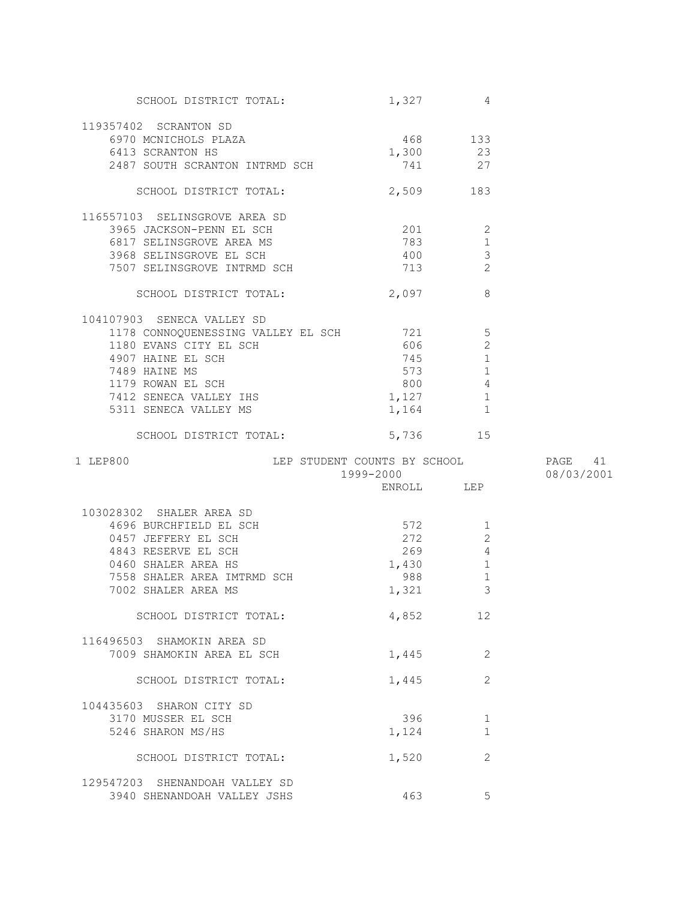| SCHOOL DISTRICT TOTAL:                                                                                                            | $1,327$ 4    |                |            |
|-----------------------------------------------------------------------------------------------------------------------------------|--------------|----------------|------------|
| 119357402 SCRANTON SD                                                                                                             |              |                |            |
| 6970 MCNICHOLS PLAZA 468 133<br>6413 SCRANTON HS 1,300 23                                                                         |              |                |            |
|                                                                                                                                   |              |                |            |
| 2487 SOUTH SCRANTON INTRMD SCH                                                                                                    | 741 27       |                |            |
|                                                                                                                                   |              |                |            |
| SCHOOL DISTRICT TOTAL:                                                                                                            | 2,509 183    |                |            |
| 116557103 SELINSGROVE AREA SD                                                                                                     |              |                |            |
|                                                                                                                                   |              |                |            |
|                                                                                                                                   |              |                |            |
|                                                                                                                                   |              |                |            |
|                                                                                                                                   |              |                |            |
| And SELINSGROVE AREA MS<br>3968 SELINSGROVE EL SCH<br>3968 SELINSGROVE EL SCH<br>3967 SELINSGROVE INTRMD SCH<br>SCHOOL DISTRIBUTE |              |                |            |
|                                                                                                                                   |              |                |            |
| 104107903 SENECA VALLEY SD                                                                                                        |              |                |            |
| 1178 CONNOQUENESSING VALLEY EL SCH 721 5                                                                                          |              |                |            |
| 1180 EVANS CITY EL SCH<br>4907 HAINE EL SCH<br>7489 HAINE MS<br>1179 ROWAN EL SCH<br>7412 SENECA VALLEY IHS                       | 606          | 2              |            |
|                                                                                                                                   | 745          | $\mathbf{1}$   |            |
|                                                                                                                                   | 573          | 1              |            |
|                                                                                                                                   | 800          | $\overline{4}$ |            |
|                                                                                                                                   | 1,127        | 1              |            |
| 5311 SENECA VALLEY MS                                                                                                             | 1,164 1      |                |            |
| SCHOOL DISTRICT TOTAL:                                                                                                            | 5,736 15     |                |            |
|                                                                                                                                   |              |                |            |
|                                                                                                                                   |              |                |            |
|                                                                                                                                   |              |                | PAGE 41    |
|                                                                                                                                   |              |                | 08/03/2001 |
| LEP STUDENT COUNTS BY SCHOOL<br>1999-2000<br>ENROLL LEP<br>1 LEP800                                                               |              |                |            |
| 103028302 SHALER AREA SD                                                                                                          |              |                |            |
|                                                                                                                                   | 572          | 1              |            |
| 28302 SHALLR ANDA OU<br>4696 BURCHFIELD EL SCH<br>0457 JEFFERY EL SCH                                                             |              | 2              |            |
| 4843 RESERVE EL SCH                                                                                                               | 272          | $\overline{4}$ |            |
| 0460 SHALER AREA HS                                                                                                               | 269          | $\mathbf{1}$   |            |
|                                                                                                                                   | 1,430        |                |            |
| 7558 SHALER AREA IMTRMD SCH<br>7002 SHALER AREA MS                                                                                | 988<br>1,321 | $1\,$<br>3     |            |
|                                                                                                                                   |              |                |            |
| SCHOOL DISTRICT TOTAL:                                                                                                            | 4,852        | 12             |            |
| 116496503 SHAMOKIN AREA SD                                                                                                        |              |                |            |
| 7009 SHAMOKIN AREA EL SCH                                                                                                         | 1,445        | 2              |            |
|                                                                                                                                   |              |                |            |
| SCHOOL DISTRICT TOTAL:                                                                                                            | 1,445        | $\overline{2}$ |            |
| 104435603 SHARON CITY SD                                                                                                          |              |                |            |
| 3170 MUSSER EL SCH                                                                                                                | 396          | 1              |            |
| 5246 SHARON MS/HS                                                                                                                 | 1,124        | $\mathbf{1}$   |            |
| SCHOOL DISTRICT TOTAL:                                                                                                            | 1,520        | 2              |            |
|                                                                                                                                   |              |                |            |
| 129547203 SHENANDOAH VALLEY SD<br>3940 SHENANDOAH VALLEY JSHS                                                                     | 463          | 5              |            |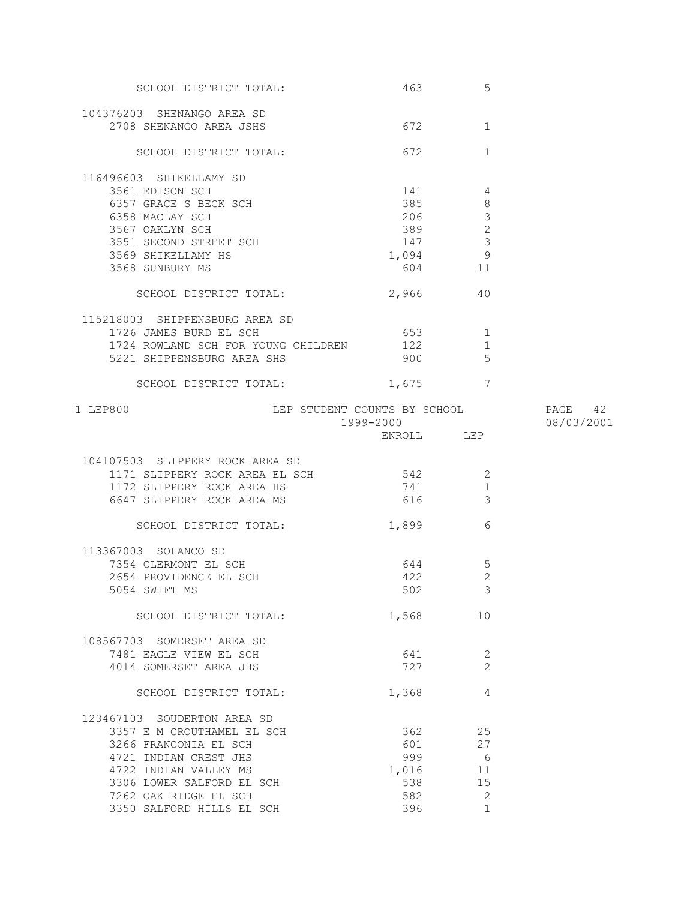| SCHOOL DISTRICT TOTAL:                   | 463        | 5                   |            |
|------------------------------------------|------------|---------------------|------------|
| 104376203 SHENANGO AREA SD               |            |                     |            |
| 2708 SHENANGO AREA JSHS                  | 672        | $\mathbf{1}$        |            |
|                                          |            |                     |            |
| SCHOOL DISTRICT TOTAL:                   | 672        | $\mathbf{1}$        |            |
| 116496603 SHIKELLAMY SD                  |            |                     |            |
| 3561 EDISON SCH                          | 141        | 4                   |            |
| 6357 GRACE S BECK SCH                    | 385        | 8                   |            |
| 6358 MACLAY SCH                          | 206        | $\mathcal{S}$       |            |
| 3567 OAKLYN SCH                          | 389        | $\mathbf{2}$        |            |
| 3551 SECOND STREET SCH                   | 147        | $\mathcal{S}$       |            |
| 3569 SHIKELLAMY HS                       | 1,094 9    |                     |            |
| 3568 SUNBURY MS                          |            | 604 11              |            |
| SCHOOL DISTRICT TOTAL:                   | 2,966      | 40                  |            |
| 115218003 SHIPPENSBURG AREA SD           |            |                     |            |
| 1726 JAMES BURD EL SCH                   | 653        | 1                   |            |
| 1724 ROWLAND SCH FOR YOUNG CHILDREN      | 122        | $\mathbf 1$         |            |
| 5221 SHIPPENSBURG AREA SHS               | 900        | -5                  |            |
| SCHOOL DISTRICT TOTAL:                   | 1,675      | 7                   |            |
| LEP STUDENT COUNTS BY SCHOOL<br>1 LEP800 |            |                     | PAGE 42    |
|                                          | 1999-2000  |                     | 08/03/2001 |
|                                          | ENROLL LEP |                     |            |
|                                          |            |                     |            |
| 104107503 SLIPPERY ROCK AREA SD          |            |                     |            |
| 1171 SLIPPERY ROCK AREA EL SCH           | 542        | -2                  |            |
| 1172 SLIPPERY ROCK AREA HS               | 741        | 1                   |            |
| 6647 SLIPPERY ROCK AREA MS               | 616        | 3                   |            |
| SCHOOL DISTRICT TOTAL:                   | 1,899      | 6                   |            |
| 113367003 SOLANCO SD                     |            |                     |            |
| 7354 CLERMONT EL SCH                     | 644        | $\overline{5}$      |            |
| 2654 PROVIDENCE EL SCH                   | 422        | $\sqrt{2}$          |            |
| 5054 SWIFT MS                            | 502        | $\mathcal{R}$       |            |
| SCHOOL DISTRICT TOTAL:                   | 1,568      | 10                  |            |
|                                          |            |                     |            |
| 108567703 SOMERSET AREA SD               |            |                     |            |
| 7481 EAGLE VIEW EL SCH                   | 641<br>727 | 2<br>$\overline{2}$ |            |
| 4014 SOMERSET AREA JHS                   |            |                     |            |
| SCHOOL DISTRICT TOTAL:                   | 1,368      | 4                   |            |
| 123467103 SOUDERTON AREA SD              |            |                     |            |
| 3357 E M CROUTHAMEL EL SCH               | 362        | 25                  |            |
| 3266 FRANCONIA EL SCH                    | 601        | 27                  |            |
| 4721 INDIAN CREST JHS                    | 999        | $6\overline{6}$     |            |
| 4722 INDIAN VALLEY MS                    | 1,016      | -11                 |            |
| 3306 LOWER SALFORD EL SCH                | 538        | 15                  |            |
| 7262 OAK RIDGE EL SCH                    | 582        | 2                   |            |
| 3350 SALFORD HILLS EL SCH                | 396        | $\mathbf{1}$        |            |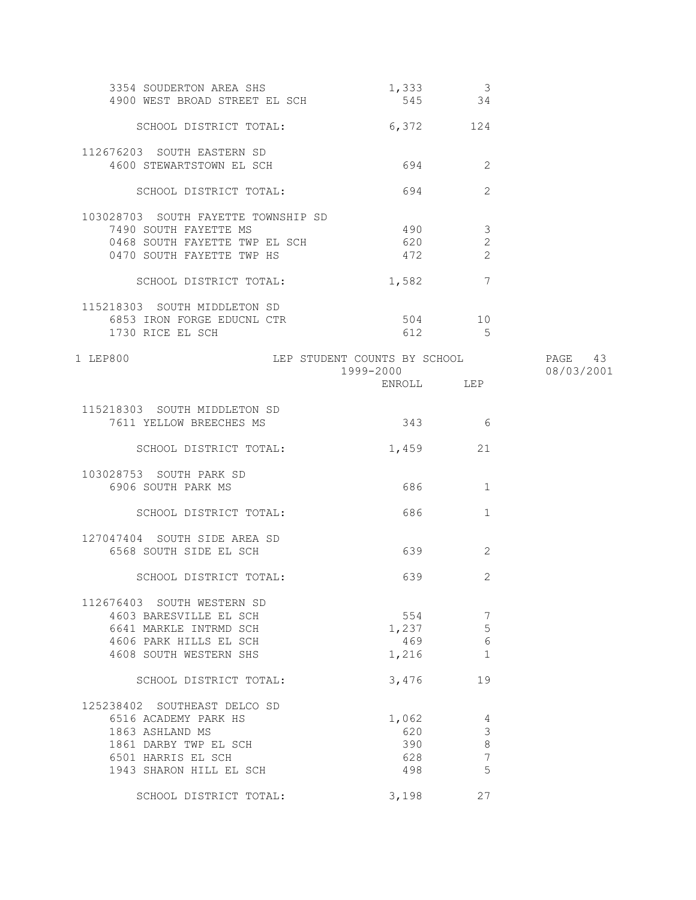| 3354 SOUDERTON AREA SHS<br>4900 WEST BROAD STREET EL SCH | 1,333<br>545 34                           | $\overline{\mathbf{3}}$ |                       |
|----------------------------------------------------------|-------------------------------------------|-------------------------|-----------------------|
| SCHOOL DISTRICT TOTAL:                                   | 6,372 124                                 |                         |                       |
| 112676203 SOUTH EASTERN SD                               |                                           |                         |                       |
| 4600 STEWARTSTOWN EL SCH                                 | 694                                       | 2                       |                       |
| SCHOOL DISTRICT TOTAL:                                   | 694                                       | 2                       |                       |
| 103028703 SOUTH FAYETTE TOWNSHIP SD                      |                                           |                         |                       |
| 7490 SOUTH FAYETTE MS                                    | 490                                       | $\mathcal{S}$           |                       |
| 0468 SOUTH FAYETTE TWP EL SCH                            | 620                                       | 2                       |                       |
| 0470 SOUTH FAYETTE TWP HS                                | 472                                       | 2                       |                       |
| SCHOOL DISTRICT TOTAL:                                   | 1,582                                     | $\overline{7}$          |                       |
| 115218303 SOUTH MIDDLETON SD                             |                                           |                         |                       |
| 6853 IRON FORGE EDUCNL CTR                               |                                           | 504 10                  |                       |
| 1730 RICE EL SCH                                         |                                           | 612 5                   |                       |
| 1 LEP800                                                 | LEP STUDENT COUNTS BY SCHOOL<br>1999-2000 |                         | PAGE 43<br>08/03/2001 |
|                                                          | ENROLL LEP                                |                         |                       |
|                                                          |                                           |                         |                       |
| 115218303 SOUTH MIDDLETON SD<br>7611 YELLOW BREECHES MS  | 343 6                                     |                         |                       |
|                                                          |                                           |                         |                       |
| SCHOOL DISTRICT TOTAL:                                   | 1,459                                     | 21                      |                       |
| 103028753 SOUTH PARK SD                                  |                                           |                         |                       |
| 6906 SOUTH PARK MS                                       | 686                                       | 1                       |                       |
| SCHOOL DISTRICT TOTAL:                                   | 686                                       | $\mathbf{1}$            |                       |
| 127047404 SOUTH SIDE AREA SD                             |                                           |                         |                       |
| 6568 SOUTH SIDE EL SCH                                   | 639                                       | 2                       |                       |
| SCHOOL DISTRICT TOTAL:                                   | 639                                       | 2                       |                       |
| 112676403 SOUTH WESTERN SD                               |                                           |                         |                       |
| 4603 BARESVILLE EL SCH                                   | 554                                       | 7                       |                       |
| 6641 MARKLE INTRMD SCH                                   | 1,237                                     | 5                       |                       |
| 4606 PARK HILLS EL SCH                                   | 469                                       | 6                       |                       |
| 4608 SOUTH WESTERN SHS                                   | 1,216                                     | $\mathbf{1}$            |                       |
|                                                          |                                           |                         |                       |
| SCHOOL DISTRICT TOTAL:                                   | 3,476                                     | 19                      |                       |
| 125238402 SOUTHEAST DELCO SD                             |                                           |                         |                       |
| 6516 ACADEMY PARK HS                                     | 1,062                                     | $\overline{4}$          |                       |
| 1863 ASHLAND MS                                          | 620                                       | $\mathfrak{Z}$          |                       |
| 1861 DARBY TWP EL SCH                                    | 390                                       | $\,8\,$                 |                       |
| 6501 HARRIS EL SCH                                       | 628                                       | $\boldsymbol{7}$        |                       |
| 1943 SHARON HILL EL SCH                                  | 498                                       | 5                       |                       |
| SCHOOL DISTRICT TOTAL:                                   | 3,198                                     | 27                      |                       |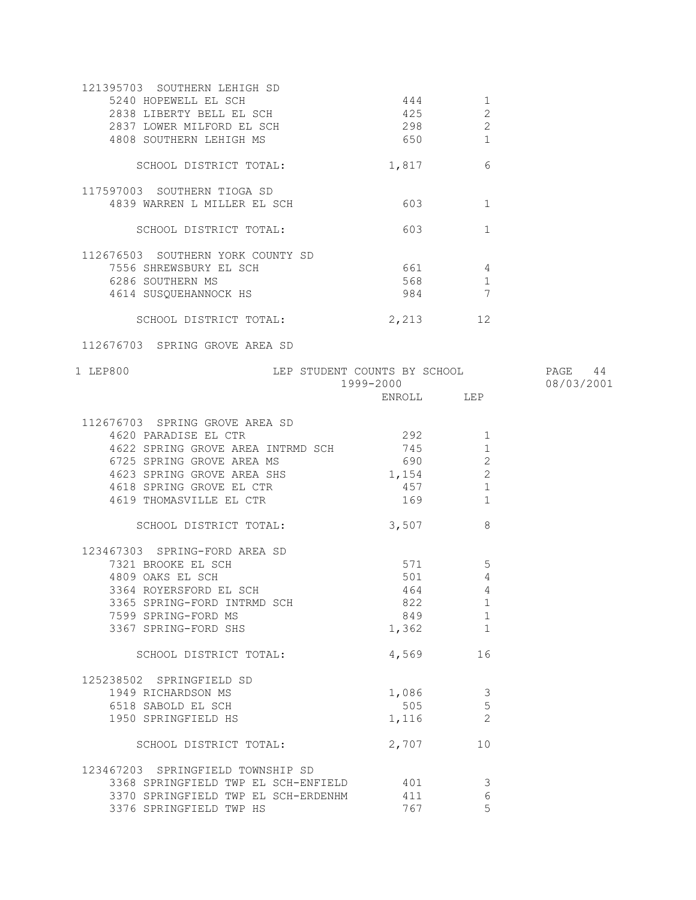| 121395703 SOUTHERN LEHIGH SD<br>5240 HOPEWELL EL SCH<br>2838 LIBERTY BELL EL SCH<br>2837 LOWER MILFORD EL SCH | 444<br>425<br>298 | 1<br>$\mathbf{2}$<br>2 |            |
|---------------------------------------------------------------------------------------------------------------|-------------------|------------------------|------------|
| 4808 SOUTHERN LEHIGH MS                                                                                       | 650 80            | 1                      |            |
| SCHOOL DISTRICT TOTAL:                                                                                        | 1,817             | 6                      |            |
| 117597003 SOUTHERN TIOGA SD                                                                                   |                   |                        |            |
| 4839 WARREN L MILLER EL SCH                                                                                   | 603               | 1                      |            |
| SCHOOL DISTRICT TOTAL:                                                                                        | 603               | $\mathbf{1}$           |            |
| 112676503 SOUTHERN YORK COUNTY SD                                                                             |                   |                        |            |
| 7556 SHREWSBURY EL SCH                                                                                        | 661 4             |                        |            |
| 6286 SOUTHERN MS                                                                                              | 568 30            | 1                      |            |
| 4614 SUSQUEHANNOCK HS                                                                                         | 984 — 1986        | $\overline{7}$         |            |
| SCHOOL DISTRICT TOTAL:                                                                                        | 2,213             | 12                     |            |
| 112676703 SPRING GROVE AREA SD                                                                                |                   |                        |            |
| LEP STUDENT COUNTS BY SCHOOL 60 PAGE 44<br>1 LEP800                                                           | 1999-2000         |                        | 08/03/2001 |
|                                                                                                               | ENROLL LEP        |                        |            |
| 112676703 SPRING GROVE AREA SD                                                                                |                   |                        |            |
| 4620 PARADISE EL CTR                                                                                          | 292               | 1                      |            |
|                                                                                                               | 745               |                        |            |
| 4622 SPRING GROVE AREA INTRMD SCH                                                                             |                   | 1                      |            |
| 6725 SPRING GROVE AREA MS                                                                                     | 690 000           | 2                      |            |
| 4623 SPRING GROVE AREA SHS                                                                                    | 1,154             | 2                      |            |
| 4618 SPRING GROVE EL CTR                                                                                      | 457               | 1                      |            |
| 4619 THOMASVILLE EL CTR                                                                                       | 169               | $\mathbf{1}$           |            |
| SCHOOL DISTRICT TOTAL:                                                                                        | 3,507             | 8                      |            |
| 123467303 SPRING-FORD AREA SD                                                                                 |                   |                        |            |
| 7321 BROOKE EL SCH                                                                                            | 571 — 100         | 5                      |            |
| 4809 OAKS EL SCH                                                                                              | 501               | $\overline{4}$         |            |
| 3364 ROYERSFORD EL SCH                                                                                        | 464               | 4                      |            |
| 3365 SPRING-FORD INTRMD SCH                                                                                   | 822               | 1                      |            |
| 7599 SPRING-FORD MS                                                                                           | 849               | 1                      |            |
| 3367 SPRING-FORD SHS                                                                                          | 1,362             | 1                      |            |
| SCHOOL DISTRICT TOTAL:                                                                                        | 4,569             | 16                     |            |
| 125238502 SPRINGFIELD SD                                                                                      |                   |                        |            |
| 1949 RICHARDSON MS                                                                                            |                   |                        |            |
|                                                                                                               | 1,086             | $\mathcal{E}$          |            |
| 6518 SABOLD EL SCH                                                                                            | 505               | 5                      |            |
| 1950 SPRINGFIELD HS                                                                                           | 1,116             | $\overline{c}$         |            |
| SCHOOL DISTRICT TOTAL:                                                                                        | 2,707             | 10                     |            |
| 123467203 SPRINGFIELD TOWNSHIP SD                                                                             |                   |                        |            |
| 3368 SPRINGFIELD TWP EL SCH-ENFIELD                                                                           | 401               | 3                      |            |
| 3370 SPRINGFIELD TWP EL SCH-ERDENHM                                                                           | 411               | 6                      |            |
| 3376 SPRINGFIELD TWP HS                                                                                       | 767               | 5                      |            |
|                                                                                                               |                   |                        |            |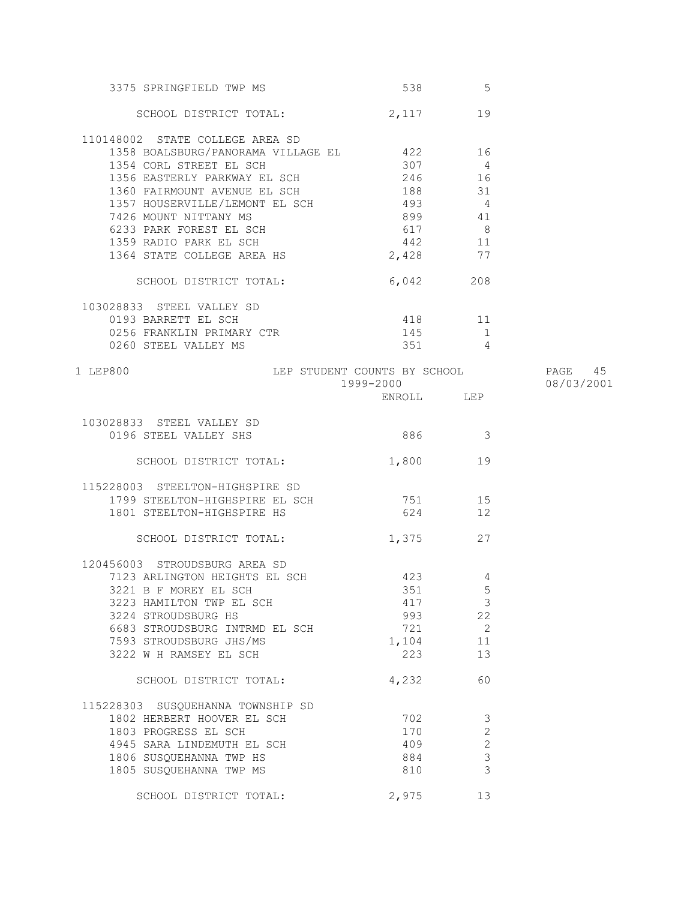| 3375 SPRINGFIELD TWP MS                                        |            | 538 5                                  |                       |
|----------------------------------------------------------------|------------|----------------------------------------|-----------------------|
| SCHOOL DISTRICT TOTAL: 2,117 19                                |            |                                        |                       |
| 110148002 STATE COLLEGE AREA SD                                |            |                                        |                       |
| 1358 BOALSBURG/PANORAMA VILLAGE EL 422 16                      |            |                                        |                       |
| 1354 CORL STREET EL SCH                                        | 307        | $\overline{4}$                         |                       |
| 1356 EASTERLY PARKWAY EL SCH 246 246                           |            |                                        |                       |
| 1360 FAIRMOUNT AVENUE EL SCH 188 188 31                        |            |                                        |                       |
| 1357 HOUSERVILLE/LEMONT EL SCH                                 | $493$ 4    |                                        |                       |
|                                                                | 899        |                                        |                       |
| 7426 MOUNT NITTANY MS                                          |            | 41                                     |                       |
| 6233 PARK FOREST EL SCH                                        | 617<br>442 | $\begin{array}{c} 8 \\ 11 \end{array}$ |                       |
| 1359 RADIO PARK EL SCH<br>1364 STATE COLLEGE AREA HS           |            | 77                                     |                       |
|                                                                | 2,428      |                                        |                       |
| SCHOOL DISTRICT TOTAL: 6,042 208                               |            |                                        |                       |
| 103028833 STEEL VALLEY SD                                      |            |                                        |                       |
| 0193 BARRETT EL SCH                                            | 418 11     |                                        |                       |
| 0256 FRANKLIN PRIMARY CTR                                      | 145        | $\overline{1}$                         |                       |
| 0260 STEEL VALLEY MS                                           |            | $351$ 4                                |                       |
| LEP STUDENT COUNTS BY SCHOOL<br>1 LEP800                       | 1999-2000  |                                        | PAGE 45<br>08/03/2001 |
|                                                                | ENROLL LEP |                                        |                       |
|                                                                |            |                                        |                       |
| 103028833 STEEL VALLEY SD                                      |            |                                        |                       |
| 0196 STEEL VALLEY SHS                                          | 886 3      |                                        |                       |
| SCHOOL DISTRICT TOTAL:                                         | 1,800      | 19                                     |                       |
| 115228003 STEELTON-HIGHSPIRE SD                                |            |                                        |                       |
| 1799 STEELTON-HIGHSPIRE EL SCH 751 15                          |            |                                        |                       |
| 1801 STEELTON-HIGHSPIRE HS                                     | 624 12     |                                        |                       |
| SCHOOL DISTRICT TOTAL: 1,375 27                                |            |                                        |                       |
|                                                                |            |                                        |                       |
| 120456003 STROUDSBURG AREA SD<br>7123 ARLINGTON HEIGHTS EL SCH | 423        | 4                                      |                       |
|                                                                |            |                                        |                       |
| 3221 B F MOREY EL SCH                                          |            | 351 5                                  |                       |
| 3223 HAMILTON TWP EL SCH                                       | 417        | $\overline{\mathbf{3}}$                |                       |
| 3224 STROUDSBURG HS                                            | 993        | 22                                     |                       |
| 6683 STROUDSBURG INTRMD EL SCH                                 | 721        | $\overline{2}$                         |                       |
| 7593 STROUDSBURG JHS/MS                                        | 1,104      | 11                                     |                       |
| 3222 W H RAMSEY EL SCH                                         | 223        | 13                                     |                       |
| SCHOOL DISTRICT TOTAL:                                         | 4,232      | 60                                     |                       |
| 115228303 SUSQUEHANNA TOWNSHIP SD                              |            |                                        |                       |
| 1802 HERBERT HOOVER EL SCH                                     | 702        | $\overline{\mathbf{3}}$                |                       |
| 1803 PROGRESS EL SCH                                           | 170        | $\mathbf{2}$                           |                       |
| 4945 SARA LINDEMUTH EL SCH                                     | 409        | 2                                      |                       |
| 1806 SUSQUEHANNA TWP HS                                        | 884        | $\mathfrak{Z}$                         |                       |
| 1805 SUSQUEHANNA TWP MS                                        | 810        | $\mathcal{E}$                          |                       |
| SCHOOL DISTRICT TOTAL:                                         | 2,975      | 13                                     |                       |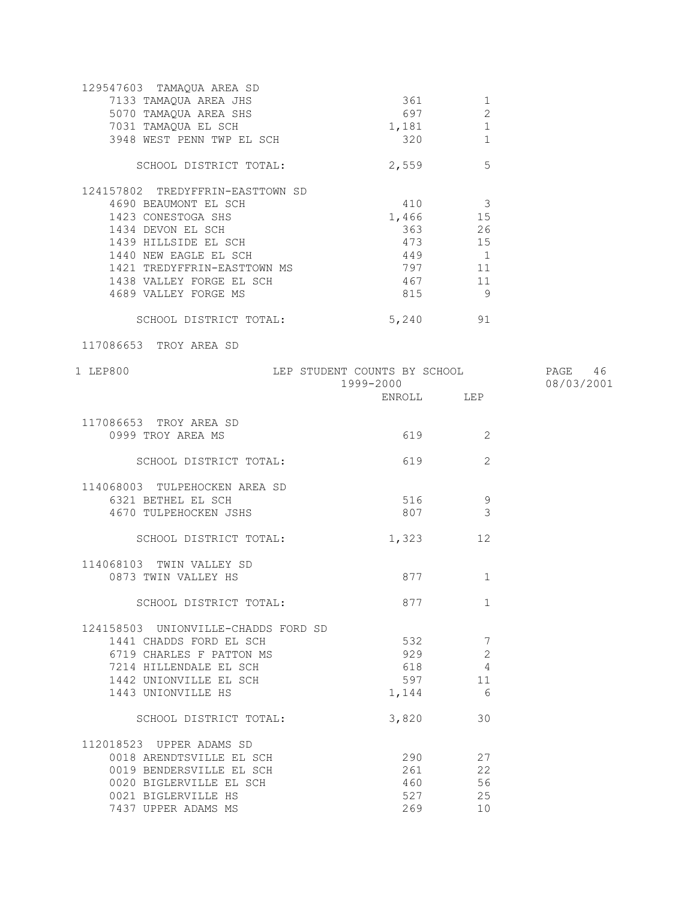| 129547603 TAMAQUA AREA SD           |                                       |                          |            |
|-------------------------------------|---------------------------------------|--------------------------|------------|
| 7133 TAMAQUA AREA JHS               | 361                                   | 1                        |            |
| 5070 TAMAQUA AREA SHS               | 697                                   | 2                        |            |
| 7031 TAMAQUA EL SCH                 | 1,181                                 | 1                        |            |
| 3948 WEST PENN TWP EL SCH           | 320                                   | 1                        |            |
|                                     |                                       |                          |            |
| SCHOOL DISTRICT TOTAL:              | 2,559                                 | 5                        |            |
| 124157802 TREDYFFRIN-EASTTOWN SD    |                                       |                          |            |
| 4690 BEAUMONT EL SCH                | 410                                   | $\overline{\mathbf{3}}$  |            |
| 1423 CONESTOGA SHS                  | 1,466                                 | 15                       |            |
| 1434 DEVON EL SCH                   |                                       | 363 26                   |            |
| 1439 HILLSIDE EL SCH                | 473 15                                |                          |            |
| 1440 NEW EAGLE EL SCH               | 449 1                                 |                          |            |
|                                     |                                       |                          |            |
| 1421 TREDYFFRIN-EASTTOWN MS         | 797 11                                |                          |            |
| 1438 VALLEY FORGE EL SCH            | 467 11                                |                          |            |
| 4689 VALLEY FORGE MS                | 815                                   | - 9                      |            |
| SCHOOL DISTRICT TOTAL: 5,240 91     |                                       |                          |            |
| 117086653 TROY AREA SD              |                                       |                          |            |
| 1 LEP800                            | LEP STUDENT COUNTS BY SCHOOL THAGE 46 |                          |            |
|                                     | 1999-2000                             |                          | 08/03/2001 |
|                                     | ENROLL LEP                            |                          |            |
|                                     |                                       |                          |            |
| 117086653 TROY AREA SD              |                                       |                          |            |
| 0999 TROY AREA MS                   | 619                                   | $\overline{\phantom{a}}$ |            |
|                                     |                                       |                          |            |
| SCHOOL DISTRICT TOTAL:              | 619                                   | 2                        |            |
| 114068003 TULPEHOCKEN AREA SD       |                                       |                          |            |
|                                     |                                       |                          |            |
| 6321 BETHEL EL SCH                  | 516                                   | 9                        |            |
| 4670 TULPEHOCKEN JSHS               | 807                                   | 3                        |            |
| SCHOOL DISTRICT TOTAL:              | 1,323                                 | 12                       |            |
|                                     |                                       |                          |            |
| 114068103 TWIN VALLEY SD            |                                       |                          |            |
| 0873 TWIN VALLEY HS                 | 877                                   | 1                        |            |
|                                     |                                       |                          |            |
| SCHOOL DISTRICT TOTAL:              | 877                                   | $\mathbf{1}$             |            |
| 124158503 UNIONVILLE-CHADDS FORD SD |                                       |                          |            |
|                                     |                                       |                          |            |
| 1441 CHADDS FORD EL SCH             | 532                                   | 7                        |            |
| 6719 CHARLES F PATTON MS            | 929                                   | $\overline{2}$           |            |
| 7214 HILLENDALE EL SCH              | 618                                   | 4                        |            |
| 1442 UNIONVILLE EL SCH              | 597                                   | 11                       |            |
| 1443 UNIONVILLE HS                  | 1,144                                 | 6                        |            |
|                                     |                                       |                          |            |
| SCHOOL DISTRICT TOTAL:              | 3,820                                 | 30                       |            |
| 112018523 UPPER ADAMS SD            |                                       |                          |            |
| 0018 ARENDTSVILLE EL SCH            | 290                                   | 27                       |            |
| 0019 BENDERSVILLE EL SCH            | 261                                   | 22                       |            |
| 0020 BIGLERVILLE EL SCH             | 460                                   | 56                       |            |
| 0021 BIGLERVILLE HS                 | 527                                   | 25                       |            |
|                                     |                                       |                          |            |
| 7437 UPPER ADAMS MS                 | 269                                   | 10                       |            |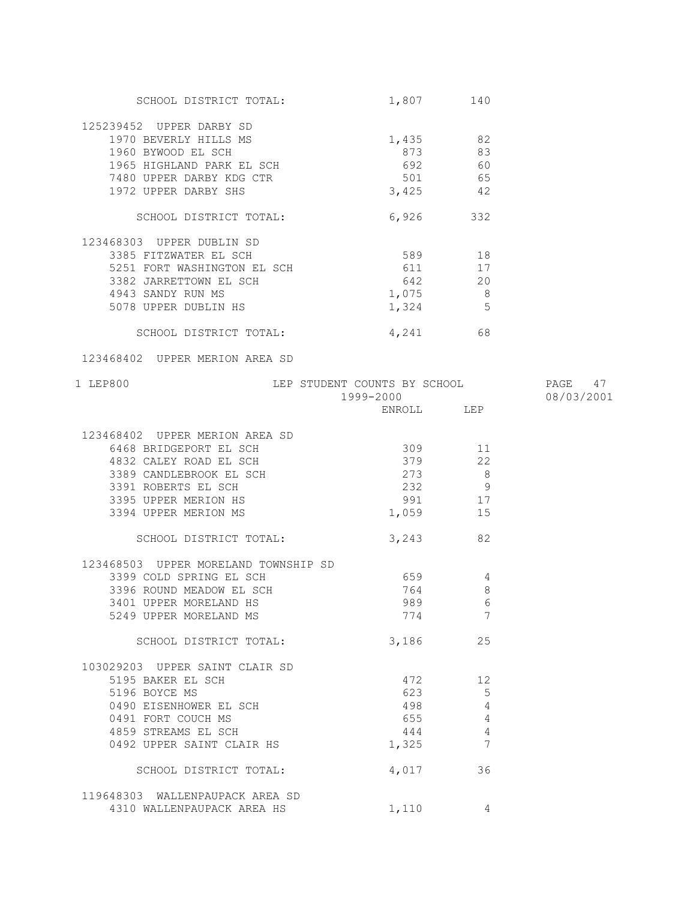| SCHOOL DISTRICT TOTAL:                                                                           | 1,807 140                                                    |                |            |
|--------------------------------------------------------------------------------------------------|--------------------------------------------------------------|----------------|------------|
| 125239452 UPPER DARBY SD                                                                         |                                                              |                |            |
| 1970 BEVERLY HILLS MS                                                                            | 1,435 82                                                     |                |            |
| 1960 BYWOOD EL SCH                                                                               | 873 83                                                       |                |            |
| 1965 HIGHLAND PARK EL SCH                                                                        | 692 60                                                       |                |            |
| 7480 UPPER DARBY KDG CTR                                                                         | $501$ 65                                                     |                |            |
| 1972 UPPER DARBY SHS                                                                             |                                                              |                |            |
|                                                                                                  | $3,425$ 42                                                   |                |            |
| SCHOOL DISTRICT TOTAL:                                                                           | $6,926$ 332                                                  |                |            |
| 123468303 UPPER DUBLIN SD                                                                        |                                                              |                |            |
| 3385 FITZWATER EL SCH                                                                            | 589 18                                                       |                |            |
| 5251 FORT WASHINGTON EL SCH 611                                                                  |                                                              | 17             |            |
| 3382 JARRETTOWN EL SCH                                                                           | 642 20                                                       |                |            |
| 4943 SANDY RUN MS                                                                                | 1,075 8                                                      |                |            |
| 5078 UPPER DUBLIN HS                                                                             | $1,324$ 5                                                    |                |            |
| SCHOOL DISTRICT TOTAL:                                                                           | 4,241 68                                                     |                |            |
| 123468402 UPPER MERION AREA SD                                                                   |                                                              |                |            |
|                                                                                                  |                                                              |                |            |
| 1 LEP800                                                                                         | LEP STUDENT COUNTS BY SCHOOL PAGE 47<br>1999-2000 08/03/2001 |                |            |
|                                                                                                  |                                                              |                | 08/03/2001 |
|                                                                                                  | ENROLL LEP                                                   |                |            |
| 123468402 UPPER MERION AREA SD                                                                   |                                                              |                |            |
| 6468 BRIDGEPORT EL SCH                                                                           | 309 11                                                       |                |            |
|                                                                                                  | 379                                                          | 22             |            |
| 4832 CALEY ROAD EL SCH<br>3389 CANDLEBROOK EL SCH<br>3391 ROBERTS EL SCH<br>3395 UPPER MERION HS | 273                                                          | 8 <sup>8</sup> |            |
|                                                                                                  | $232$ 9                                                      |                |            |
|                                                                                                  | 991 17                                                       |                |            |
| 3394 UPPER MERION MS                                                                             | 1,059 15                                                     |                |            |
|                                                                                                  |                                                              |                |            |
| SCHOOL DISTRICT TOTAL: 3,243 82                                                                  |                                                              |                |            |
| 123468503 UPPER MORELAND TOWNSHIP SD                                                             |                                                              |                |            |
| 3399 COLD SPRING EL SCH                                                                          | 659 4                                                        |                |            |
| 3396 ROUND MEADOW EL SCH                                                                         | 764                                                          | $\,8\,$        |            |
| 3401 UPPER MORELAND HS                                                                           |                                                              | 989 6          |            |
| 5249 UPPER MORELAND MS                                                                           | 774                                                          | 7              |            |
| SCHOOL DISTRICT TOTAL:                                                                           | 3,186                                                        | 25             |            |
| 103029203 UPPER SAINT CLAIR SD                                                                   |                                                              |                |            |
| 5195 BAKER EL SCH                                                                                | 472                                                          | 12             |            |
| 5196 BOYCE MS                                                                                    | 623                                                          | 5              |            |
| 0490 EISENHOWER EL SCH                                                                           | 498                                                          | $\overline{4}$ |            |
| 0491 FORT COUCH MS                                                                               | 655                                                          | 4              |            |
| 4859 STREAMS EL SCH                                                                              | 444                                                          | 4              |            |
| 0492 UPPER SAINT CLAIR HS                                                                        |                                                              | 7              |            |
|                                                                                                  | 1,325                                                        |                |            |
| SCHOOL DISTRICT TOTAL:                                                                           | 4,017                                                        | 36             |            |
| 119648303 WALLENPAUPACK AREA SD                                                                  |                                                              |                |            |
| 4310 WALLENPAUPACK AREA HS                                                                       | 1,110                                                        | 4              |            |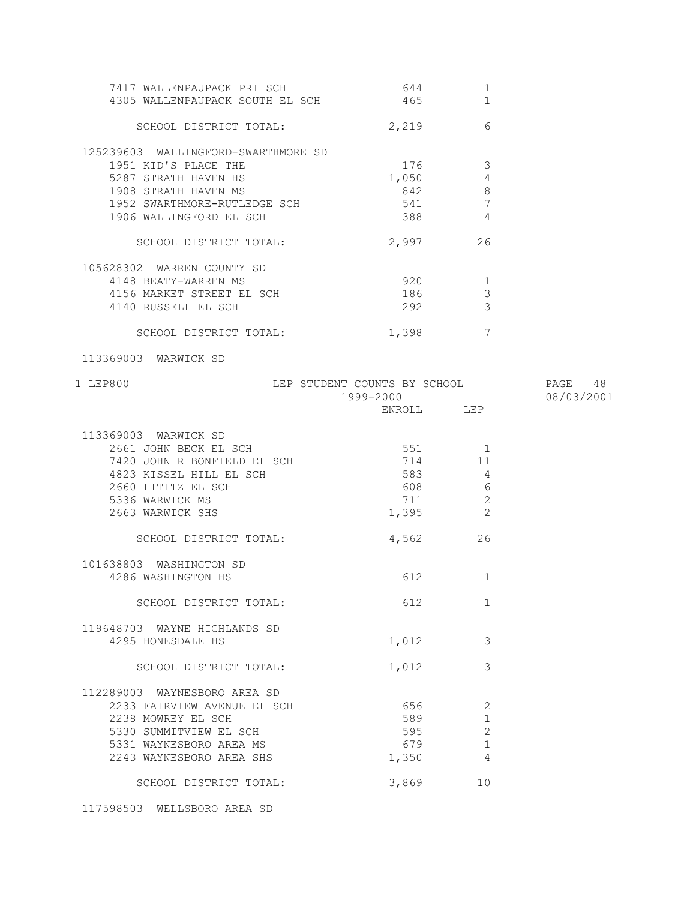| 7417 WALLENPAUPACK PRI SCH<br>4305 WALLENPAUPACK SOUTH EL SCH                                                                                                          | 644<br>465                                         | 1<br>1                                            |            |
|------------------------------------------------------------------------------------------------------------------------------------------------------------------------|----------------------------------------------------|---------------------------------------------------|------------|
| SCHOOL DISTRICT TOTAL:                                                                                                                                                 | 2,219                                              | 6                                                 |            |
| 125239603 WALLINGFORD-SWARTHMORE SD<br>1951 KID'S PLACE THE<br>5287 STRATH HAVEN HS<br>1908 STRATH HAVEN MS<br>1952 SWARTHMORE-RUTLEDGE SCH<br>1906 WALLINGFORD EL SCH | 176<br>1,050<br>842<br>541                         | - 3<br>4<br>8<br>$\overline{7}$<br>$\overline{4}$ |            |
| SCHOOL DISTRICT TOTAL:                                                                                                                                                 | 2,997                                              | 26                                                |            |
| 105628302 WARREN COUNTY SD<br>4148 BEATY-WARREN MS<br>4156 MARKET STREET EL SCH<br>4140 RUSSELL EL SCH<br>SCHOOL DISTRICT TOTAL:                                       | $920$ 1<br>186<br>292 2022<br>1,398                | 3<br>$\mathcal{E}$<br>$7\phantom{.0}$             |            |
| 113369003 WARWICK SD                                                                                                                                                   |                                                    |                                                   |            |
| LEP STUDENT COUNTS BY SCHOOL 6 PAGE 48<br>1 LEP800                                                                                                                     | 1999-2000<br>ENROLL LEP                            |                                                   | 08/03/2001 |
| 113369003 WARWICK SD<br>2661 JOHN BECK EL SCH<br>7420 JOHN R BONFIELD EL SCH<br>4823 KISSEL HILL EL SCH<br>2660 LITITZ EL SCH<br>5336 WARWICK MS<br>2663 WARWICK SHS   | 551 1<br>714<br>583<br>608 6<br>711 2<br>$1,395$ 2 | 11<br>$\overline{4}$                              |            |
| SCHOOL DISTRICT TOTAL:                                                                                                                                                 | 4,562 26                                           |                                                   |            |
| 101638803 WASHINGTON SD<br>4286 WASHINGTON HS<br>SCHOOL DISTRICT TOTAL:                                                                                                | 612 — 10<br>612                                    | $\mathbf{1}$<br>1                                 |            |
| 119648703 WAYNE HIGHLANDS SD<br>4295 HONESDALE HS                                                                                                                      | 1,012                                              | 3                                                 |            |
| SCHOOL DISTRICT TOTAL:                                                                                                                                                 | 1,012                                              | 3                                                 |            |
| 112289003 WAYNESBORO AREA SD<br>2233 FAIRVIEW AVENUE EL SCH<br>2238 MOWREY EL SCH<br>5330 SUMMITVIEW EL SCH<br>5331 WAYNESBORO AREA MS<br>2243 WAYNESBORO AREA SHS     | 656<br>589<br>595<br>679<br>1,350                  | 2<br>$\mathbf{1}$<br>2<br>$\mathbf{1}$<br>4       |            |
| SCHOOL DISTRICT TOTAL:                                                                                                                                                 | 3,869                                              | 10                                                |            |

117598503 WELLSBORO AREA SD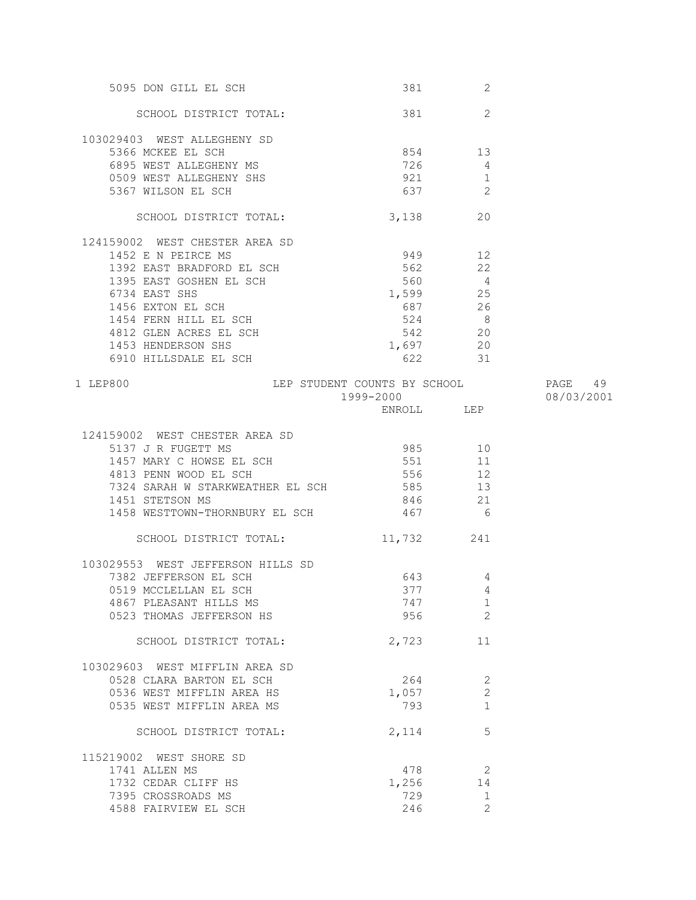| 5095 DON GILL EL SCH                                                                                                                                                                                                                                                                                                                                                                                                                                                                    |            | 2              |            |
|-----------------------------------------------------------------------------------------------------------------------------------------------------------------------------------------------------------------------------------------------------------------------------------------------------------------------------------------------------------------------------------------------------------------------------------------------------------------------------------------|------------|----------------|------------|
| SCHOOL DISTRICT TOTAL: 381                                                                                                                                                                                                                                                                                                                                                                                                                                                              |            | 2              |            |
| 103029403 WEST ALLEGHENY SD<br>5366 MCKEE EL SCH<br>6895 WEST ALLEGHENY MS<br>6509 WEST ALLEGHENY SHS<br>5367 WILSON EL SCH<br>5367 WILSON EL SCH<br>637                                                                                                                                                                                                                                                                                                                                |            |                |            |
|                                                                                                                                                                                                                                                                                                                                                                                                                                                                                         |            |                |            |
|                                                                                                                                                                                                                                                                                                                                                                                                                                                                                         |            |                |            |
|                                                                                                                                                                                                                                                                                                                                                                                                                                                                                         |            |                |            |
|                                                                                                                                                                                                                                                                                                                                                                                                                                                                                         |            |                |            |
| SCHOOL DISTRICT TOTAL: 3,138                                                                                                                                                                                                                                                                                                                                                                                                                                                            |            | 20             |            |
| 124159002 WEST CHESTER AREA SD                                                                                                                                                                                                                                                                                                                                                                                                                                                          |            |                |            |
|                                                                                                                                                                                                                                                                                                                                                                                                                                                                                         |            |                |            |
|                                                                                                                                                                                                                                                                                                                                                                                                                                                                                         |            |                |            |
|                                                                                                                                                                                                                                                                                                                                                                                                                                                                                         |            |                |            |
|                                                                                                                                                                                                                                                                                                                                                                                                                                                                                         |            |                |            |
|                                                                                                                                                                                                                                                                                                                                                                                                                                                                                         |            |                |            |
|                                                                                                                                                                                                                                                                                                                                                                                                                                                                                         |            |                |            |
|                                                                                                                                                                                                                                                                                                                                                                                                                                                                                         |            |                |            |
|                                                                                                                                                                                                                                                                                                                                                                                                                                                                                         |            |                |            |
| $\begin{tabular}{lllllllllllllllllllll} \multicolumn{4.5}{\begin{tabular}{l} \multicolumn{4}{c}{\multicolumn{4}{c}{\multicolumn{4}{c}{\multicolumn{4}{c}{\multicolumn{4}{c}{\multicolumn{4}{c}{\multicolumn{4}{c}{\multicolumn{4}{c}{\multicolumn{4}{c}{\multicolumn{4}{c}{\multicolumn{4}{c}{\multicolumn{4}{c}{\multicolumn{4}{c}{\multicolumn{4}{c}{\multicolumn{4}{c}{\multicolumn{4}{c}{\multicolumn{4}{c}{\multicolumn{4}{c}{\multicolumn{4}{c}{\multicolumn{4}{c}{\multicolumn{$ |            |                |            |
| LEP STUDENT COUNTS BY SCHOOL FAGE 49<br>1 LEP800                                                                                                                                                                                                                                                                                                                                                                                                                                        |            |                |            |
|                                                                                                                                                                                                                                                                                                                                                                                                                                                                                         | 1999-2000  |                | 08/03/2001 |
|                                                                                                                                                                                                                                                                                                                                                                                                                                                                                         | ENROLL LEP |                |            |
| 124159002 WEST CHESTER AREA SD                                                                                                                                                                                                                                                                                                                                                                                                                                                          |            |                |            |
| 5137 J R FUGETT MS                                                                                                                                                                                                                                                                                                                                                                                                                                                                      | 985 10     |                |            |
| 5137 J R FUGETT MS<br>1457 MARY C HOWSE EL SCH<br>4813 PENN WOOD EL SCH                                                                                                                                                                                                                                                                                                                                                                                                                 | 551        | 11             |            |
| 4813 PENN WOOD EL SCH                                                                                                                                                                                                                                                                                                                                                                                                                                                                   | 556        | 12             |            |
| 7324 SARAH W STARKWEATHER EL SCH 585 13                                                                                                                                                                                                                                                                                                                                                                                                                                                 |            |                |            |
| 1451 STETSON MS                                                                                                                                                                                                                                                                                                                                                                                                                                                                         | 846 21     |                |            |
| 1458 WESTTOWN-THORNBURY EL SCH 467 6                                                                                                                                                                                                                                                                                                                                                                                                                                                    |            |                |            |
| SCHOOL DISTRICT TOTAL:                                                                                                                                                                                                                                                                                                                                                                                                                                                                  | 11,732 241 |                |            |
| 103029553 WEST JEFFERSON HILLS SD                                                                                                                                                                                                                                                                                                                                                                                                                                                       |            |                |            |
| 7382 JEFFERSON EL SCH                                                                                                                                                                                                                                                                                                                                                                                                                                                                   | 643   120  | 4              |            |
| 0519 MCCLELLAN EL SCH                                                                                                                                                                                                                                                                                                                                                                                                                                                                   |            | 377 4          |            |
| 4867 PLEASANT HILLS MS                                                                                                                                                                                                                                                                                                                                                                                                                                                                  | 747        | 1              |            |
| 0523 THOMAS JEFFERSON HS                                                                                                                                                                                                                                                                                                                                                                                                                                                                | 956 70     | 2              |            |
| SCHOOL DISTRICT TOTAL:                                                                                                                                                                                                                                                                                                                                                                                                                                                                  | 2,723      | 11             |            |
| 103029603 WEST MIFFLIN AREA SD                                                                                                                                                                                                                                                                                                                                                                                                                                                          |            |                |            |
| 0528 CLARA BARTON EL SCH                                                                                                                                                                                                                                                                                                                                                                                                                                                                | 264        | 2              |            |
| 0536 WEST MIFFLIN AREA HS                                                                                                                                                                                                                                                                                                                                                                                                                                                               | 1,057      | $\mathbf{2}$   |            |
| 0535 WEST MIFFLIN AREA MS                                                                                                                                                                                                                                                                                                                                                                                                                                                               | 793        | 1              |            |
| SCHOOL DISTRICT TOTAL:                                                                                                                                                                                                                                                                                                                                                                                                                                                                  | 2,114      | 5              |            |
| 115219002 WEST SHORE SD                                                                                                                                                                                                                                                                                                                                                                                                                                                                 |            |                |            |
| 1741 ALLEN MS                                                                                                                                                                                                                                                                                                                                                                                                                                                                           | 478        | $\overline{2}$ |            |
| 1732 CEDAR CLIFF HS                                                                                                                                                                                                                                                                                                                                                                                                                                                                     | 1,256      | 14             |            |
| 7395 CROSSROADS MS                                                                                                                                                                                                                                                                                                                                                                                                                                                                      | 729        | 1              |            |
| 4588 FAIRVIEW EL SCH                                                                                                                                                                                                                                                                                                                                                                                                                                                                    | 246        | $\overline{2}$ |            |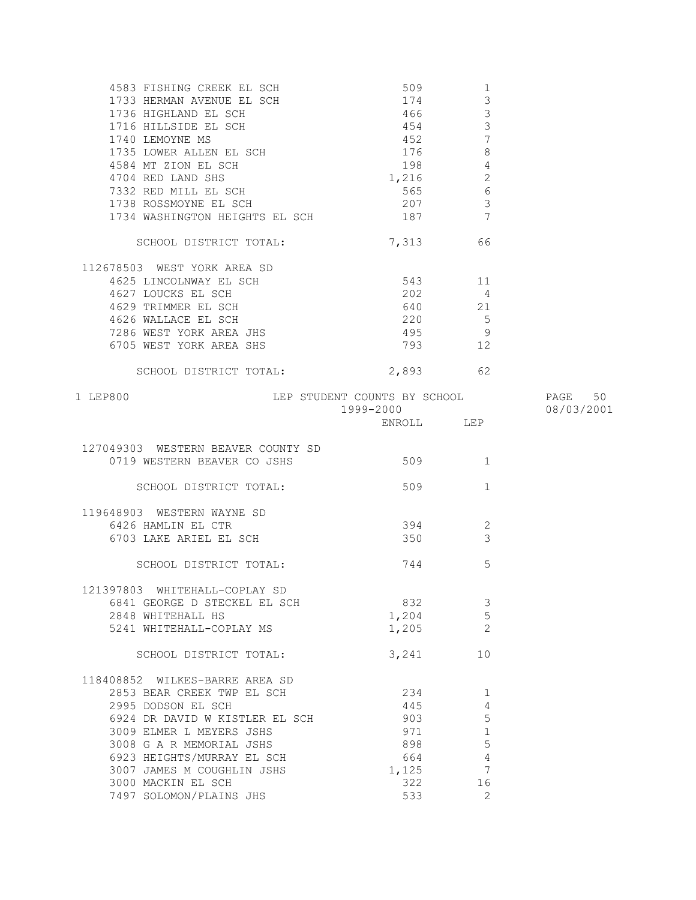| 4583 FISHING CREEK EL SCH                  | 509                          | $\mathbf{1}$    |            |
|--------------------------------------------|------------------------------|-----------------|------------|
| 1733 HERMAN AVENUE EL SCH                  | 174                          | $\mathsf 3$     |            |
| 1736 HIGHLAND EL SCH                       | 466                          | $\mathfrak{Z}$  |            |
| 1716 HILLSIDE EL SCH                       | 454                          | $\mathcal{S}$   |            |
|                                            | 452                          | $\overline{7}$  |            |
| 1740 LEMOYNE MS<br>1735 LOWER ALLEN EL SCH | 176                          | $\,8\,$         |            |
| 4584 MT ZION EL SCH                        | 198                          | $\overline{4}$  |            |
| 4704 RED LAND SHS                          | 1,216                        | $\sqrt{2}$      |            |
| 7332 RED MILL EL SCH                       | 565                          | $\sqrt{6}$      |            |
| 1738 ROSSMOYNE EL SCH                      | 207                          | $\mathcal{E}$   |            |
| 1734 WASHINGTON HEIGHTS EL SCH             | 187                          | $7\phantom{.0}$ |            |
|                                            |                              |                 |            |
| SCHOOL DISTRICT TOTAL:                     | 7,313                        | 66              |            |
| 112678503 WEST YORK AREA SD                |                              |                 |            |
| 4625 LINCOLNWAY EL SCH                     | 543 11                       |                 |            |
| 4627 LOUCKS EL SCH                         | 202                          | $\overline{4}$  |            |
| 4629 TRIMMER EL SCH                        | 640                          | 21              |            |
| 4626 WALLACE EL SCH                        | 220                          | $5^{\circ}$     |            |
| 7286 WEST YORK AREA JHS                    | 495                          | 9               |            |
| 6705 WEST YORK AREA SHS                    | 793                          | 12              |            |
|                                            |                              |                 |            |
| SCHOOL DISTRICT TOTAL:                     | 2,893 62                     |                 |            |
| 1 LEP800                                   | LEP STUDENT COUNTS BY SCHOOL |                 | PAGE 50    |
|                                            | 1999-2000                    |                 | 08/03/2001 |
|                                            |                              |                 |            |
| 127049303 WESTERN BEAVER COUNTY SD         |                              |                 |            |
| 0719 WESTERN BEAVER CO JSHS                | 509                          | $\sim$ 1        |            |
|                                            |                              |                 |            |
| SCHOOL DISTRICT TOTAL:                     | 509                          | $\mathbf{1}$    |            |
| 119648903 WESTERN WAYNE SD                 |                              |                 |            |
| 6426 HAMLIN EL CTR                         | 394                          | 2               |            |
| 6703 LAKE ARIEL EL SCH                     | 350                          | 3               |            |
|                                            |                              |                 |            |
| SCHOOL DISTRICT TOTAL:                     | 744                          | 5               |            |
| 121397803 WHITEHALL-COPLAY SD              |                              |                 |            |
| 6841 GEORGE D STECKEL EL SCH               | 832                          | 3               |            |
| 2848 WHITEHALL HS                          | 1,204                        | 5               |            |
| 5241 WHITEHALL-COPLAY MS                   | 1,205                        | $\overline{2}$  |            |
|                                            |                              |                 |            |
| SCHOOL DISTRICT TOTAL:                     | 3,241                        | 10              |            |
| 118408852 WILKES-BARRE AREA SD             |                              |                 |            |
| 2853 BEAR CREEK TWP EL SCH                 | 234                          | 1               |            |
| 2995 DODSON EL SCH                         | 445                          | 4               |            |
| 6924 DR DAVID W KISTLER EL SCH             | 903                          | 5               |            |
| 3009 ELMER L MEYERS JSHS                   | 971                          | $\mathbf 1$     |            |
| 3008 G A R MEMORIAL JSHS                   | 898                          | 5               |            |
| 6923 HEIGHTS/MURRAY EL SCH                 | 664                          | $\sqrt{4}$      |            |
| 3007 JAMES M COUGHLIN JSHS                 | 1,125                        | 7               |            |
| 3000 MACKIN EL SCH                         | 322                          | 16              |            |
| 7497 SOLOMON/PLAINS JHS                    | 533                          | 2               |            |
|                                            |                              |                 |            |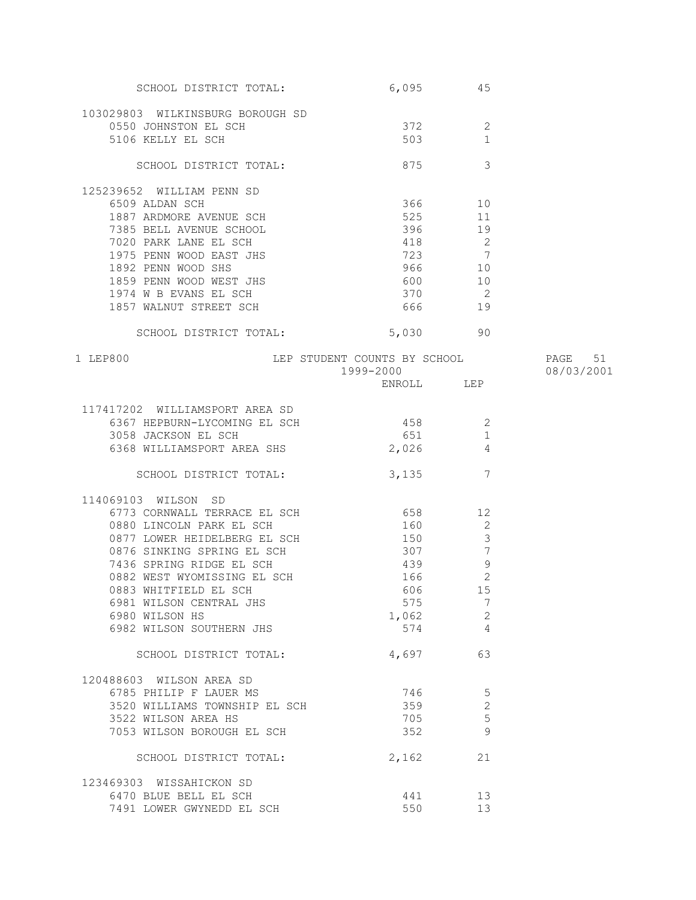| SCHOOL DISTRICT TOTAL:                                | 6,095      | 45                               |            |
|-------------------------------------------------------|------------|----------------------------------|------------|
| 103029803 WILKINSBURG BOROUGH SD                      |            |                                  |            |
| 0550 JOHNSTON EL SCH                                  | 372        | 2                                |            |
| 5106 KELLY EL SCH                                     | 503        | 1                                |            |
|                                                       |            |                                  |            |
| SCHOOL DISTRICT TOTAL:                                | 875        | 3                                |            |
| 125239652 WILLIAM PENN SD                             |            |                                  |            |
| 6509 ALDAN SCH                                        | 366 10     |                                  |            |
| 1887 ARDMORE AVENUE SCH                               | 525        | 11                               |            |
| 7385 BELL AVENUE SCHOOL                               | 396        | 19                               |            |
| 7020 PARK LANE EL SCH                                 | 418        | $\overline{\phantom{0}}^2$       |            |
| 1975 PENN WOOD EAST JHS                               | 723 7      |                                  |            |
|                                                       | 966 10     |                                  |            |
| 1892 PENN WOOD SHS                                    |            |                                  |            |
| 1859 PENN WOOD WEST JHS                               | 600 10     |                                  |            |
| 1974 W B EVANS EL SCH                                 | 370 2      |                                  |            |
| 1857 WALNUT STREET SCH                                | 666 19     |                                  |            |
| SCHOOL DISTRICT TOTAL:                                | 5,030 90   |                                  |            |
| LEP STUDENT COUNTS BY SCHOOL<br>1999-2000<br>1 LEP800 |            |                                  | 51<br>PAGE |
|                                                       | 1999-2000  |                                  | 08/03/2001 |
|                                                       | ENROLL LEP |                                  |            |
|                                                       |            |                                  |            |
| 117417202 WILLIAMSPORT AREA SD                        |            |                                  |            |
| 6367 HEPBURN-LYCOMING EL SCH                          | 458 30     | 2                                |            |
| 3058 JACKSON EL SCH                                   | 651        | $\mathbf{1}$                     |            |
| 6368 WILLIAMSPORT AREA SHS                            | 2,026      | $\overline{4}$                   |            |
| SCHOOL DISTRICT TOTAL:                                | 3,135      | 7                                |            |
| 114069103 WILSON SD                                   |            |                                  |            |
| 6773 CORNWALL TERRACE EL SCH 658                      |            | 12                               |            |
|                                                       | 160        |                                  |            |
| 0880 LINCOLN PARK EL SCH                              |            | 2                                |            |
| 0877 LOWER HEIDELBERG EL SCH                          | 150        | $\mathfrak{Z}$                   |            |
| 0876 SINKING SPRING EL SCH                            | 307        | $\begin{array}{c} 7 \end{array}$ |            |
| 7436 SPRING RIDGE EL SCH                              | 439        | $\overline{9}$                   |            |
| 0882 WEST WYOMISSING EL SCH                           | 166        | $\overline{c}$                   |            |
| 0883 WHITFIELD EL SCH                                 | 606        | 15                               |            |
| 6981 WILSON CENTRAL JHS                               | 575        | 7                                |            |
| 6980 WILSON HS                                        | 1,062      | $\mathbf{2}$                     |            |
| 6982 WILSON SOUTHERN JHS                              | 574        | -4                               |            |
| SCHOOL DISTRICT TOTAL:                                | 4,697      | 63                               |            |
| 120488603 WILSON AREA SD                              |            |                                  |            |
| 6785 PHILIP F LAUER MS                                | 746        | $5\overline{5}$                  |            |
| 3520 WILLIAMS TOWNSHIP EL SCH                         | 359        | $\mathbf{2}$                     |            |
| 3522 WILSON AREA HS                                   | 705        | 5                                |            |
| 7053 WILSON BOROUGH EL SCH                            | 352        | -9                               |            |
|                                                       |            |                                  |            |
| SCHOOL DISTRICT TOTAL:                                | 2,162      | 21                               |            |
| 123469303 WISSAHICKON SD                              |            |                                  |            |
| 6470 BLUE BELL EL SCH                                 | 441        | 13                               |            |
| 7491 LOWER GWYNEDD EL SCH                             | 550        | 13                               |            |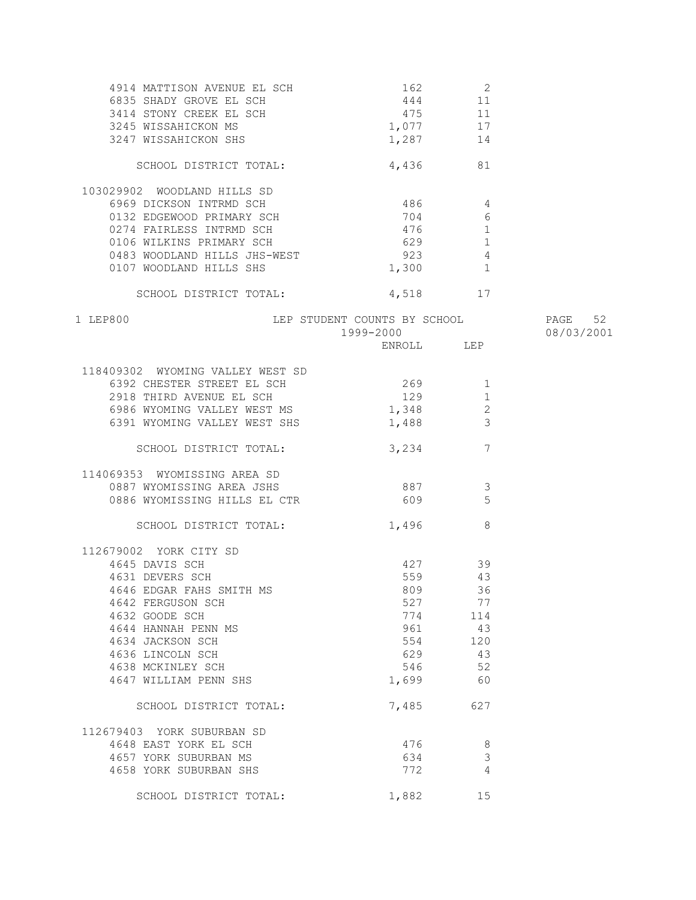| 4914 MATTISON AVENUE EL SCH      | $162$ 2                              |                          |            |
|----------------------------------|--------------------------------------|--------------------------|------------|
| 6835 SHADY GROVE EL SCH          |                                      | 444 11                   |            |
| 3414 STONY CREEK EL SCH          | 475                                  | 11                       |            |
| 3245 WISSAHICKON MS              | $1,077$ 17                           |                          |            |
| 3247 WISSAHICKON SHS             | 1,287                                | 14                       |            |
|                                  |                                      |                          |            |
| SCHOOL DISTRICT TOTAL:           |                                      | 81<br>4,436              |            |
| 103029902 WOODLAND HILLS SD      |                                      |                          |            |
| 6969 DICKSON INTRMD SCH          | 486 4                                |                          |            |
| 0132 EDGEWOOD PRIMARY SCH        | 704                                  | 6                        |            |
| 0274 FAIRLESS INTRMD SCH         | 476                                  | 1                        |            |
| 0106 WILKINS PRIMARY SCH         |                                      | 629<br>1                 |            |
| 0483 WOODLAND HILLS JHS-WEST     | 923                                  | $\overline{4}$           |            |
| 0107 WOODLAND HILLS SHS          | 1,300                                | 1                        |            |
|                                  |                                      |                          |            |
| SCHOOL DISTRICT TOTAL:           |                                      | 4,518 17                 |            |
| 1 LEP800                         | LEP STUDENT COUNTS BY SCHOOL PAGE 52 |                          |            |
|                                  | 1999-2000                            |                          | 08/03/2001 |
|                                  |                                      | ENROLL LEP               |            |
|                                  |                                      |                          |            |
| 118409302 WYOMING VALLEY WEST SD |                                      |                          |            |
| 6392 CHESTER STREET EL SCH       | 269                                  | 1                        |            |
| 2918 THIRD AVENUE EL SCH         | 129                                  | 1                        |            |
| 6986 WYOMING VALLEY WEST MS      | 1,348                                | 2                        |            |
| 6391 WYOMING VALLEY WEST SHS     | 1,488                                | $\overline{\phantom{a}}$ |            |
| SCHOOL DISTRICT TOTAL:           |                                      | 7<br>3,234               |            |
| 114069353 WYOMISSING AREA SD     |                                      |                          |            |
| 0887 WYOMISSING AREA JSHS        | 887                                  | 3                        |            |
| 0886 WYOMISSING HILLS EL CTR     | 609                                  | 5                        |            |
|                                  |                                      |                          |            |
| SCHOOL DISTRICT TOTAL:           | 1,496                                | 8                        |            |
| 112679002 YORK CITY SD           |                                      |                          |            |
| 4645 DAVIS SCH                   |                                      | 427<br>39                |            |
| 4631 DEVERS SCH                  | 559                                  | 43                       |            |
| 4646 EDGAR FAHS SMITH MS         | 809                                  | 36                       |            |
| 4642 FERGUSON SCH                | 527                                  | 77                       |            |
| 4632 GOODE SCH                   | 774                                  | 114                      |            |
| 4644 HANNAH PENN MS              | 961                                  | 43                       |            |
| 4634 JACKSON SCH                 | 554                                  | 120                      |            |
| 4636 LINCOLN SCH                 | 629                                  | 43                       |            |
| 4638 MCKINLEY SCH                | 546                                  | 52                       |            |
| 4647 WILLIAM PENN SHS            | 1,699                                | 60                       |            |
| SCHOOL DISTRICT TOTAL:           | 7,485                                | 627                      |            |
|                                  |                                      |                          |            |
| 112679403 YORK SUBURBAN SD       |                                      |                          |            |
| 4648 EAST YORK EL SCH            | 476                                  | 8                        |            |
| 4657 YORK SUBURBAN MS            | 634                                  | $\mathfrak{Z}$           |            |
| 4658 YORK SUBURBAN SHS           | 772                                  | 4                        |            |
| SCHOOL DISTRICT TOTAL:           | 1,882                                | 15                       |            |
|                                  |                                      |                          |            |